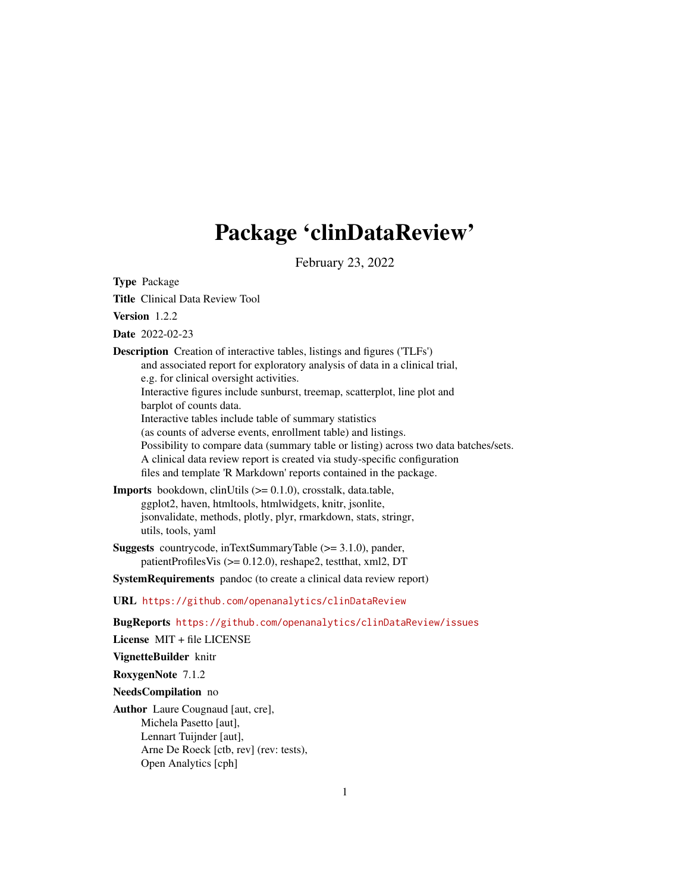# Package 'clinDataReview'

February 23, 2022

<span id="page-0-0"></span>Type Package Title Clinical Data Review Tool Version 1.2.2 Date 2022-02-23 Description Creation of interactive tables, listings and figures ('TLFs') and associated report for exploratory analysis of data in a clinical trial, e.g. for clinical oversight activities. Interactive figures include sunburst, treemap, scatterplot, line plot and barplot of counts data. Interactive tables include table of summary statistics (as counts of adverse events, enrollment table) and listings. Possibility to compare data (summary table or listing) across two data batches/sets. A clinical data review report is created via study-specific configuration files and template 'R Markdown' reports contained in the package. Imports bookdown, clinUtils (>= 0.1.0), crosstalk, data.table, ggplot2, haven, htmltools, htmlwidgets, knitr, jsonlite,

jsonvalidate, methods, plotly, plyr, rmarkdown, stats, stringr, utils, tools, yaml

Suggests countrycode, inTextSummaryTable (>= 3.1.0), pander, patientProfilesVis (>= 0.12.0), reshape2, testthat, xml2, DT

SystemRequirements pandoc (to create a clinical data review report)

URL <https://github.com/openanalytics/clinDataReview>

BugReports <https://github.com/openanalytics/clinDataReview/issues>

License MIT + file LICENSE

VignetteBuilder knitr

RoxygenNote 7.1.2

NeedsCompilation no

Author Laure Cougnaud [aut, cre], Michela Pasetto [aut], Lennart Tuijnder [aut], Arne De Roeck [ctb, rev] (rev: tests), Open Analytics [cph]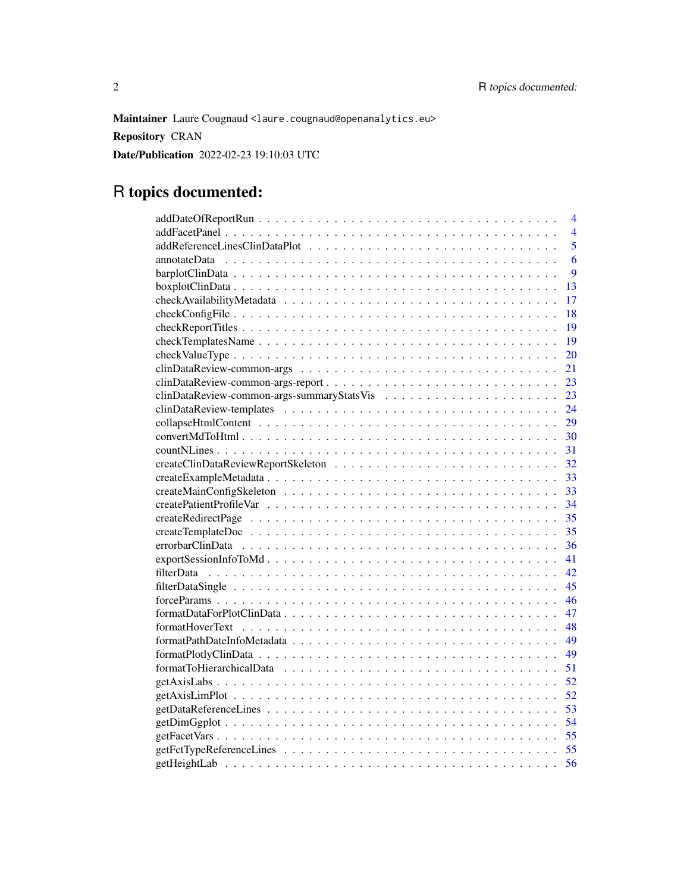Maintainer Laure Cougnaud <laure.cougnaud@openanalytics.eu> Repository CRAN Date/Publication 2022-02-23 19:10:03 UTC

# R topics documented:

|    | $\overline{\mathcal{L}}$ |
|----|--------------------------|
|    | $\overline{4}$           |
|    | $\overline{5}$           |
|    | 6                        |
|    | 9                        |
| 13 |                          |
| 17 |                          |
| 18 |                          |
| 19 |                          |
| 19 |                          |
| 20 |                          |
| 21 |                          |
| 23 |                          |
| 23 |                          |
| 24 |                          |
| 29 |                          |
| 30 |                          |
| 31 |                          |
| 32 |                          |
| 33 |                          |
| 33 |                          |
| 34 |                          |
| 35 |                          |
| 35 |                          |
| 36 |                          |
| 41 |                          |
| 42 |                          |
| 45 |                          |
| 46 |                          |
| 47 |                          |
| 48 |                          |
| 49 |                          |
| 49 |                          |
| 51 |                          |
| 52 |                          |
| 52 |                          |
| 53 |                          |
|    |                          |
|    |                          |
|    |                          |
| 56 |                          |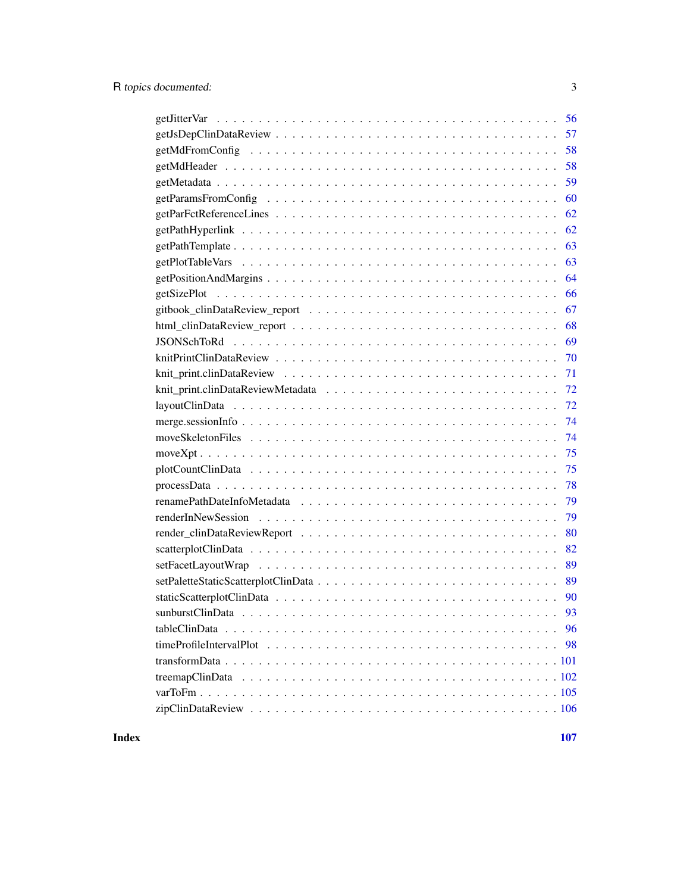| 59 |
|----|
| 60 |
| 62 |
| 62 |
| 63 |
| 63 |
| 64 |
| 66 |
| 67 |
| 68 |
|    |
|    |
|    |
|    |
|    |
|    |
|    |
| 75 |
|    |
| 78 |
| 79 |
|    |
|    |
| 82 |
| 89 |
| 89 |
|    |
|    |
|    |
| 98 |
|    |
|    |
|    |
|    |

**Index** the contract of the contract of the contract of the contract of the contract of the contract of the contract of the contract of the contract of the contract of the contract of the contract of the contract of the co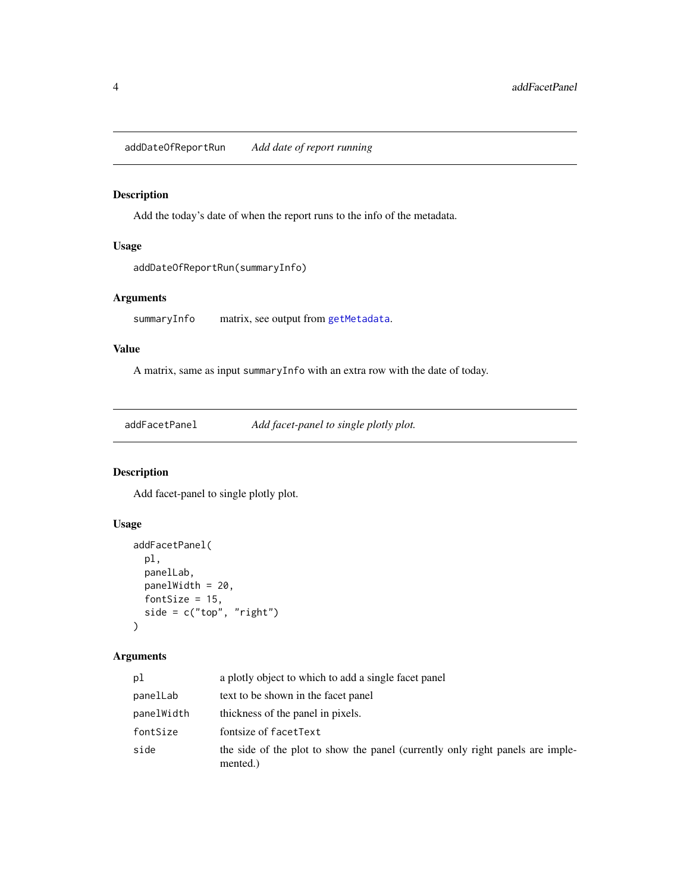<span id="page-3-0"></span>addDateOfReportRun *Add date of report running*

### Description

Add the today's date of when the report runs to the info of the metadata.

#### Usage

```
addDateOfReportRun(summaryInfo)
```
### Arguments

summaryInfo matrix, see output from [getMetadata](#page-58-1).

#### Value

A matrix, same as input summaryInfo with an extra row with the date of today.

addFacetPanel *Add facet-panel to single plotly plot.*

### Description

Add facet-panel to single plotly plot.

### Usage

```
addFacetPanel(
 pl,
 panelLab,
 panelWidth = 20,
 fontSize = 15,
  side = c("top", "right")
)
```

| рl         | a plotly object to which to add a single facet panel                                       |
|------------|--------------------------------------------------------------------------------------------|
| panelLab   | text to be shown in the facet panel                                                        |
| panelWidth | thickness of the panel in pixels.                                                          |
| fontSize   | fontsize of facetText                                                                      |
| side       | the side of the plot to show the panel (currently only right panels are imple-<br>mented.) |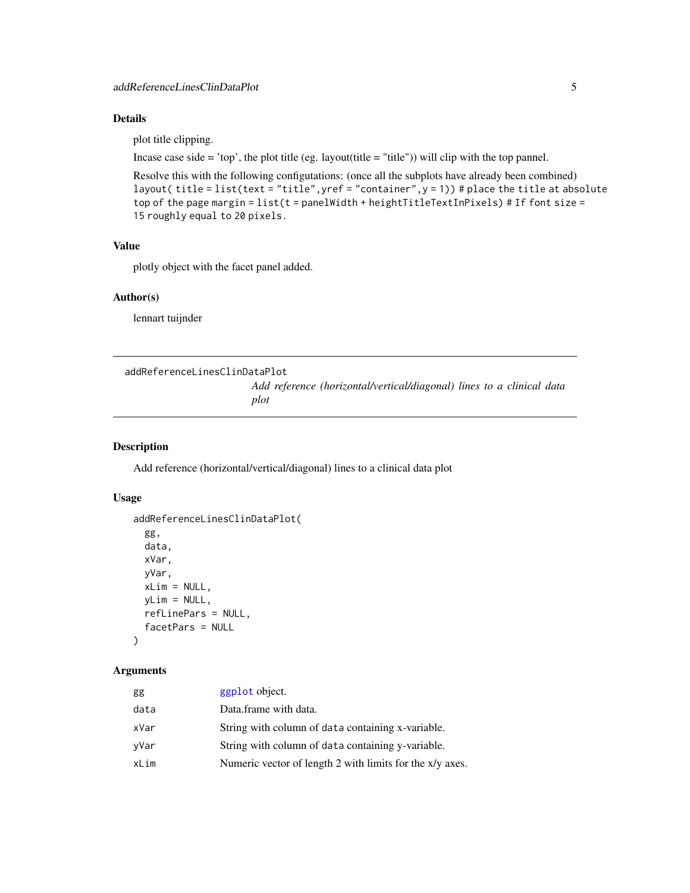#### <span id="page-4-0"></span>Details

plot title clipping.

Incase case side = 'top', the plot title (eg. layout(title = "title")) will clip with the top pannel.

```
Resolve this with the following configutations: (once all the subplots have already been combined)
layout( title = list(text = "title",yref = "container",y = 1)) # place the title at absolute
top of the page margin = list(t = panelWidth + heightTitleTextInPixels) # If font size =15 roughly equal to 20 pixels.
```
### Value

plotly object with the facet panel added.

#### Author(s)

lennart tuijnder

```
addReferenceLinesClinDataPlot
```
*Add reference (horizontal/vertical/diagonal) lines to a clinical data plot*

#### Description

Add reference (horizontal/vertical/diagonal) lines to a clinical data plot

#### Usage

```
addReferenceLinesClinDataPlot(
 gg,
 data,
 xVar,
 yVar,
 xLim = NULL,yLim = NULL,
 refLinePars = NULL,
 facetPars = NULL
```
### )

| gg   | ggplot object.                                           |
|------|----------------------------------------------------------|
| data | Data.frame with data.                                    |
| xVar | String with column of data containing x-variable.        |
| vVar | String with column of data containing y-variable.        |
| xLim | Numeric vector of length 2 with limits for the x/y axes. |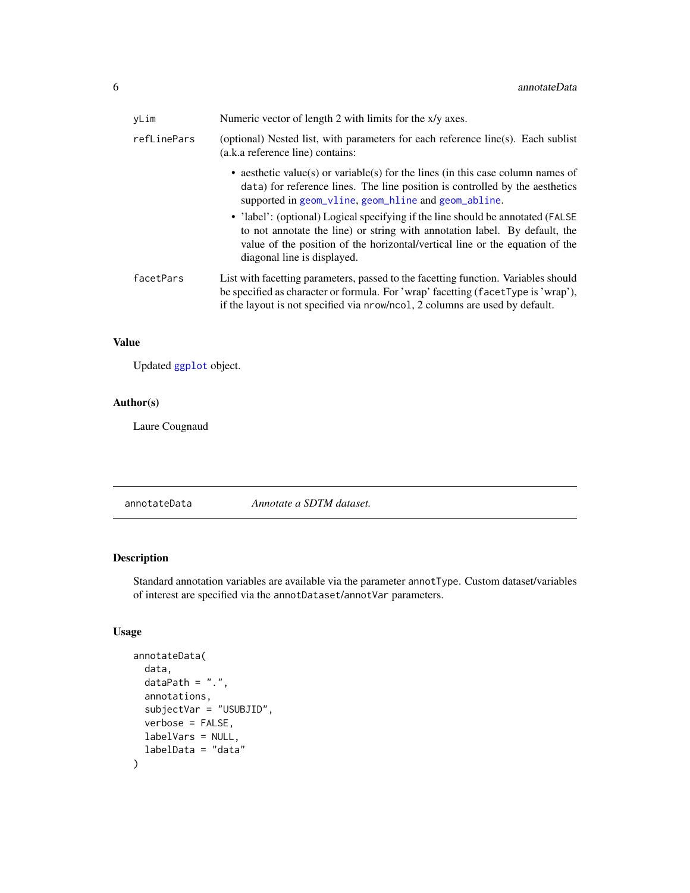<span id="page-5-0"></span>

| yLim        | Numeric vector of length 2 with limits for the x/y axes.                                                                                                                                                                                                                     |
|-------------|------------------------------------------------------------------------------------------------------------------------------------------------------------------------------------------------------------------------------------------------------------------------------|
| refLinePars | (optional) Nested list, with parameters for each reference line(s). Each sublist<br>(a.k.a reference line) contains:                                                                                                                                                         |
|             | • aesthetic value(s) or variable(s) for the lines (in this case column names of<br>data) for reference lines. The line position is controlled by the aesthetics<br>supported in geom_vline, geom_hline and geom_abline.                                                      |
|             | • 'label': (optional) Logical specifying if the line should be annotated (FALSE<br>to not annotate the line) or string with annotation label. By default, the<br>value of the position of the horizontal/vertical line or the equation of the<br>diagonal line is displayed. |
| facetPars   | List with facetting parameters, passed to the facetting function. Variables should<br>be specified as character or formula. For 'wrap' facetting (facetType is 'wrap'),<br>if the layout is not specified via nrow/ncol, 2 columns are used by default.                      |

### Value

Updated [ggplot](#page-0-0) object.

### Author(s)

Laure Cougnaud

annotateData *Annotate a SDTM dataset.*

### Description

Standard annotation variables are available via the parameter annotType. Custom dataset/variables of interest are specified via the annotDataset/annotVar parameters.

### Usage

```
annotateData(
  data,
  dataPath = ".".annotations,
  subjectVar = "USUBJID",
  verbose = FALSE,
  labelVars = NULL,
  labelData = "data"
\mathcal{L}
```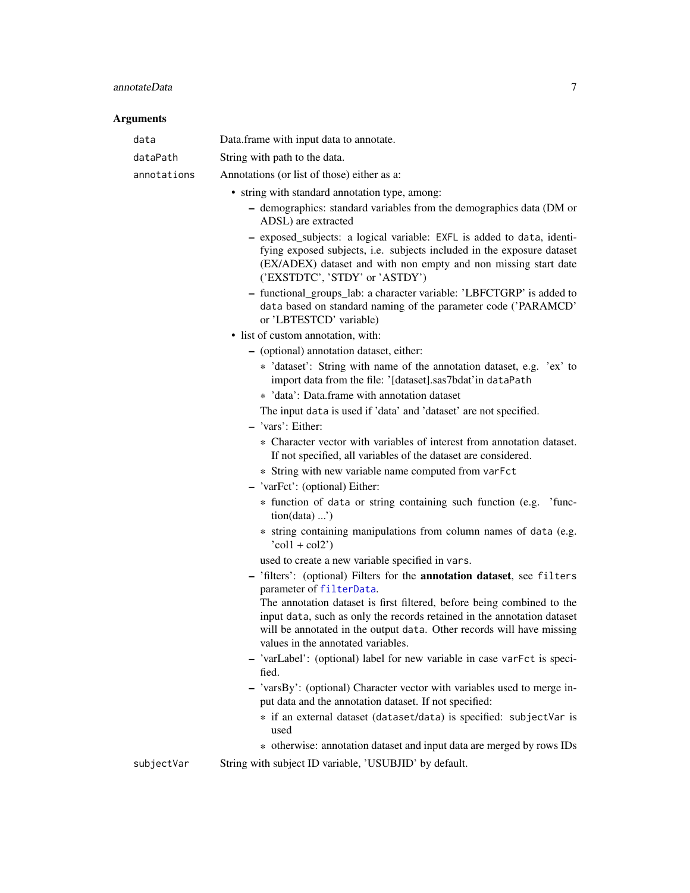## annotateData 7

| data        | Data.frame with input data to annotate.                                                                                                                                                                                                                          |
|-------------|------------------------------------------------------------------------------------------------------------------------------------------------------------------------------------------------------------------------------------------------------------------|
| dataPath    | String with path to the data.                                                                                                                                                                                                                                    |
| annotations | Annotations (or list of those) either as a:                                                                                                                                                                                                                      |
|             | • string with standard annotation type, among:                                                                                                                                                                                                                   |
|             | - demographics: standard variables from the demographics data (DM or<br>ADSL) are extracted                                                                                                                                                                      |
|             | - exposed_subjects: a logical variable: EXFL is added to data, identi-<br>fying exposed subjects, i.e. subjects included in the exposure dataset<br>(EX/ADEX) dataset and with non empty and non missing start date<br>('EXSTDTC', 'STDY' or 'ASTDY')            |
|             | - functional_groups_lab: a character variable: 'LBFCTGRP' is added to<br>data based on standard naming of the parameter code ('PARAMCD'<br>or 'LBTESTCD' variable)                                                                                               |
|             | • list of custom annotation, with:                                                                                                                                                                                                                               |
|             | - (optional) annotation dataset, either:                                                                                                                                                                                                                         |
|             | * 'dataset': String with name of the annotation dataset, e.g. 'ex' to<br>import data from the file: '[dataset].sas7bdat'in dataPath                                                                                                                              |
|             | * 'data': Data.frame with annotation dataset                                                                                                                                                                                                                     |
|             | The input data is used if 'data' and 'dataset' are not specified.                                                                                                                                                                                                |
|             | $-$ 'vars': Either:                                                                                                                                                                                                                                              |
|             | * Character vector with variables of interest from annotation dataset.<br>If not specified, all variables of the dataset are considered.                                                                                                                         |
|             | * String with new variable name computed from varFct                                                                                                                                                                                                             |
|             | - 'varFct': (optional) Either:                                                                                                                                                                                                                                   |
|             | * function of data or string containing such function (e.g. 'func-<br>tion(data) ')                                                                                                                                                                              |
|             | * string containing manipulations from column names of data (e.g.<br>$'col1 + col2')$                                                                                                                                                                            |
|             | used to create a new variable specified in vars.                                                                                                                                                                                                                 |
|             | - 'filters': (optional) Filters for the annotation dataset, see filters<br>parameter of filterData.                                                                                                                                                              |
|             | The annotation dataset is first filtered, before being combined to the<br>input data, such as only the records retained in the annotation dataset<br>will be annotated in the output data. Other records will have missing<br>values in the annotated variables. |
|             | - 'varLabel': (optional) label for new variable in case varFct is speci-<br>fied.                                                                                                                                                                                |
|             | - 'varsBy': (optional) Character vector with variables used to merge in-<br>put data and the annotation dataset. If not specified:                                                                                                                               |
|             | * if an external dataset (dataset/data) is specified: subjectVar is<br>used                                                                                                                                                                                      |
|             | * otherwise: annotation dataset and input data are merged by rows IDs                                                                                                                                                                                            |
| subjectVar  | String with subject ID variable, 'USUBJID' by default.                                                                                                                                                                                                           |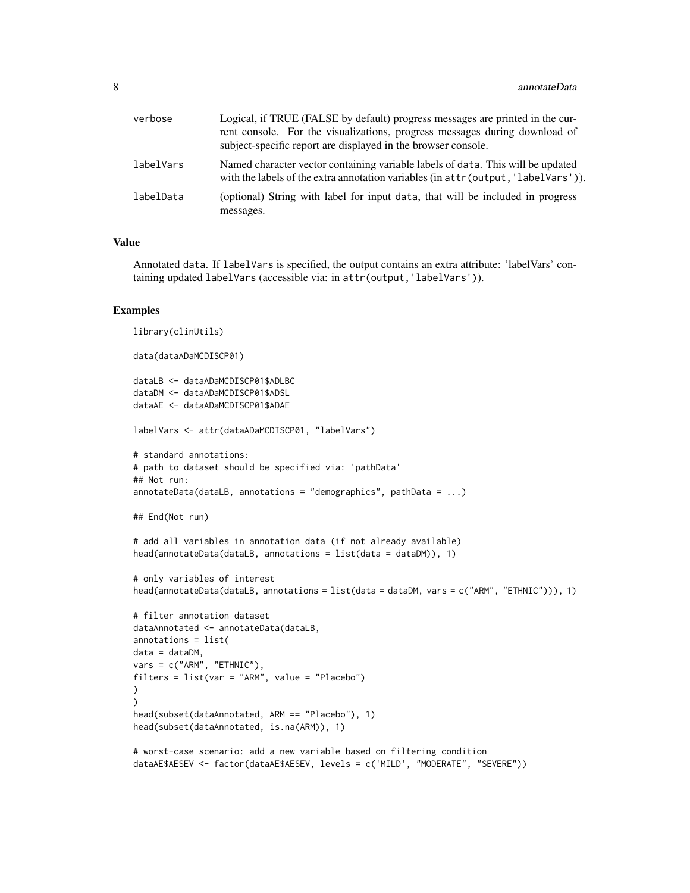| verbose   | Logical, if TRUE (FALSE by default) progress messages are printed in the cur-<br>rent console. For the visualizations, progress messages during download of<br>subject-specific report are displayed in the browser console. |
|-----------|------------------------------------------------------------------------------------------------------------------------------------------------------------------------------------------------------------------------------|
| labelVars | Named character vector containing variable labels of data. This will be updated<br>with the labels of the extra annotation variables (in attr (output, 'labelVars')).                                                        |
| labelData | (optional) String with label for input data, that will be included in progress<br>messages.                                                                                                                                  |

#### Value

Annotated data. If labelVars is specified, the output contains an extra attribute: 'labelVars' containing updated labelVars (accessible via: in attr(output,'labelVars')).

#### Examples

```
library(clinUtils)
data(dataADaMCDISCP01)
dataLB <- dataADaMCDISCP01$ADLBC
dataDM <- dataADaMCDISCP01$ADSL
dataAE <- dataADaMCDISCP01$ADAE
labelVars <- attr(dataADaMCDISCP01, "labelVars")
# standard annotations:
# path to dataset should be specified via: 'pathData'
## Not run:
annotateData(dataLB, annotations = "demographics", pathData = ...)
## End(Not run)
# add all variables in annotation data (if not already available)
head(annotateData(dataLB, annotations = list(data = dataDM)), 1)
# only variables of interest
head(annotateData(dataLB, annotations = list(data = dataDM, vars = c("ARM", "ETHNIC"))), 1)
# filter annotation dataset
dataAnnotated <- annotateData(dataLB,
annotations = list(
data = dataDM,
vars = c("ARM", "ETHNIC"),filters = list(var = "ARM", value = "Placebo")
)
)
head(subset(dataAnnotated, ARM == "Placebo"), 1)
head(subset(dataAnnotated, is.na(ARM)), 1)
# worst-case scenario: add a new variable based on filtering condition
dataAE$AESEV <- factor(dataAE$AESEV, levels = c('MILD', "MODERATE", "SEVERE"))
```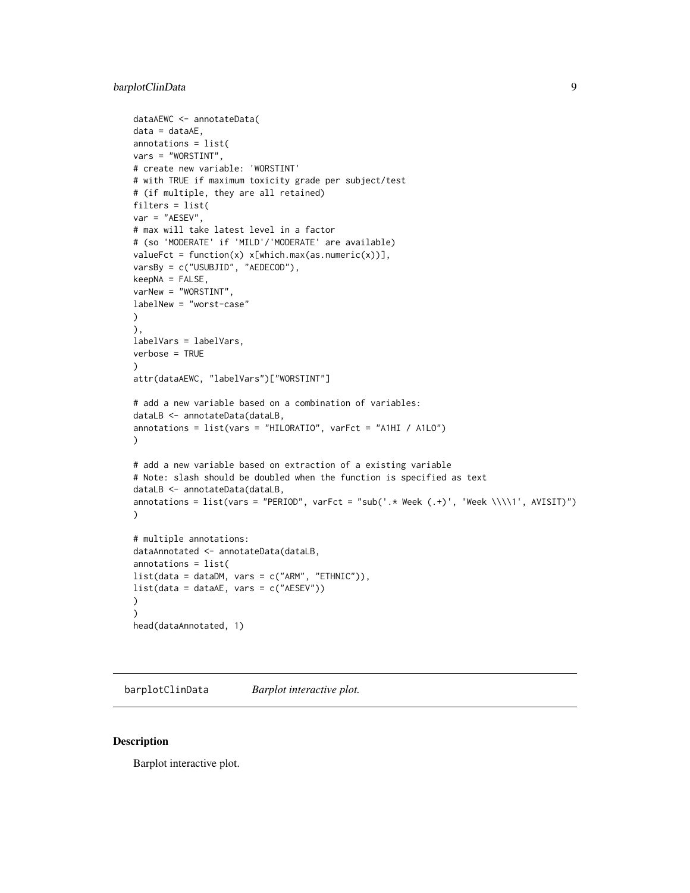### <span id="page-8-0"></span>barplotClinData 9

```
dataAEWC <- annotateData(
data = dataAE,annotations = list(
vars = "WORSTINT",
# create new variable: 'WORSTINT'
# with TRUE if maximum toxicity grade per subject/test
# (if multiple, they are all retained)
filters = list(
var = "AESEV".# max will take latest level in a factor
# (so 'MODERATE' if 'MILD'/'MODERATE' are available)
valueFct = function(x) x[which.max(as.numeric(x))],
varsBy = c("USUBJID", "AEDECOD"),
keepNA = FALSE,
varNew = "WORSTINT",
labelNew = "worst-case"
\lambda),
labelVars = labelVars,
verbose = TRUE
\mathcal{L}attr(dataAEWC, "labelVars")["WORSTINT"]
# add a new variable based on a combination of variables:
dataLB <- annotateData(dataLB,
annotations = list(vars = "HILORATIO", varFct = "A1HI / A1LO")
)
# add a new variable based on extraction of a existing variable
# Note: slash should be doubled when the function is specified as text
dataLB <- annotateData(dataLB,
annotations = list(vars = "PERIOD", varFct = "sub('.* Week (.+)', 'Week \\\\1', AVISIT)")
)
# multiple annotations:
dataAnnotated <- annotateData(dataLB,
annotations = list(
list(data = dataDM, vars = c("ARM", "ETHNIC")),
list(data = dataAE, vars = c("AESEV"))
)
)
head(dataAnnotated, 1)
```
<span id="page-8-1"></span>barplotClinData *Barplot interactive plot.*

#### Description

Barplot interactive plot.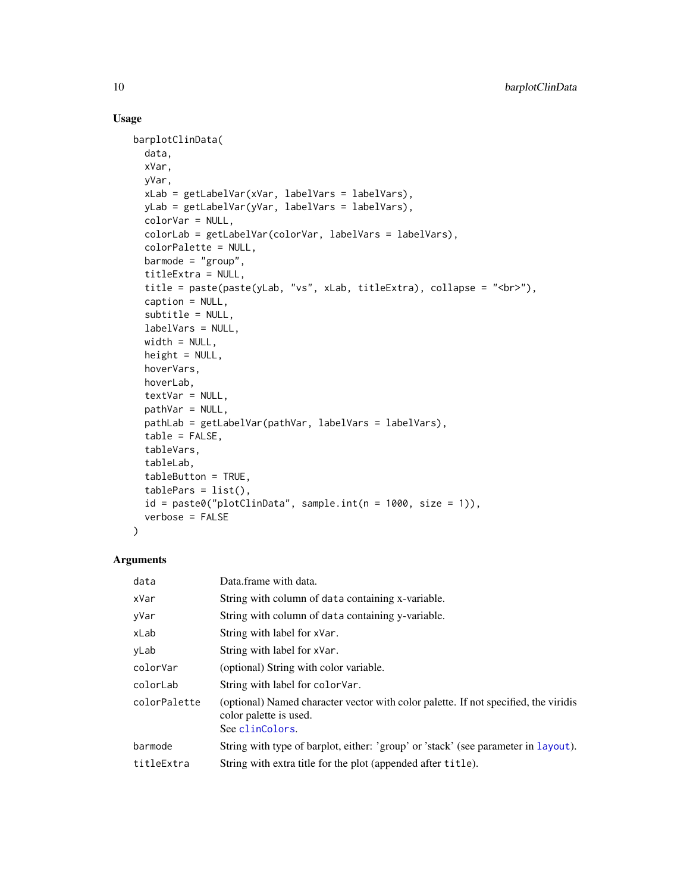#### Usage

```
barplotClinData(
  data,
  xVar,
  yVar,
  xLab = getLabelVar(xVar, labelVars = labelVars),
 yLab = getLabelVar(yVar, labelVars = labelVars),
  colorVar = NULL,
  colorLab = getLabelVar(colorVar, labelVars = labelVars),
  colorPalette = NULL,
  barmode = "group",
  titleExtra = NULL,
  title = paste(paste(yLab, "vs", xLab, titleExtra), collapse = "<br>"),
  caption = NULL,
  subtitle = NULL,
  labelVars = NULL,
 width = NULL,
  height = NULL,hoverVars,
 hoverLab,
  textVar = NULL,
  pathVar = NULL,
  pathLab = getLabelVar(pathVar, labelVars = labelVars),
  table = FALSE,tableVars,
  tableLab,
  tableButton = TRUE,
  tableParts = list(),id = paste0("plotClinData", sample.int(n = 1000, size = 1)),verbose = FALSE
)
```

| data         | Data.frame with data.                                                                                                            |
|--------------|----------------------------------------------------------------------------------------------------------------------------------|
| xVar         | String with column of data containing x-variable.                                                                                |
| yVar         | String with column of data containing y-variable.                                                                                |
| xLab         | String with label for xVar.                                                                                                      |
| yLab         | String with label for xVar.                                                                                                      |
| colorVar     | (optional) String with color variable.                                                                                           |
| colorLab     | String with label for color Var.                                                                                                 |
| colorPalette | (optional) Named character vector with color palette. If not specified, the viridis<br>color palette is used.<br>See clinColors. |
| barmode      | String with type of barplot, either: 'group' or 'stack' (see parameter in layout).                                               |
| titleExtra   | String with extra title for the plot (appended after title).                                                                     |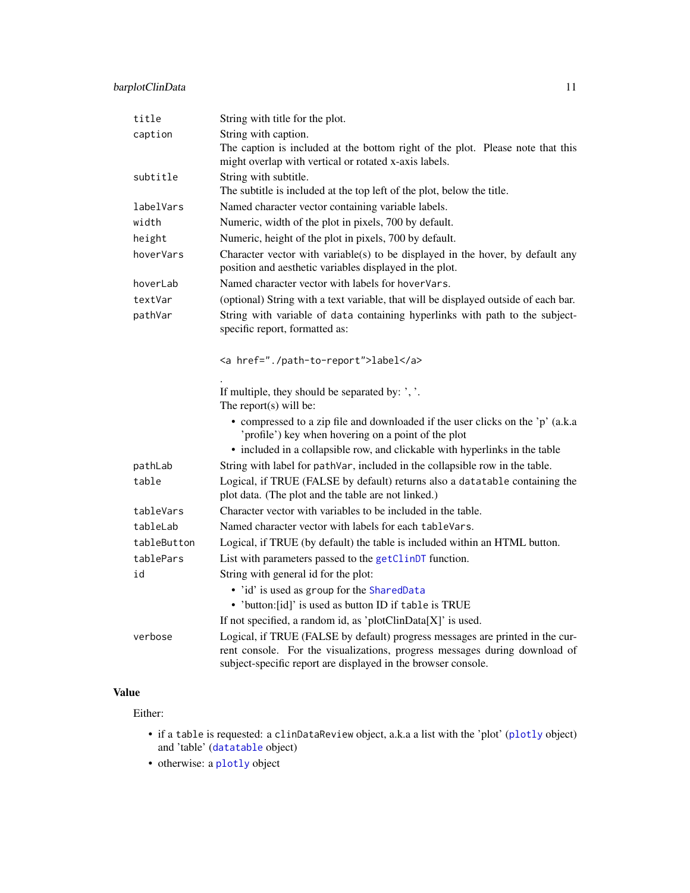### barplotClinData 11

| title       | String with title for the plot.                                                                                                                                                                                              |
|-------------|------------------------------------------------------------------------------------------------------------------------------------------------------------------------------------------------------------------------------|
| caption     | String with caption.<br>The caption is included at the bottom right of the plot. Please note that this<br>might overlap with vertical or rotated x-axis labels.                                                              |
| subtitle    | String with subtitle.<br>The subtitle is included at the top left of the plot, below the title.                                                                                                                              |
| labelVars   | Named character vector containing variable labels.                                                                                                                                                                           |
| width       | Numeric, width of the plot in pixels, 700 by default.                                                                                                                                                                        |
| height      | Numeric, height of the plot in pixels, 700 by default.                                                                                                                                                                       |
| hoverVars   | Character vector with variable(s) to be displayed in the hover, by default any<br>position and aesthetic variables displayed in the plot.                                                                                    |
| hoverLab    | Named character vector with labels for hover Vars.                                                                                                                                                                           |
| textVar     | (optional) String with a text variable, that will be displayed outside of each bar.                                                                                                                                          |
| pathVar     | String with variable of data containing hyperlinks with path to the subject-<br>specific report, formatted as:                                                                                                               |
|             | <a href="./path-to-report">label</a>                                                                                                                                                                                         |
|             | If multiple, they should be separated by: ', '.<br>The report $(s)$ will be:                                                                                                                                                 |
|             | • compressed to a zip file and downloaded if the user clicks on the 'p' (a.k.a<br>'profile') key when hovering on a point of the plot                                                                                        |
|             | • included in a collapsible row, and clickable with hyperlinks in the table                                                                                                                                                  |
| pathLab     | String with label for pathVar, included in the collapsible row in the table.                                                                                                                                                 |
| table       | Logical, if TRUE (FALSE by default) returns also a datatable containing the<br>plot data. (The plot and the table are not linked.)                                                                                           |
| tableVars   | Character vector with variables to be included in the table.                                                                                                                                                                 |
| tableLab    | Named character vector with labels for each table Vars.                                                                                                                                                                      |
| tableButton | Logical, if TRUE (by default) the table is included within an HTML button.                                                                                                                                                   |
| tablePars   | List with parameters passed to the getClinDT function.                                                                                                                                                                       |
| id          | String with general id for the plot:                                                                                                                                                                                         |
|             | . 'id' is used as group for the SharedData                                                                                                                                                                                   |
|             | • 'button: [id]' is used as button ID if table is TRUE                                                                                                                                                                       |
|             | If not specified, a random id, as 'plotClinData[X]' is used.                                                                                                                                                                 |
| verbose     | Logical, if TRUE (FALSE by default) progress messages are printed in the cur-<br>rent console. For the visualizations, progress messages during download of<br>subject-specific report are displayed in the browser console. |

### Value

Either:

- if a table is requested: a clinDataReview object, a.k.a a list with the 'plot' ([plotly](#page-0-0) object) and 'table' ([datatable](#page-0-0) object)
- otherwise: a [plotly](#page-0-0) object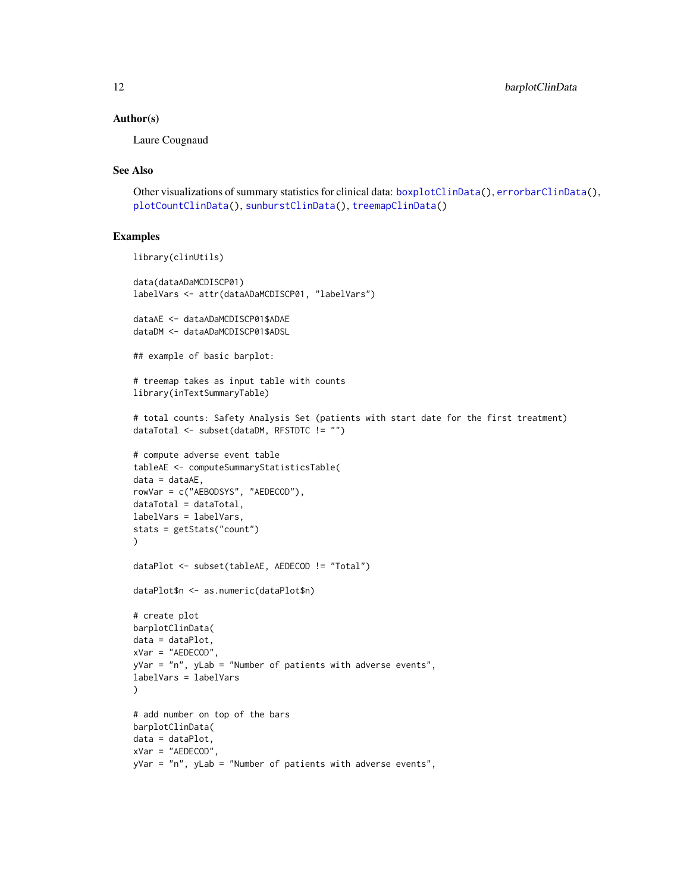#### Author(s)

Laure Cougnaud

#### See Also

Other visualizations of summary statistics for clinical data: [boxplotClinData\(](#page-12-1)), [errorbarClinData\(](#page-35-1)), [plotCountClinData\(](#page-74-1)), [sunburstClinData\(](#page-92-1)), [treemapClinData\(](#page-101-1))

#### Examples

```
library(clinUtils)
data(dataADaMCDISCP01)
labelVars <- attr(dataADaMCDISCP01, "labelVars")
dataAE <- dataADaMCDISCP01$ADAE
dataDM <- dataADaMCDISCP01$ADSL
## example of basic barplot:
# treemap takes as input table with counts
library(inTextSummaryTable)
# total counts: Safety Analysis Set (patients with start date for the first treatment)
dataTotal <- subset(dataDM, RFSTDTC != "")
# compute adverse event table
tableAE <- computeSummaryStatisticsTable(
data = dataAE,
rowVar = c("AEBODSYS", "AEDECOD"),
dataTotal = dataTotal,
labelVars = labelVars,
stats = getStats("count")
)
dataPlot <- subset(tableAE, AEDECOD != "Total")
dataPlot$n <- as.numeric(dataPlot$n)
# create plot
barplotClinData(
data = dataPlot,
xVar = "AEDECOD",
yVar = "n", yLab = "Number of patients with adverse events",
labelVars = labelVars
\lambda# add number on top of the bars
barplotClinData(
data = dataPlot,
xVar = "AEDECOD",
yVar = "n", yLab = "Number of patients with adverse events",
```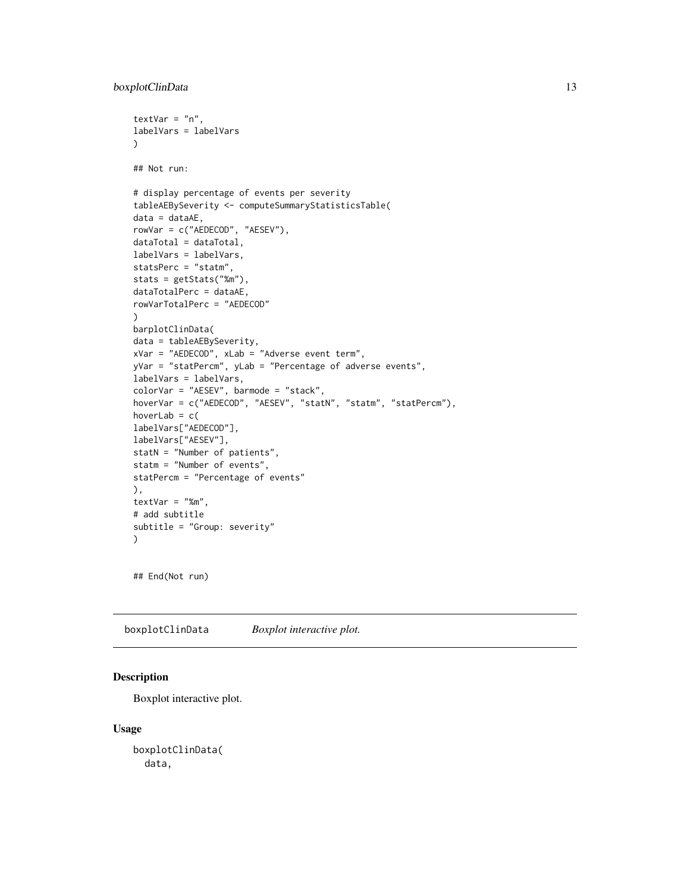```
textVar = "n",
labelVars = labelVars
\lambda## Not run:
# display percentage of events per severity
tableAEBySeverity <- computeSummaryStatisticsTable(
data = dataAE,rowVar = c("AEDECOD", "AESEV"),
dataTotal = dataTotal,
labelVars = labelVars,
statsPerc = "statm",
stats = getStats("%m"),
dataTotalPerc = dataAE,
rowVarTotalPerc = "AEDECOD"
)
barplotClinData(
data = tableAEBySeverity,
xVar = "AEDECOD", xLab = "Adverse event term",
yVar = "statPercm", yLab = "Percentage of adverse events",
labelVars = labelVars,
colorVar = "AESEV", barmode = "stack",
hoverVar = c("AEDECOD", "AESEV", "statN", "statm", "statPercm"),
hoverLab = c(labelVars["AEDECOD"],
labelVars["AESEV"],
statN = "Number of patients",
statm = "Number of events",
statPercm = "Percentage of events"
),
textVar = "%m",
# add subtitle
subtitle = "Group: severity"
\lambda
```
## End(Not run)

<span id="page-12-1"></span>boxplotClinData *Boxplot interactive plot.*

### Description

Boxplot interactive plot.

#### Usage

boxplotClinData( data,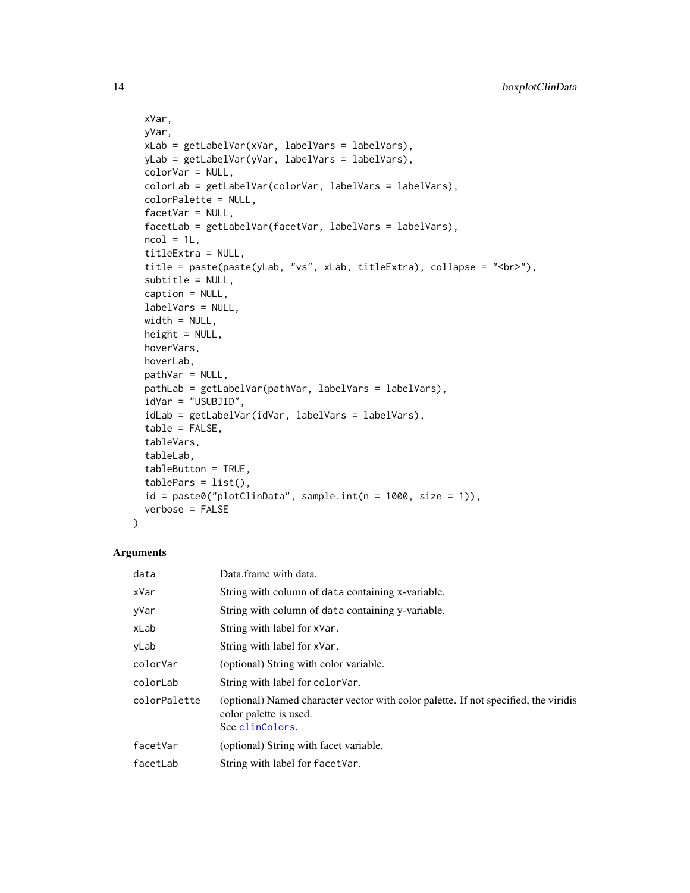```
xVar,
 yVar,
 xLab = getLabelVar(xVar, labelVars = labelVars),
 yLab = getLabelVar(yVar, labelVars = labelVars),
 colorVar = NULL,
 colorLab = getLabelVar(colorVar, labelVars = labelVars),
 colorPalette = NULL,
 facetVar = NULL,
 facetLab = getLabelVar(facetVar, labelVars = labelVars),
 ncol = 1L,
 titleExtra = NULL,
 title = paste(paste(yLab, "vs", xLab, titleExtra), collapse = "<br>"),
 subtitle = NULL,
 caption = NULL,
 labelVars = NULL,
 width = NULL,
 height = NULL,
 hoverVars,
 hoverLab,
 pathVar = NULL,
 pathLab = getLabelVar(pathVar, labelVars = labelVars),
 idVar = "USUBJID",
 idLab = getLabelVar(idVar, labelVars = labelVars),
  table = FALSE,tableVars,
 tableLab,
 tableButton = TRUE,
 tableParts = list(),id = paste0("plotClinData", sample.int(n = 1000, size = 1)),verbose = FALSE
)
```

| data         | Data.frame with data.                                                                                                            |
|--------------|----------------------------------------------------------------------------------------------------------------------------------|
| xVar         | String with column of data containing x-variable.                                                                                |
| yVar         | String with column of data containing y-variable.                                                                                |
| xLab         | String with label for xVar.                                                                                                      |
| yLab         | String with label for xVar.                                                                                                      |
| colorVar     | (optional) String with color variable.                                                                                           |
| colorLab     | String with label for color Var.                                                                                                 |
| colorPalette | (optional) Named character vector with color palette. If not specified, the viridis<br>color palette is used.<br>See clinColors. |
| facetVar     | (optional) String with facet variable.                                                                                           |
| facetLab     | String with label for facetVar.                                                                                                  |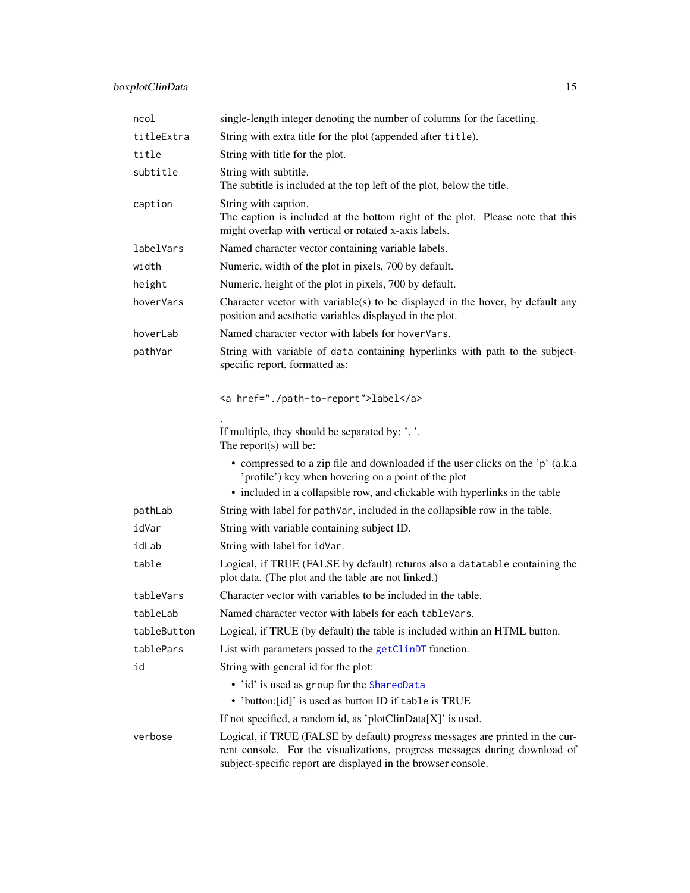## boxplotClinData 15

| ncol        | single-length integer denoting the number of columns for the facetting.                                                                                                                                                      |
|-------------|------------------------------------------------------------------------------------------------------------------------------------------------------------------------------------------------------------------------------|
| titleExtra  | String with extra title for the plot (appended after title).                                                                                                                                                                 |
| title       | String with title for the plot.                                                                                                                                                                                              |
| subtitle    | String with subtitle.<br>The subtitle is included at the top left of the plot, below the title.                                                                                                                              |
| caption     | String with caption.<br>The caption is included at the bottom right of the plot. Please note that this<br>might overlap with vertical or rotated x-axis labels.                                                              |
| labelVars   | Named character vector containing variable labels.                                                                                                                                                                           |
| width       | Numeric, width of the plot in pixels, 700 by default.                                                                                                                                                                        |
| height      | Numeric, height of the plot in pixels, 700 by default.                                                                                                                                                                       |
| hoverVars   | Character vector with variable(s) to be displayed in the hover, by default any<br>position and aesthetic variables displayed in the plot.                                                                                    |
| hoverLab    | Named character vector with labels for hoverVars.                                                                                                                                                                            |
| pathVar     | String with variable of data containing hyperlinks with path to the subject-<br>specific report, formatted as:                                                                                                               |
|             | <a href="./path-to-report">label</a>                                                                                                                                                                                         |
|             | If multiple, they should be separated by: ', '.<br>The report $(s)$ will be:                                                                                                                                                 |
|             | • compressed to a zip file and downloaded if the user clicks on the 'p' (a.k.a<br>'profile') key when hovering on a point of the plot<br>• included in a collapsible row, and clickable with hyperlinks in the table         |
| pathLab     | String with label for path Var, included in the collapsible row in the table.                                                                                                                                                |
| idVar       | String with variable containing subject ID.                                                                                                                                                                                  |
| idLab       | String with label for idVar.                                                                                                                                                                                                 |
| table       | Logical, if TRUE (FALSE by default) returns also a datatable containing the<br>plot data. (The plot and the table are not linked.)                                                                                           |
| tableVars   | Character vector with variables to be included in the table.                                                                                                                                                                 |
| tableLab    | Named character vector with labels for each table Vars.                                                                                                                                                                      |
| tableButton | Logical, if TRUE (by default) the table is included within an HTML button.                                                                                                                                                   |
| tablePars   | List with parameters passed to the getClinDT function.                                                                                                                                                                       |
| id          | String with general id for the plot:                                                                                                                                                                                         |
|             | • 'id' is used as group for the SharedData                                                                                                                                                                                   |
|             | • 'button: [id]' is used as button ID if table is TRUE                                                                                                                                                                       |
|             | If not specified, a random id, as 'plotClinData[X]' is used.                                                                                                                                                                 |
| verbose     | Logical, if TRUE (FALSE by default) progress messages are printed in the cur-<br>rent console. For the visualizations, progress messages during download of<br>subject-specific report are displayed in the browser console. |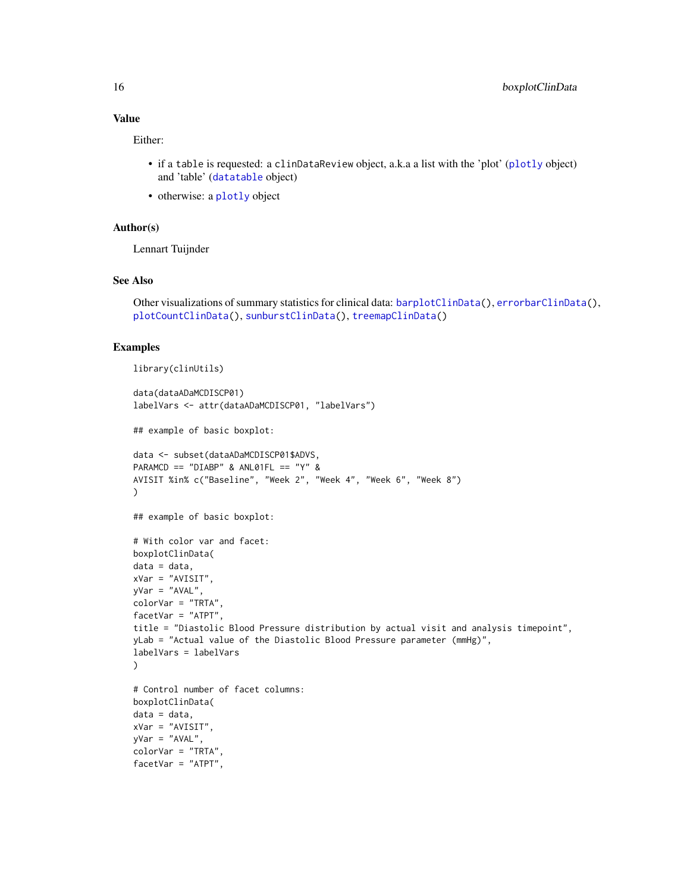#### Value

Either:

- if a table is requested: a clinDataReview object, a.k.a a list with the 'plot' ([plotly](#page-0-0) object) and 'table' ([datatable](#page-0-0) object)
- otherwise: a [plotly](#page-0-0) object

#### Author(s)

Lennart Tuijnder

#### See Also

Other visualizations of summary statistics for clinical data: [barplotClinData\(](#page-8-1)), [errorbarClinData\(](#page-35-1)), [plotCountClinData\(](#page-74-1)), [sunburstClinData\(](#page-92-1)), [treemapClinData\(](#page-101-1))

#### Examples

```
library(clinUtils)
data(dataADaMCDISCP01)
labelVars <- attr(dataADaMCDISCP01, "labelVars")
## example of basic boxplot:
data <- subset(dataADaMCDISCP01$ADVS,
PARAMCD == "DIABP" & ANL01FL == "Y" &
AVISIT %in% c("Baseline", "Week 2", "Week 4", "Week 6", "Week 8")
)
## example of basic boxplot:
# With color var and facet:
boxplotClinData(
data = data,
xVar = "AVISIT",
yVar = "AVAL",
colorVar = "TRTA",
facetVar = "ATPT",
title = "Diastolic Blood Pressure distribution by actual visit and analysis timepoint",
yLab = "Actual value of the Diastolic Blood Pressure parameter (mmHg)",
labelVars = labelVars
\lambda# Control number of facet columns:
boxplotClinData(
data = data,
xVar = "AVISIT",
yVar = "AVAL",
colorVar = "TRTA",
facetVar = "ATPT",
```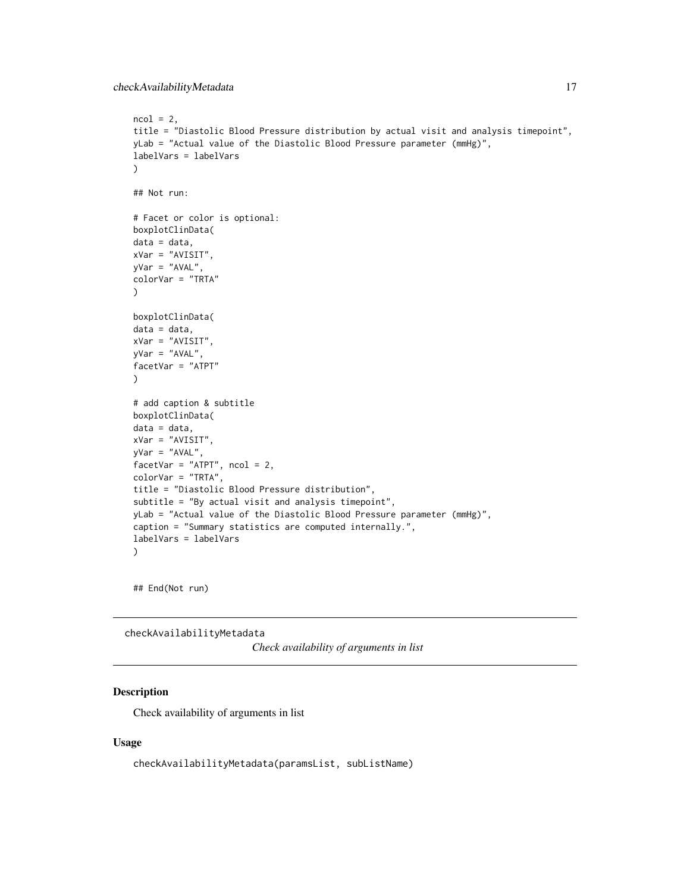```
ncol = 2,
title = "Diastolic Blood Pressure distribution by actual visit and analysis timepoint",
yLab = "Actual value of the Diastolic Blood Pressure parameter (mmHg)",
labelVars = labelVars
\lambda## Not run:
# Facet or color is optional:
boxplotClinData(
data = data,
xVar = "AVISIT",
yVar = "AVAL",
colorVar = "TRTA"
)
boxplotClinData(
data = data,xVar = "AVISIT",
yVar = "AVAL",
facetVar = "ATPT"
\lambda# add caption & subtitle
boxplotClinData(
data = data,
xVar = "AVISIT",
yVar = "AVAL",
factor = "ATPT", ncol = 2,colorVar = "TRTA",
title = "Diastolic Blood Pressure distribution",
subtitle = "By actual visit and analysis timepoint",
yLab = "Actual value of the Diastolic Blood Pressure parameter (mmHg)",
caption = "Summary statistics are computed internally.",
labelVars = labelVars
\mathcal{L}
```
## End(Not run)

checkAvailabilityMetadata *Check availability of arguments in list*

#### Description

Check availability of arguments in list

#### Usage

checkAvailabilityMetadata(paramsList, subListName)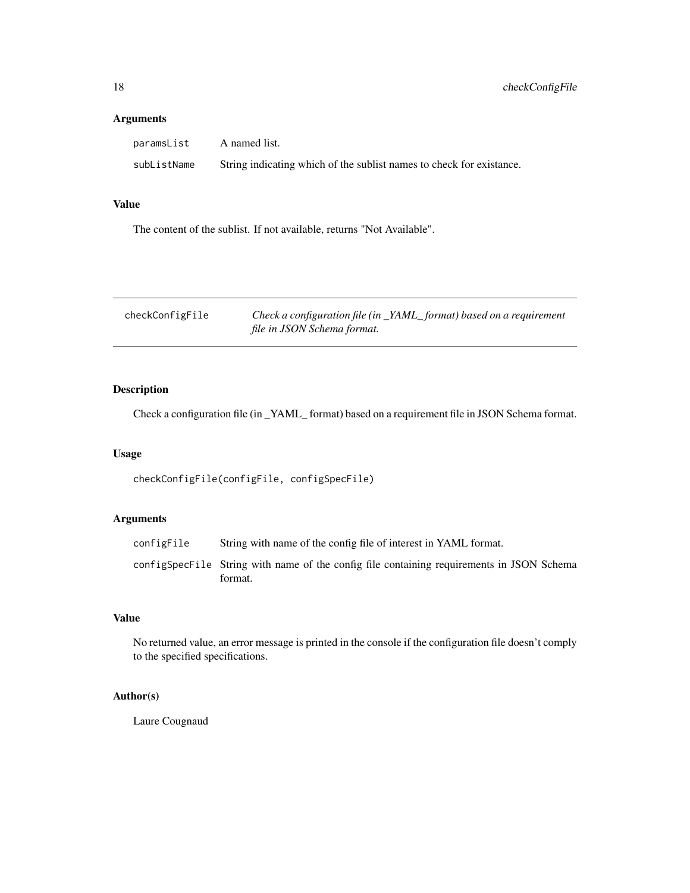#### <span id="page-17-0"></span>Arguments

| paramsList  | A named list.                                                        |
|-------------|----------------------------------------------------------------------|
| subListName | String indicating which of the sublist names to check for existance. |

### Value

The content of the sublist. If not available, returns "Not Available".

| checkConfigFile | Check a configuration file (in _YAML_format) based on a requirement |
|-----------------|---------------------------------------------------------------------|
|                 | file in JSON Schema format.                                         |

### Description

Check a configuration file (in \_YAML\_ format) based on a requirement file in JSON Schema format.

#### Usage

```
checkConfigFile(configFile, configSpecFile)
```
### Arguments

| configFile | String with name of the config file of interest in YAML format.                                      |
|------------|------------------------------------------------------------------------------------------------------|
|            | configSpecFile String with name of the config file containing requirements in JSON Schema<br>format. |

#### Value

No returned value, an error message is printed in the console if the configuration file doesn't comply to the specified specifications.

#### Author(s)

Laure Cougnaud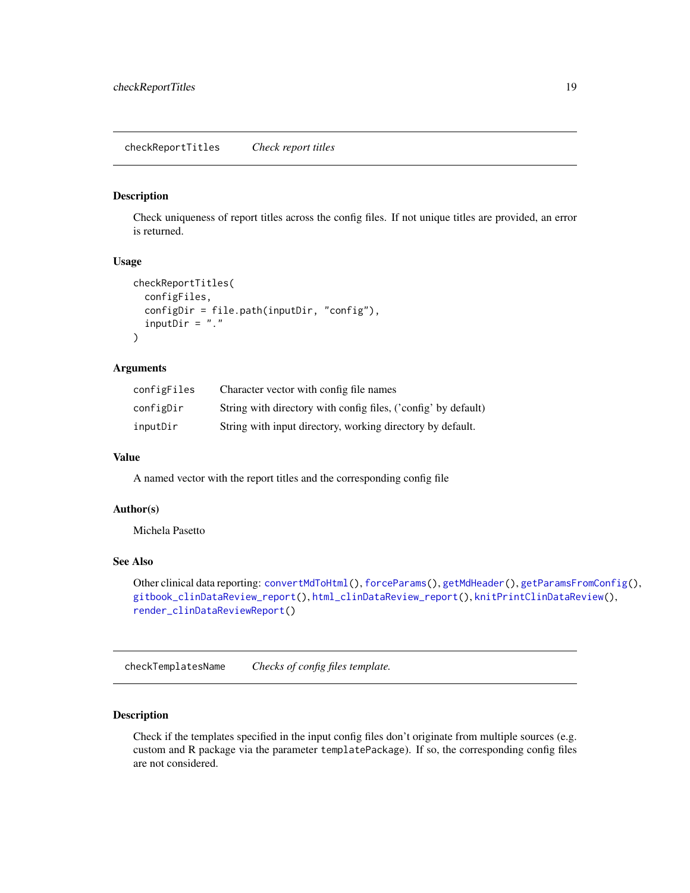#### <span id="page-18-1"></span><span id="page-18-0"></span>Description

Check uniqueness of report titles across the config files. If not unique titles are provided, an error is returned.

#### Usage

```
checkReportTitles(
  configFiles,
  configDir = file.path(inputDir, "config"),
  inputDir = "."
)
```
#### Arguments

| configFiles | Character vector with config file names                        |
|-------------|----------------------------------------------------------------|
| configDir   | String with directory with config files, ('config' by default) |
| inputDir    | String with input directory, working directory by default.     |

#### Value

A named vector with the report titles and the corresponding config file

### Author(s)

Michela Pasetto

#### See Also

```
Other clinical data reporting: convertMdToHtml(), forceParams(), getMdHeader(), getParamsFromConfig(),
gitbook_clinDataReview_report(), html_clinDataReview_report(), knitPrintClinDataReview(),
render_clinDataReviewReport()
```
checkTemplatesName *Checks of config files template.*

#### Description

Check if the templates specified in the input config files don't originate from multiple sources (e.g. custom and R package via the parameter templatePackage). If so, the corresponding config files are not considered.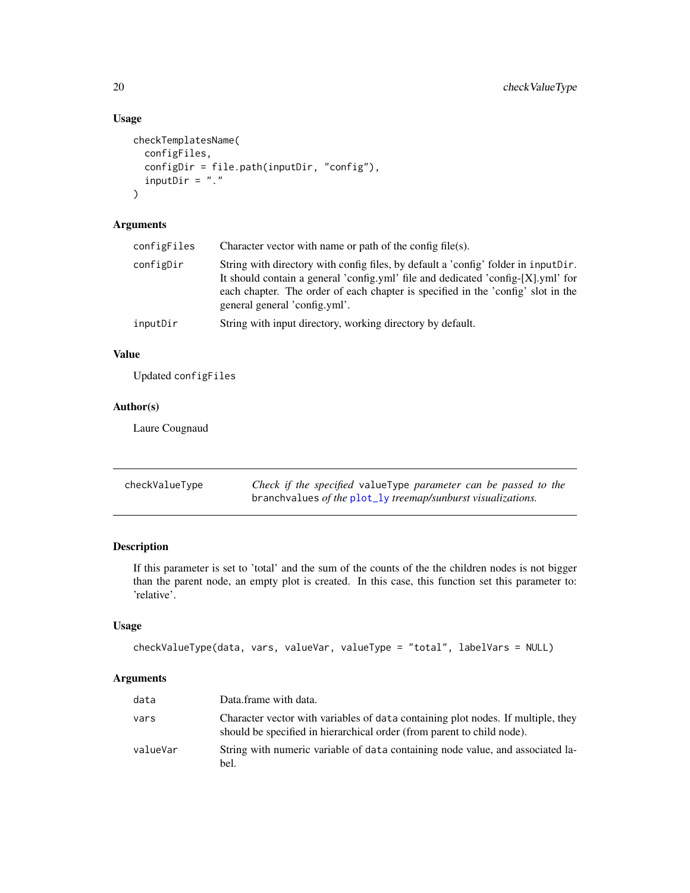### Usage

```
checkTemplatesName(
 configFiles,
 configDir = file.path(inputDir, "config"),
 inputDir = "."
)
```
### Arguments

| configFiles | Character vector with name or path of the config file(s).                                                                                                                                                                                                                                   |
|-------------|---------------------------------------------------------------------------------------------------------------------------------------------------------------------------------------------------------------------------------------------------------------------------------------------|
| configDir   | String with directory with config files, by default a 'config' folder in inputDir.<br>It should contain a general 'config.yml' file and dedicated 'config-[X].yml' for<br>each chapter. The order of each chapter is specified in the 'config' slot in the<br>general general 'config.yml'. |
| inputDir    | String with input directory, working directory by default.                                                                                                                                                                                                                                  |

#### Value

Updated configFiles

#### Author(s)

Laure Cougnaud

| checkValueType | Check if the specified valueType parameter can be passed to the |
|----------------|-----------------------------------------------------------------|
|                | branchvalues of the plot_ly treemap/sunburst visualizations.    |

### Description

If this parameter is set to 'total' and the sum of the counts of the the children nodes is not bigger than the parent node, an empty plot is created. In this case, this function set this parameter to: 'relative'.

### Usage

```
checkValueType(data, vars, valueVar, valueType = "total", labelVars = NULL)
```

| data     | Data.frame with data.                                                                                                                                      |
|----------|------------------------------------------------------------------------------------------------------------------------------------------------------------|
| vars     | Character vector with variables of data containing plot nodes. If multiple, they<br>should be specified in hierarchical order (from parent to child node). |
| valueVar | String with numeric variable of data containing node value, and associated la-<br>bel.                                                                     |

<span id="page-19-0"></span>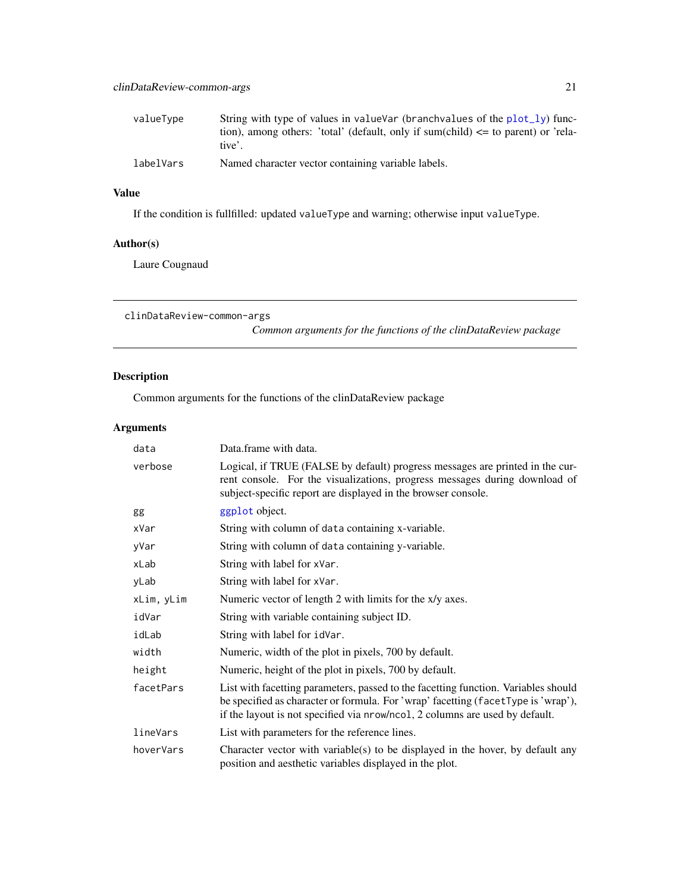<span id="page-20-0"></span>

| valueType | String with type of values in valueVar (branch values of the plot $\lceil y \rceil$ func- |
|-----------|-------------------------------------------------------------------------------------------|
|           | tion), among others: 'total' (default, only if sum(child) $\leq$ to parent) or 'rela-     |
|           | tive'.                                                                                    |
| labelVars | Named character vector containing variable labels.                                        |

### Value

If the condition is fullfilled: updated valueType and warning; otherwise input valueType.

#### Author(s)

Laure Cougnaud

clinDataReview-common-args

*Common arguments for the functions of the clinDataReview package*

### Description

Common arguments for the functions of the clinDataReview package

| data       | Data.frame with data.                                                                                                                                                                                                                                   |
|------------|---------------------------------------------------------------------------------------------------------------------------------------------------------------------------------------------------------------------------------------------------------|
| verbose    | Logical, if TRUE (FALSE by default) progress messages are printed in the cur-<br>rent console. For the visualizations, progress messages during download of<br>subject-specific report are displayed in the browser console.                            |
| gg         | ggplot object.                                                                                                                                                                                                                                          |
| xVar       | String with column of data containing x-variable.                                                                                                                                                                                                       |
| yVar       | String with column of data containing y-variable.                                                                                                                                                                                                       |
| xLab       | String with label for xVar.                                                                                                                                                                                                                             |
| yLab       | String with label for xVar.                                                                                                                                                                                                                             |
| xLim, yLim | Numeric vector of length 2 with limits for the x/y axes.                                                                                                                                                                                                |
| idVar      | String with variable containing subject ID.                                                                                                                                                                                                             |
| idLab      | String with label for idVar.                                                                                                                                                                                                                            |
| width      | Numeric, width of the plot in pixels, 700 by default.                                                                                                                                                                                                   |
| height     | Numeric, height of the plot in pixels, 700 by default.                                                                                                                                                                                                  |
| facetPars  | List with facetting parameters, passed to the facetting function. Variables should<br>be specified as character or formula. For 'wrap' facetting (facetType is 'wrap'),<br>if the layout is not specified via nrow/ncol, 2 columns are used by default. |
| lineVars   | List with parameters for the reference lines.                                                                                                                                                                                                           |
| hoverVars  | Character vector with variable(s) to be displayed in the hover, by default any<br>position and aesthetic variables displayed in the plot.                                                                                                               |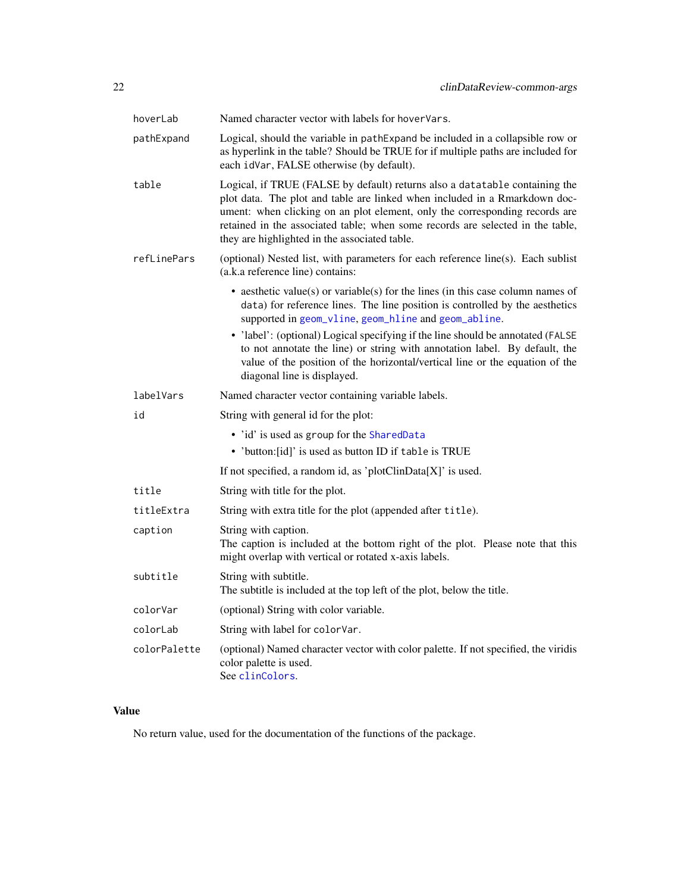| hoverLab     | Named character vector with labels for hover Vars.                                                                                                                                                                                                                                                                                                                                                                                                                                                      |
|--------------|---------------------------------------------------------------------------------------------------------------------------------------------------------------------------------------------------------------------------------------------------------------------------------------------------------------------------------------------------------------------------------------------------------------------------------------------------------------------------------------------------------|
| pathExpand   | Logical, should the variable in pathExpand be included in a collapsible row or<br>as hyperlink in the table? Should be TRUE for if multiple paths are included for<br>each idVar, FALSE otherwise (by default).                                                                                                                                                                                                                                                                                         |
| table        | Logical, if TRUE (FALSE by default) returns also a datatable containing the<br>plot data. The plot and table are linked when included in a Rmarkdown doc-<br>ument: when clicking on an plot element, only the corresponding records are<br>retained in the associated table; when some records are selected in the table,<br>they are highlighted in the associated table.                                                                                                                             |
| refLinePars  | (optional) Nested list, with parameters for each reference line(s). Each sublist<br>(a.k.a reference line) contains:                                                                                                                                                                                                                                                                                                                                                                                    |
|              | • aesthetic value(s) or variable(s) for the lines (in this case column names of<br>data) for reference lines. The line position is controlled by the aesthetics<br>supported in geom_vline, geom_hline and geom_abline.<br>• 'label': (optional) Logical specifying if the line should be annotated (FALSE<br>to not annotate the line) or string with annotation label. By default, the<br>value of the position of the horizontal/vertical line or the equation of the<br>diagonal line is displayed. |
| labelVars    | Named character vector containing variable labels.                                                                                                                                                                                                                                                                                                                                                                                                                                                      |
| id           | String with general id for the plot:                                                                                                                                                                                                                                                                                                                                                                                                                                                                    |
|              | · 'id' is used as group for the SharedData<br>• 'button: [id]' is used as button ID if table is TRUE                                                                                                                                                                                                                                                                                                                                                                                                    |
|              | If not specified, a random id, as 'plotClinData[X]' is used.                                                                                                                                                                                                                                                                                                                                                                                                                                            |
| title        | String with title for the plot.                                                                                                                                                                                                                                                                                                                                                                                                                                                                         |
| titleExtra   | String with extra title for the plot (appended after title).                                                                                                                                                                                                                                                                                                                                                                                                                                            |
| caption      | String with caption.<br>The caption is included at the bottom right of the plot. Please note that this<br>might overlap with vertical or rotated x-axis labels.                                                                                                                                                                                                                                                                                                                                         |
| subtitle     | String with subtitle.<br>The subtitle is included at the top left of the plot, below the title.                                                                                                                                                                                                                                                                                                                                                                                                         |
| colorVar     | (optional) String with color variable.                                                                                                                                                                                                                                                                                                                                                                                                                                                                  |
| colorLab     | String with label for colorVar.                                                                                                                                                                                                                                                                                                                                                                                                                                                                         |
| colorPalette | (optional) Named character vector with color palette. If not specified, the viridis<br>color palette is used.<br>See clinColors.                                                                                                                                                                                                                                                                                                                                                                        |

### Value

No return value, used for the documentation of the functions of the package.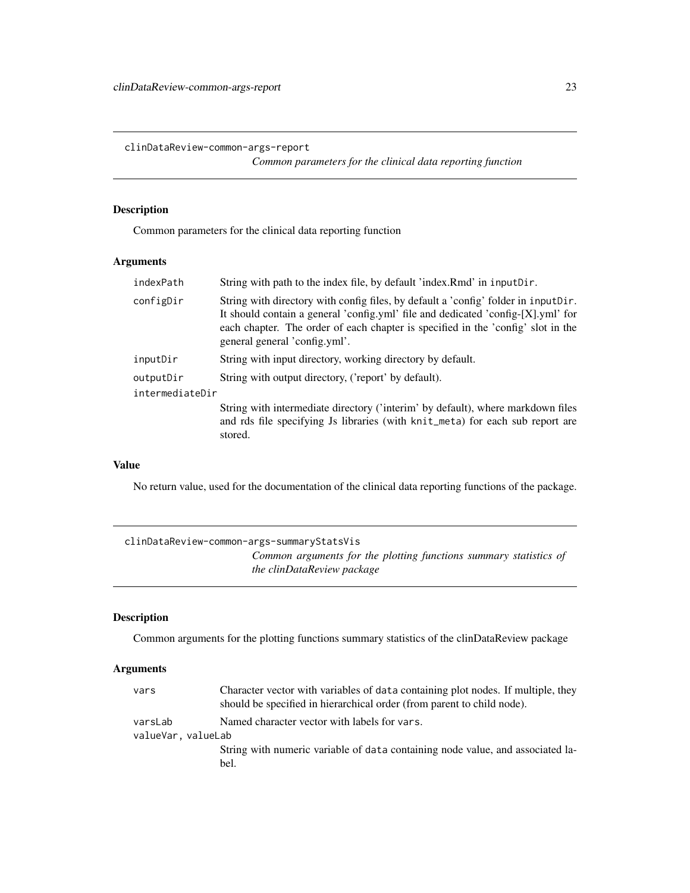<span id="page-22-0"></span>clinDataReview-common-args-report

*Common parameters for the clinical data reporting function*

### Description

Common parameters for the clinical data reporting function

### Arguments

| indexPath       | String with path to the index file, by default 'index. Rmd' in inputDir.                                                                                                                                                                                                                    |
|-----------------|---------------------------------------------------------------------------------------------------------------------------------------------------------------------------------------------------------------------------------------------------------------------------------------------|
| configDir       | String with directory with config files, by default a 'config' folder in inputDir.<br>It should contain a general 'config.yml' file and dedicated 'config-[X].yml' for<br>each chapter. The order of each chapter is specified in the 'config' slot in the<br>general general 'config.yml'. |
| inputDir        | String with input directory, working directory by default.                                                                                                                                                                                                                                  |
| outputDir       | String with output directory, ('report' by default).                                                                                                                                                                                                                                        |
| intermediateDir |                                                                                                                                                                                                                                                                                             |
|                 | String with intermediate directory ('interim' by default), where markdown files<br>and rds file specifying Js libraries (with knit_meta) for each sub report are<br>stored.                                                                                                                 |

### Value

No return value, used for the documentation of the clinical data reporting functions of the package.

| clinDataReview-common-args-summaryStatsVis                        |  |
|-------------------------------------------------------------------|--|
| Common arguments for the plotting functions summary statistics of |  |
| the clinDataReview package                                        |  |

### Description

Common arguments for the plotting functions summary statistics of the clinDataReview package

| vars               | Character vector with variables of data containing plot nodes. If multiple, they |
|--------------------|----------------------------------------------------------------------------------|
|                    | should be specified in hierarchical order (from parent to child node).           |
| varsLab            | Named character vector with labels for vars.                                     |
| valueVar, valueLab |                                                                                  |
|                    | String with numeric variable of data containing node value, and associated la-   |
|                    | bel.                                                                             |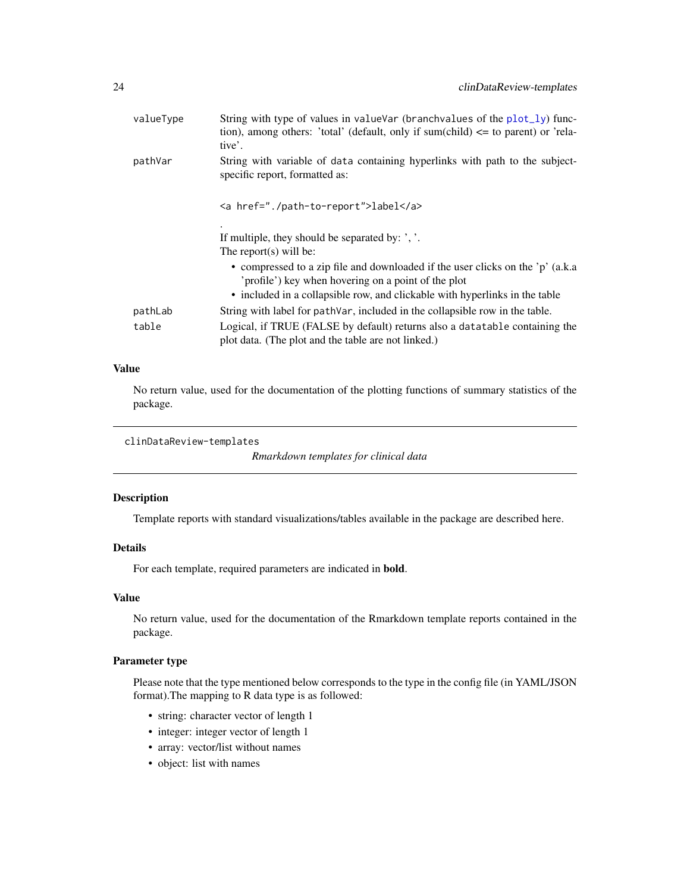<span id="page-23-0"></span>

| valueType | String with type of values in valueVar (branch values of the $plot_l$ y) func-<br>tion), among others: 'total' (default, only if sum(child) $\leq$ to parent) or 'rela-<br>tive'. |
|-----------|-----------------------------------------------------------------------------------------------------------------------------------------------------------------------------------|
| pathVar   | String with variable of data containing hyperlinks with path to the subject-<br>specific report, formatted as:                                                                    |
|           | <a href="./path-to-report">label</a>                                                                                                                                              |
|           | If multiple, they should be separated by: $\cdot$ , $\cdot$ .                                                                                                                     |
|           | The report $(s)$ will be:                                                                                                                                                         |
|           | • compressed to a zip file and downloaded if the user clicks on the 'p' (a.k.a)<br>'profile') key when hovering on a point of the plot                                            |
|           | • included in a collapsible row, and clickable with hyperlinks in the table                                                                                                       |
| pathLab   | String with label for path are included in the collapsible row in the table.                                                                                                      |
| table     | Logical, if TRUE (FALSE by default) returns also a datatable containing the<br>plot data. (The plot and the table are not linked.)                                                |
|           |                                                                                                                                                                                   |

#### Value

No return value, used for the documentation of the plotting functions of summary statistics of the package.

clinDataReview-templates

*Rmarkdown templates for clinical data*

#### Description

Template reports with standard visualizations/tables available in the package are described here.

#### Details

For each template, required parameters are indicated in bold.

#### Value

No return value, used for the documentation of the Rmarkdown template reports contained in the package.

#### Parameter type

Please note that the type mentioned below corresponds to the type in the config file (in YAML/JSON format).The mapping to R data type is as followed:

- string: character vector of length 1
- integer: integer vector of length 1
- array: vector/list without names
- object: list with names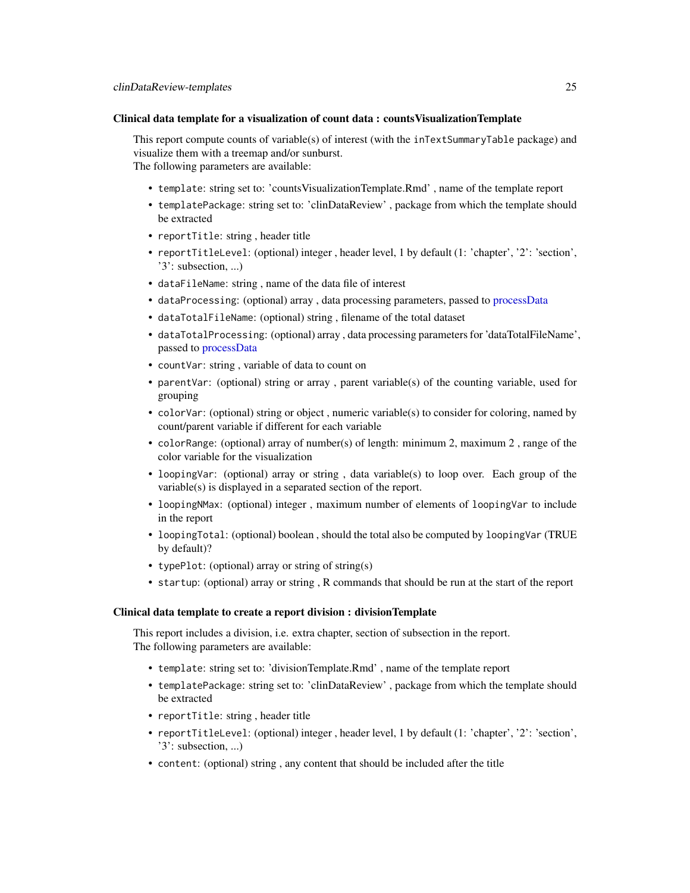#### Clinical data template for a visualization of count data : countsVisualizationTemplate

This report compute counts of variable(s) of interest (with the inTextSummaryTable package) and visualize them with a treemap and/or sunburst. The following parameters are available:

- template: string set to: 'countsVisualizationTemplate.Rmd' , name of the template report
- templatePackage: string set to: 'clinDataReview' , package from which the template should be extracted
- reportTitle: string , header title
- reportTitleLevel: (optional) integer , header level, 1 by default (1: 'chapter', '2': 'section', '3': subsection, ...)
- dataFileName: string , name of the data file of interest
- dataProcessing: (optional) array , data processing parameters, passed to [processData](#page-77-1)
- dataTotalFileName: (optional) string , filename of the total dataset
- dataTotalProcessing: (optional) array , data processing parameters for 'dataTotalFileName', passed to [processData](#page-77-1)
- countVar: string , variable of data to count on
- parentVar: (optional) string or array , parent variable(s) of the counting variable, used for grouping
- colorVar: (optional) string or object , numeric variable(s) to consider for coloring, named by count/parent variable if different for each variable
- colorRange: (optional) array of number(s) of length: minimum 2, maximum 2 , range of the color variable for the visualization
- loopingVar: (optional) array or string , data variable(s) to loop over. Each group of the variable(s) is displayed in a separated section of the report.
- loopingNMax: (optional) integer , maximum number of elements of loopingVar to include in the report
- loopingTotal: (optional) boolean, should the total also be computed by loopingVar (TRUE by default)?
- typePlot: (optional) array or string of string(s)
- startup: (optional) array or string , R commands that should be run at the start of the report

#### Clinical data template to create a report division : divisionTemplate

This report includes a division, i.e. extra chapter, section of subsection in the report. The following parameters are available:

- template: string set to: 'divisionTemplate.Rmd' , name of the template report
- templatePackage: string set to: 'clinDataReview' , package from which the template should be extracted
- reportTitle: string , header title
- reportTitleLevel: (optional) integer , header level, 1 by default (1: 'chapter', '2': 'section', '3': subsection, ...)
- content: (optional) string , any content that should be included after the title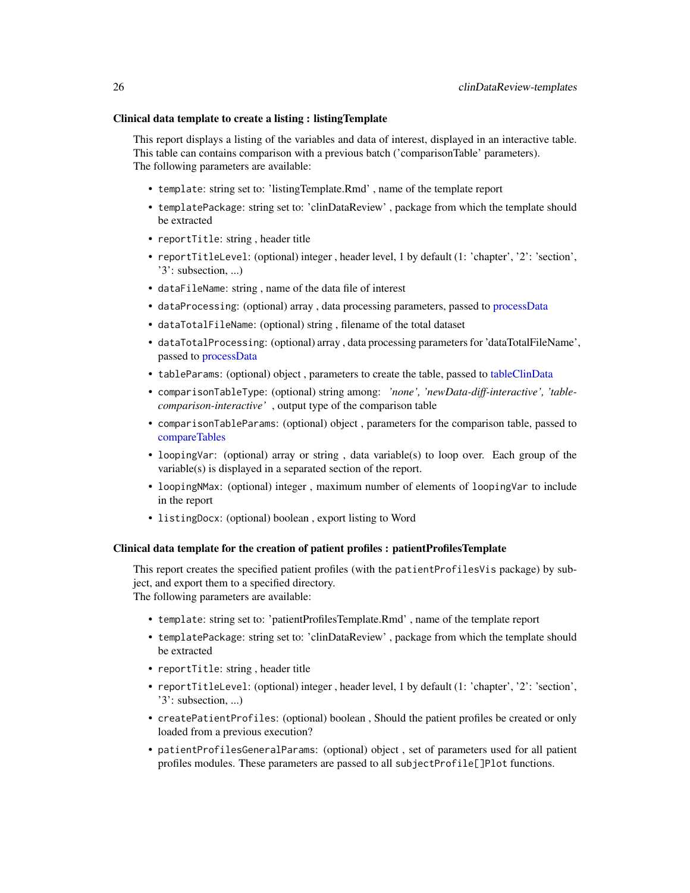#### Clinical data template to create a listing : listingTemplate

This report displays a listing of the variables and data of interest, displayed in an interactive table. This table can contains comparison with a previous batch ('comparisonTable' parameters). The following parameters are available:

- template: string set to: 'listingTemplate.Rmd' , name of the template report
- templatePackage: string set to: 'clinDataReview' , package from which the template should be extracted
- reportTitle: string , header title
- reportTitleLevel: (optional) integer , header level, 1 by default (1: 'chapter', '2': 'section', '3': subsection, ...)
- dataFileName: string , name of the data file of interest
- dataProcessing: (optional) array , data processing parameters, passed to [processData](#page-77-1)
- dataTotalFileName: (optional) string , filename of the total dataset
- dataTotalProcessing: (optional) array, data processing parameters for 'dataTotalFileName', passed to [processData](#page-77-1)
- tableParams: (optional) object, parameters to create the table, passed to [tableClinData](#page-95-1)
- comparisonTableType: (optional) string among: *'none', 'newData-diff-interactive', 'tablecomparison-interactive'* , output type of the comparison table
- comparisonTableParams: (optional) object , parameters for the comparison table, passed to [compareTables](#page-0-0)
- loopingVar: (optional) array or string, data variable(s) to loop over. Each group of the variable(s) is displayed in a separated section of the report.
- loopingNMax: (optional) integer , maximum number of elements of loopingVar to include in the report
- listingDocx: (optional) boolean , export listing to Word

#### Clinical data template for the creation of patient profiles : patientProfilesTemplate

This report creates the specified patient profiles (with the patientProfilesVis package) by subject, and export them to a specified directory.

The following parameters are available:

- template: string set to: 'patientProfilesTemplate.Rmd' , name of the template report
- templatePackage: string set to: 'clinDataReview' , package from which the template should be extracted
- reportTitle: string , header title
- reportTitleLevel: (optional) integer , header level, 1 by default (1: 'chapter', '2': 'section', '3': subsection, ...)
- createPatientProfiles: (optional) boolean , Should the patient profiles be created or only loaded from a previous execution?
- patientProfilesGeneralParams: (optional) object , set of parameters used for all patient profiles modules. These parameters are passed to all subjectProfile[]Plot functions.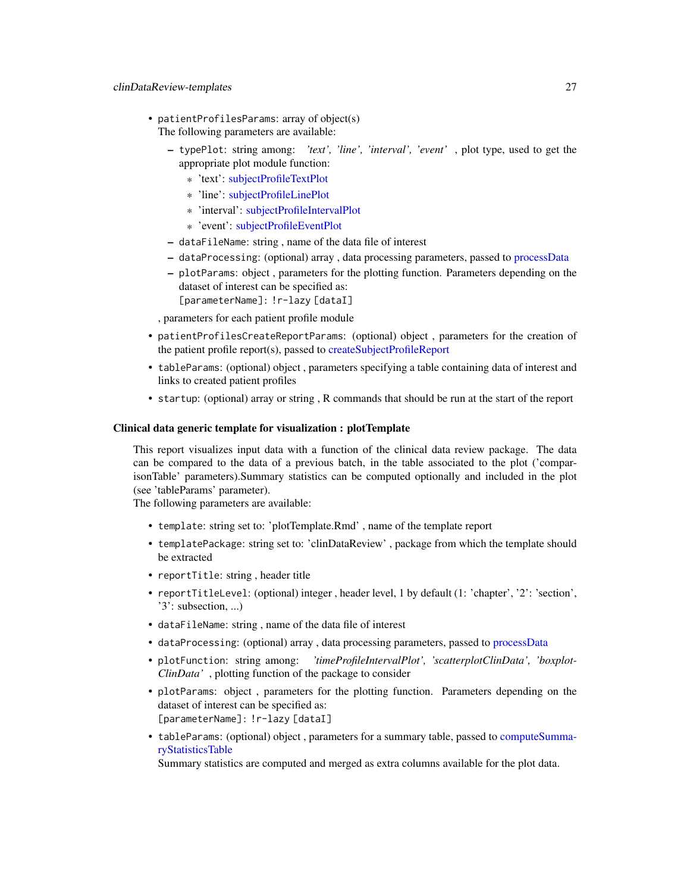- patientProfilesParams: array of object(s) The following parameters are available:
	- typePlot: string among: *'text', 'line', 'interval', 'event'* , plot type, used to get the appropriate plot module function:
		- \* 'text': [subjectProfileTextPlot](#page-0-0)
		- \* 'line': [subjectProfileLinePlot](#page-0-0)
		- \* 'interval': [subjectProfileIntervalPlot](#page-0-0)
		- \* 'event': [subjectProfileEventPlot](#page-0-0)
	- dataFileName: string , name of the data file of interest
	- dataProcessing: (optional) array , data processing parameters, passed to [processData](#page-77-1)
	- plotParams: object , parameters for the plotting function. Parameters depending on the dataset of interest can be specified as:
	- [parameterName]: !r-lazy [dataI]

, parameters for each patient profile module

- patientProfilesCreateReportParams: (optional) object , parameters for the creation of the patient profile report(s), passed to [createSubjectProfileReport](#page-0-0)
- tableParams: (optional) object , parameters specifying a table containing data of interest and links to created patient profiles
- startup: (optional) array or string , R commands that should be run at the start of the report

#### Clinical data generic template for visualization : plotTemplate

This report visualizes input data with a function of the clinical data review package. The data can be compared to the data of a previous batch, in the table associated to the plot ('comparisonTable' parameters).Summary statistics can be computed optionally and included in the plot (see 'tableParams' parameter).

The following parameters are available:

- template: string set to: 'plotTemplate.Rmd' , name of the template report
- templatePackage: string set to: 'clinDataReview' , package from which the template should be extracted
- reportTitle: string , header title
- reportTitleLevel: (optional) integer , header level, 1 by default (1: 'chapter', '2': 'section', '3': subsection, ...)
- dataFileName: string , name of the data file of interest
- dataProcessing: (optional) array , data processing parameters, passed to [processData](#page-77-1)
- plotFunction: string among: *'timeProfileIntervalPlot', 'scatterplotClinData', 'boxplot-ClinData'* , plotting function of the package to consider
- plotParams: object , parameters for the plotting function. Parameters depending on the dataset of interest can be specified as: [parameterName]: !r-lazy [dataI]
- tableParams: (optional) object , parameters for a summary table, passed to [computeSumma](#page-0-0)[ryStatisticsTable](#page-0-0)

Summary statistics are computed and merged as extra columns available for the plot data.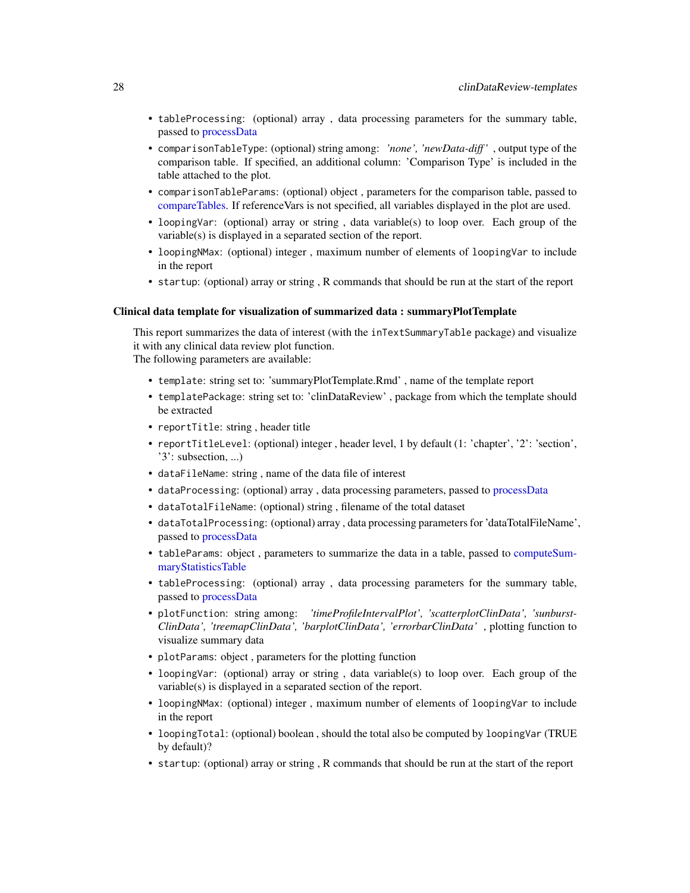- tableProcessing: (optional) array , data processing parameters for the summary table, passed to [processData](#page-77-1)
- comparisonTableType: (optional) string among: *'none', 'newData-diff '* , output type of the comparison table. If specified, an additional column: 'Comparison Type' is included in the table attached to the plot.
- comparisonTableParams: (optional) object , parameters for the comparison table, passed to [compareTables.](#page-0-0) If referenceVars is not specified, all variables displayed in the plot are used.
- loopingVar: (optional) array or string , data variable(s) to loop over. Each group of the variable(s) is displayed in a separated section of the report.
- loopingNMax: (optional) integer , maximum number of elements of loopingVar to include in the report
- startup: (optional) array or string , R commands that should be run at the start of the report

#### Clinical data template for visualization of summarized data : summaryPlotTemplate

This report summarizes the data of interest (with the inTextSummaryTable package) and visualize it with any clinical data review plot function.

The following parameters are available:

- template: string set to: 'summaryPlotTemplate.Rmd' , name of the template report
- templatePackage: string set to: 'clinDataReview' , package from which the template should be extracted
- reportTitle: string , header title
- reportTitleLevel: (optional) integer , header level, 1 by default (1: 'chapter', '2': 'section', '3': subsection, ...)
- dataFileName: string , name of the data file of interest
- dataProcessing: (optional) array , data processing parameters, passed to [processData](#page-77-1)
- dataTotalFileName: (optional) string , filename of the total dataset
- dataTotalProcessing: (optional) array, data processing parameters for 'dataTotalFileName', passed to [processData](#page-77-1)
- tableParams: object , parameters to summarize the data in a table, passed to [computeSum](#page-0-0)[maryStatisticsTable](#page-0-0)
- tableProcessing: (optional) array , data processing parameters for the summary table, passed to [processData](#page-77-1)
- plotFunction: string among: *'timeProfileIntervalPlot', 'scatterplotClinData', 'sunburst-ClinData', 'treemapClinData', 'barplotClinData', 'errorbarClinData'* , plotting function to visualize summary data
- plotParams: object , parameters for the plotting function
- loopingVar: (optional) array or string , data variable(s) to loop over. Each group of the variable(s) is displayed in a separated section of the report.
- loopingNMax: (optional) integer , maximum number of elements of loopingVar to include in the report
- loopingTotal: (optional) boolean, should the total also be computed by loopingVar (TRUE by default)?
- startup: (optional) array or string , R commands that should be run at the start of the report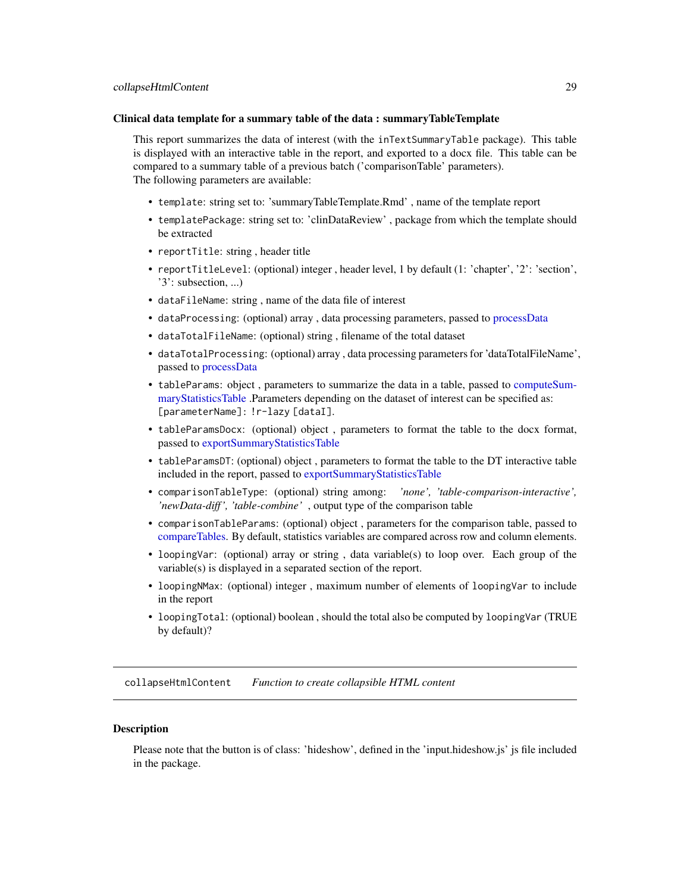#### <span id="page-28-0"></span>Clinical data template for a summary table of the data : summaryTableTemplate

This report summarizes the data of interest (with the inTextSummaryTable package). This table is displayed with an interactive table in the report, and exported to a docx file. This table can be compared to a summary table of a previous batch ('comparisonTable' parameters). The following parameters are available:

- template: string set to: 'summaryTableTemplate.Rmd' , name of the template report
- templatePackage: string set to: 'clinDataReview' , package from which the template should be extracted
- reportTitle: string , header title
- reportTitleLevel: (optional) integer , header level, 1 by default (1: 'chapter', '2': 'section', '3': subsection, ...)
- dataFileName: string , name of the data file of interest
- dataProcessing: (optional) array , data processing parameters, passed to [processData](#page-77-1)
- dataTotalFileName: (optional) string , filename of the total dataset
- dataTotalProcessing: (optional) array , data processing parameters for 'dataTotalFileName', passed to [processData](#page-77-1)
- tableParams: object , parameters to summarize the data in a table, passed to [computeSum](#page-0-0)[maryStatisticsTable](#page-0-0) .Parameters depending on the dataset of interest can be specified as: [parameterName]: !r-lazy [dataI].
- tableParamsDocx: (optional) object , parameters to format the table to the docx format, passed to [exportSummaryStatisticsTable](#page-0-0)
- tableParamsDT: (optional) object , parameters to format the table to the DT interactive table included in the report, passed to [exportSummaryStatisticsTable](#page-0-0)
- comparisonTableType: (optional) string among: *'none', 'table-comparison-interactive', 'newData-diff ', 'table-combine'* , output type of the comparison table
- comparisonTableParams: (optional) object , parameters for the comparison table, passed to [compareTables.](#page-0-0) By default, statistics variables are compared across row and column elements.
- loopingVar: (optional) array or string , data variable(s) to loop over. Each group of the variable(s) is displayed in a separated section of the report.
- loopingNMax: (optional) integer , maximum number of elements of loopingVar to include in the report
- loopingTotal: (optional) boolean , should the total also be computed by loopingVar (TRUE by default)?

collapseHtmlContent *Function to create collapsible HTML content*

#### **Description**

Please note that the button is of class: 'hideshow', defined in the 'input.hideshow.js' js file included in the package.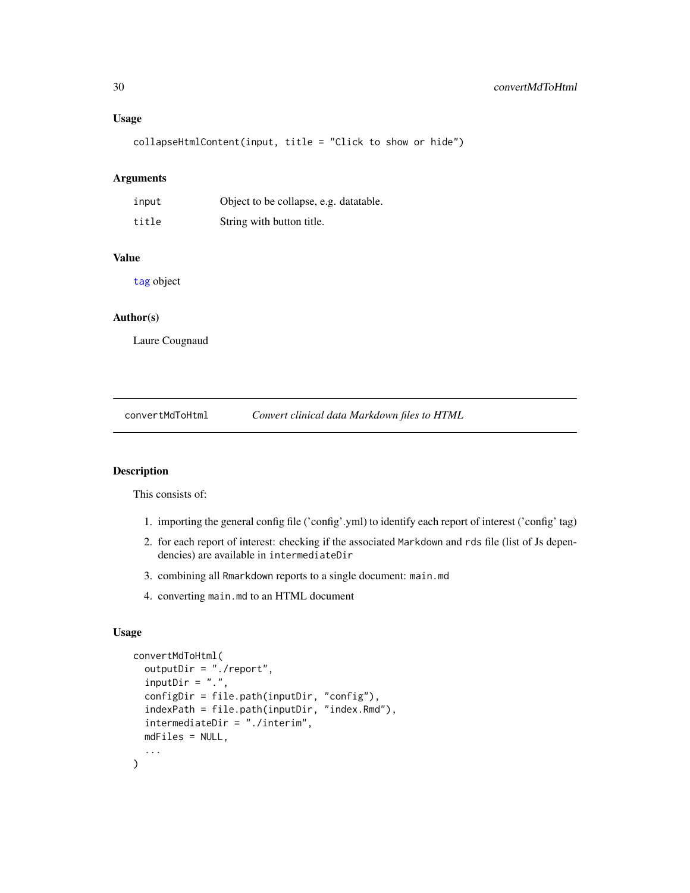#### <span id="page-29-0"></span>Usage

collapseHtmlContent(input, title = "Click to show or hide")

#### Arguments

| input | Object to be collapse, e.g. datatable. |
|-------|----------------------------------------|
| title | String with button title.              |

#### Value

[tag](#page-0-0) object

#### Author(s)

Laure Cougnaud

<span id="page-29-1"></span>convertMdToHtml *Convert clinical data Markdown files to HTML*

### Description

This consists of:

- 1. importing the general config file ('config'.yml) to identify each report of interest ('config' tag)
- 2. for each report of interest: checking if the associated Markdown and rds file (list of Js dependencies) are available in intermediateDir
- 3. combining all Rmarkdown reports to a single document: main.md
- 4. converting main.md to an HTML document

#### Usage

```
convertMdToHtml(
  outputDir = "./report",
  inputDir = ".''.configDir = file.path(inputDir, "config"),
  indexPath = file.path(inputDir, "index.Rmd"),
  intermediateDir = "./interim",
 mdFiles = NULL,
  ...
)
```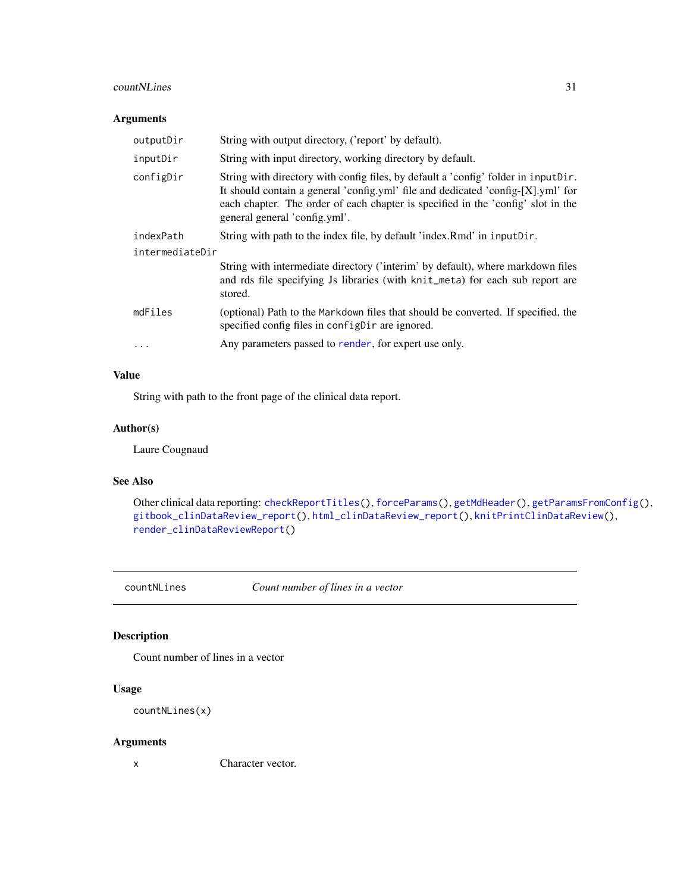#### <span id="page-30-0"></span>countNLines 31

#### Arguments

| outputDir       | String with output directory, ('report' by default).                                                                                                                                                                                                                                        |  |
|-----------------|---------------------------------------------------------------------------------------------------------------------------------------------------------------------------------------------------------------------------------------------------------------------------------------------|--|
| inputDir        | String with input directory, working directory by default.                                                                                                                                                                                                                                  |  |
| configDir       | String with directory with config files, by default a 'config' folder in inputDir.<br>It should contain a general 'config.yml' file and dedicated 'config-[X].yml' for<br>each chapter. The order of each chapter is specified in the 'config' slot in the<br>general general 'config.yml'. |  |
| indexPath       | String with path to the index file, by default 'index. Rmd' in inputDir.                                                                                                                                                                                                                    |  |
| intermediateDir |                                                                                                                                                                                                                                                                                             |  |
|                 | String with intermediate directory ('interim' by default), where markdown files<br>and rds file specifying Js libraries (with knit meta) for each sub report are<br>stored.                                                                                                                 |  |
| mdFiles         | (optional) Path to the Markdown files that should be converted. If specified, the<br>specified config files in configuration are ignored.                                                                                                                                                   |  |
| $\ddotsc$       | Any parameters passed to render, for expert use only.                                                                                                                                                                                                                                       |  |

#### Value

String with path to the front page of the clinical data report.

#### Author(s)

Laure Cougnaud

### See Also

Other clinical data reporting: [checkReportTitles\(](#page-18-1)), [forceParams\(](#page-45-1)), [getMdHeader\(](#page-57-1)), [getParamsFromConfig\(](#page-59-1)), [gitbook\\_clinDataReview\\_report\(](#page-66-1)), [html\\_clinDataReview\\_report\(](#page-67-1)), [knitPrintClinDataReview\(](#page-69-1)), [render\\_clinDataReviewReport\(](#page-79-1))

countNLines *Count number of lines in a vector*

### Description

Count number of lines in a vector

### Usage

```
countNLines(x)
```
### Arguments

x Character vector.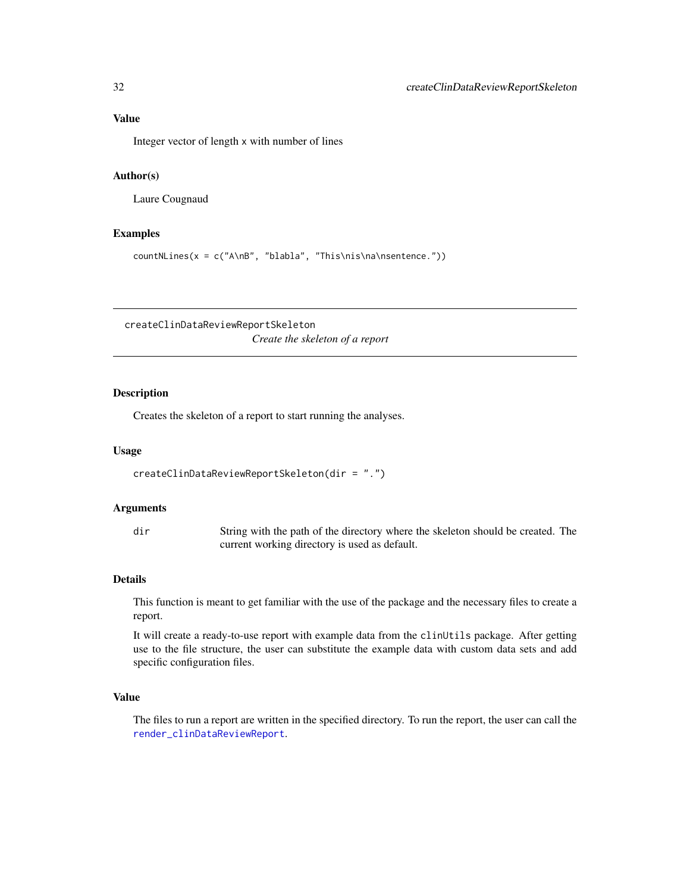<span id="page-31-0"></span>Integer vector of length x with number of lines

#### Author(s)

Laure Cougnaud

#### Examples

countNLines(x = c("A\nB", "blabla", "This\nis\na\nsentence."))

<span id="page-31-1"></span>createClinDataReviewReportSkeleton *Create the skeleton of a report*

#### Description

Creates the skeleton of a report to start running the analyses.

#### Usage

```
createClinDataReviewReportSkeleton(dir = ".")
```
#### Arguments

dir String with the path of the directory where the skeleton should be created. The current working directory is used as default.

#### Details

This function is meant to get familiar with the use of the package and the necessary files to create a report.

It will create a ready-to-use report with example data from the clinUtils package. After getting use to the file structure, the user can substitute the example data with custom data sets and add specific configuration files.

#### Value

The files to run a report are written in the specified directory. To run the report, the user can call the [render\\_clinDataReviewReport](#page-79-1).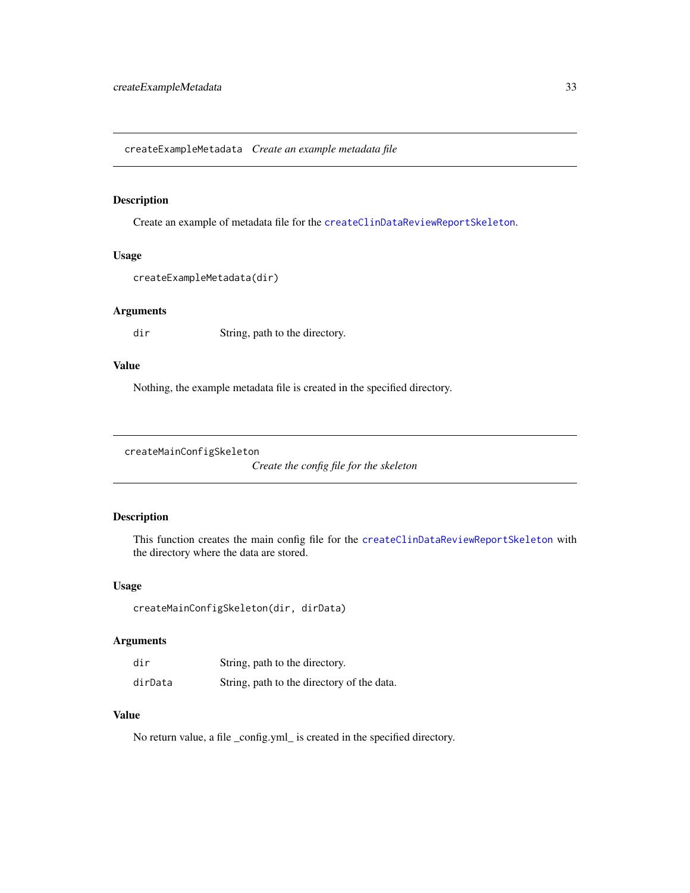<span id="page-32-0"></span>createExampleMetadata *Create an example metadata file*

#### Description

Create an example of metadata file for the [createClinDataReviewReportSkeleton](#page-31-1).

#### Usage

```
createExampleMetadata(dir)
```
#### Arguments

dir String, path to the directory.

### Value

Nothing, the example metadata file is created in the specified directory.

```
createMainConfigSkeleton
```
*Create the config file for the skeleton*

#### Description

This function creates the main config file for the [createClinDataReviewReportSkeleton](#page-31-1) with the directory where the data are stored.

#### Usage

createMainConfigSkeleton(dir, dirData)

#### Arguments

| dir     | String, path to the directory.             |
|---------|--------------------------------------------|
| dirData | String, path to the directory of the data. |

#### Value

No return value, a file \_config.yml\_ is created in the specified directory.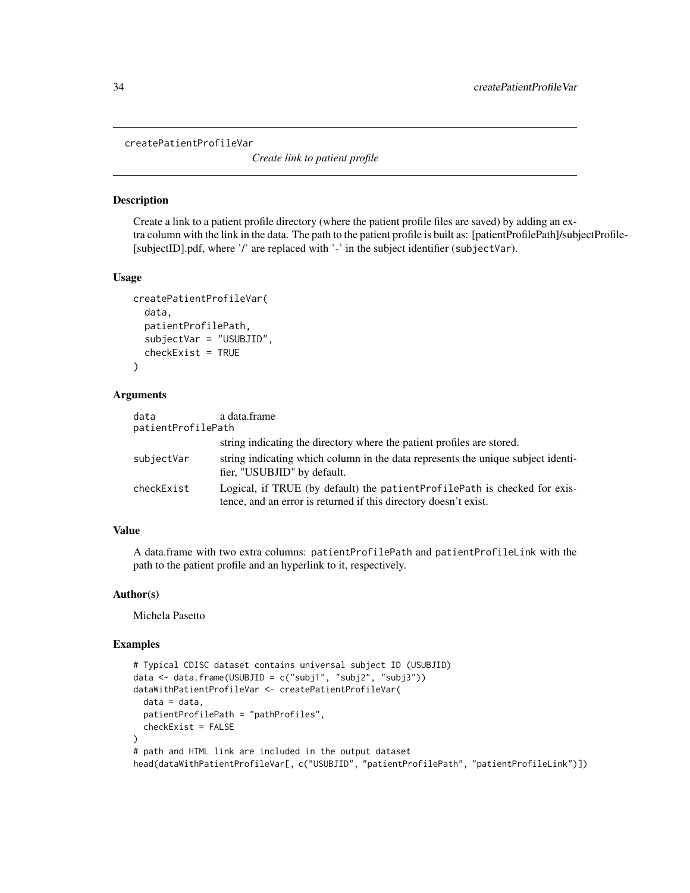<span id="page-33-0"></span>createPatientProfileVar

*Create link to patient profile*

#### Description

Create a link to a patient profile directory (where the patient profile files are saved) by adding an extra column with the link in the data. The path to the patient profile is built as: [patientProfilePath]/subjectProfile- [subjectID].pdf, where '/' are replaced with '-' in the subject identifier (subjectVar).

#### Usage

```
createPatientProfileVar(
  data,
  patientProfilePath,
  subjectVar = "USUBJID",
  checkExist = TRUE
)
```
#### Arguments

| data               | a data.frame                                                                                                                                    |  |
|--------------------|-------------------------------------------------------------------------------------------------------------------------------------------------|--|
| patientProfilePath |                                                                                                                                                 |  |
|                    | string indicating the directory where the patient profiles are stored.                                                                          |  |
| subjectVar         | string indicating which column in the data represents the unique subject identi-<br>fier, "USUBJID" by default.                                 |  |
| checkExist         | Logical, if TRUE (by default) the patient Profile Path is checked for exis-<br>tence, and an error is returned if this directory doesn't exist. |  |

### Value

A data.frame with two extra columns: patientProfilePath and patientProfileLink with the path to the patient profile and an hyperlink to it, respectively.

#### Author(s)

Michela Pasetto

#### Examples

```
# Typical CDISC dataset contains universal subject ID (USUBJID)
data <- data.frame(USUBJID = c("subj1", "subj2", "subj3"))
dataWithPatientProfileVar <- createPatientProfileVar(
  data = data,
  patientProfilePath = "pathProfiles",
  checkExist = FALSE
)
# path and HTML link are included in the output dataset
head(dataWithPatientProfileVar[, c("USUBJID", "patientProfilePath", "patientProfileLink")])
```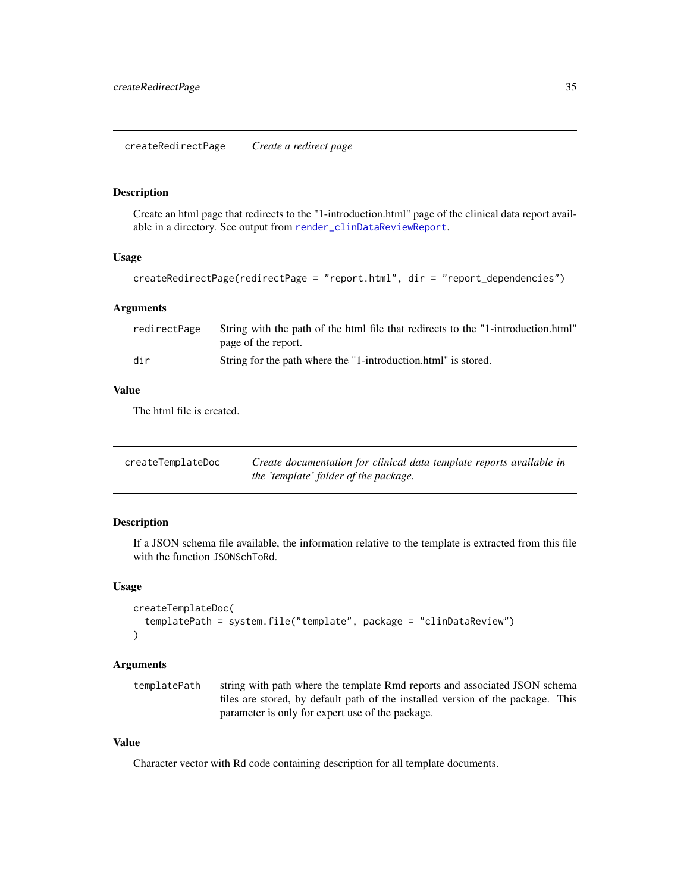#### <span id="page-34-0"></span>Description

Create an html page that redirects to the "1-introduction.html" page of the clinical data report available in a directory. See output from [render\\_clinDataReviewReport](#page-79-1).

#### Usage

```
createRedirectPage(redirectPage = "report.html", dir = "report_dependencies")
```
#### Arguments

| redirectPage | String with the path of the html file that redirects to the "1-introduction.html" |
|--------------|-----------------------------------------------------------------------------------|
|              | page of the report.                                                               |
| dir          | String for the path where the "1-introduction.html" is stored.                    |

#### Value

The html file is created.

| createTemplateDoc | Create documentation for clinical data template reports available in |
|-------------------|----------------------------------------------------------------------|
|                   | the 'template' folder of the package.                                |

#### Description

If a JSON schema file available, the information relative to the template is extracted from this file with the function JSONSchToRd.

#### Usage

```
createTemplateDoc(
  templatePath = system.file("template", package = "clinDataReview")
)
```
### Arguments

templatePath string with path where the template Rmd reports and associated JSON schema files are stored, by default path of the installed version of the package. This parameter is only for expert use of the package.

#### Value

Character vector with Rd code containing description for all template documents.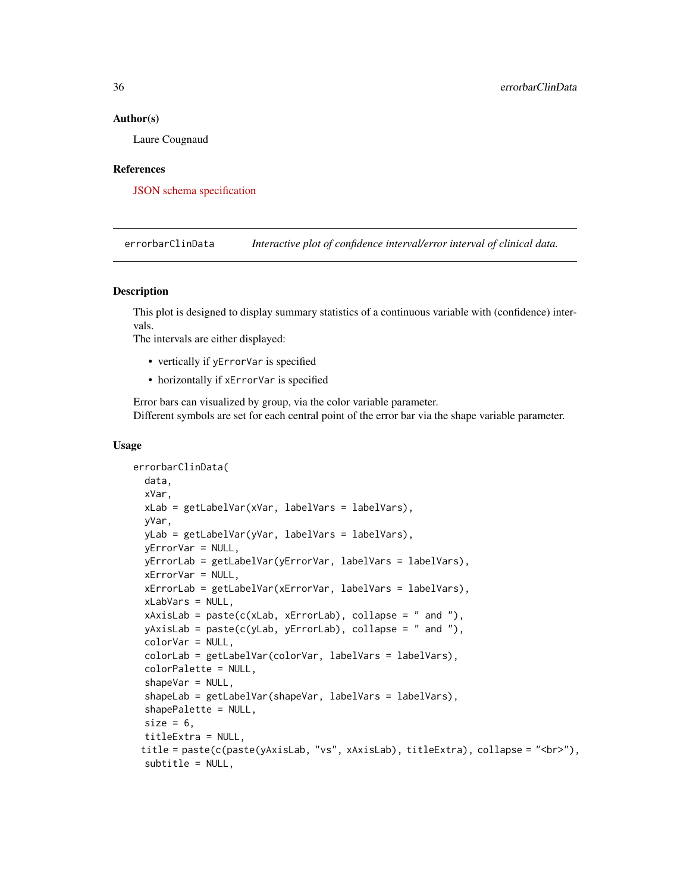#### Author(s)

Laure Cougnaud

#### References

[JSON schema specification](https://json-schema.org/understanding-json-schema/)

<span id="page-35-1"></span>errorbarClinData *Interactive plot of confidence interval/error interval of clinical data.*

#### Description

This plot is designed to display summary statistics of a continuous variable with (confidence) intervals.

The intervals are either displayed:

- vertically if yErrorVar is specified
- horizontally if xErrorVar is specified

Error bars can visualized by group, via the color variable parameter. Different symbols are set for each central point of the error bar via the shape variable parameter.

#### Usage

```
errorbarClinData(
 data,
  xVar,
 xLab = getLabelVar(xVar, labelVars = labelVars),
 yVar,
 yLab = getLabelVar(yVar, labelVars = labelVars),
 yErrorVar = NULL,
 yErrorLab = getLabelVar(yErrorVar, labelVars = labelVars),
 xErrorVar = NULL,
  xErrorLab = getLabelVar(xErrorVar, labelVars = labelVars),
 xLabVars = NULL,
 xAxisLab = paste(c(xLab, xErrorLab), collapse = " and "),yAxish = paste(c(yLab, yErrorLab), collapse = " and"),colorVar = NULL,
 colorLab = getLabelVar(colorVar, labelVars = labelVars),
  colorPalette = NULL,
  shapeVar = NULL,shapeLab = getLabelVar(shapeVar, labelVars = labelVars),shapePalette = NULL,
  size = 6.
  titleExtra = NULL,
 title = paste(c(paste(yAxisLab, "vs", xAxisLab), titleExtra), collapse = "<br>"),
 subtitle = NULL,
```
<span id="page-35-0"></span>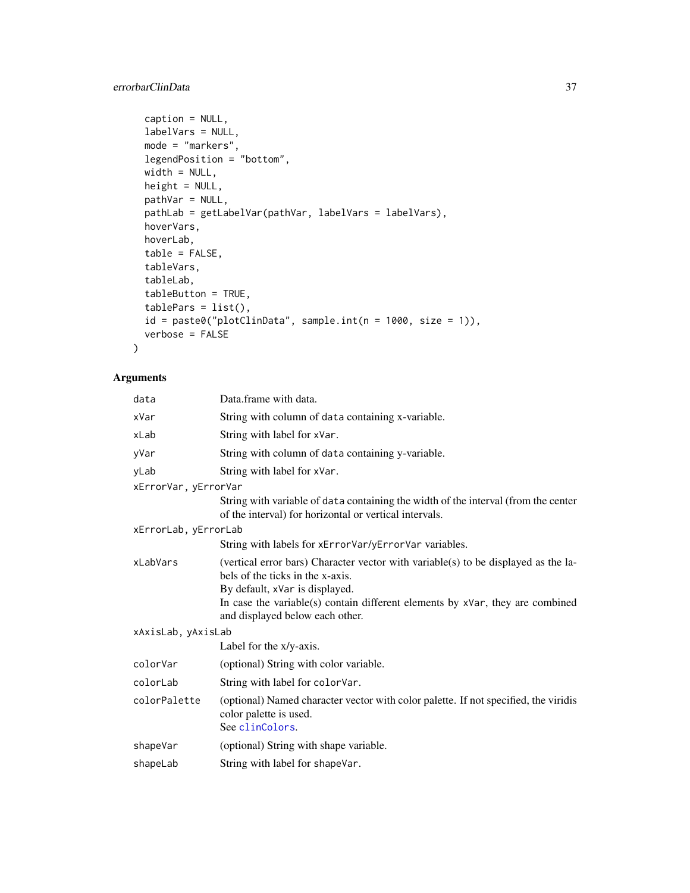# errorbarClinData 37

```
caption = NULL,
  labelVars = NULL,
 mode = "markers",
 legendPosition = "bottom",
 width = NULL,height = NULL,
 pathVar = NULL,
 pathLab = getLabelVar(pathVar, labelVars = labelVars),
  hoverVars,
 hoverLab,
  table = FALSE,
  tableVars,
  tableLab,
  tableButton = TRUE,
  tablePars = list(),
 id = paste0("plotClinData", sample.int(n = 1000, size = 1)),
 verbose = FALSE
\mathcal{L}
```
# Arguments

| data                 | Data.frame with data.                                                                                                                                    |  |
|----------------------|----------------------------------------------------------------------------------------------------------------------------------------------------------|--|
| xVar                 | String with column of data containing x-variable.                                                                                                        |  |
| xLab                 | String with label for xVar.                                                                                                                              |  |
| yVar                 | String with column of data containing y-variable.                                                                                                        |  |
| yLab                 | String with label for xVar.                                                                                                                              |  |
| xErrorVar, yErrorVar |                                                                                                                                                          |  |
|                      | String with variable of data containing the width of the interval (from the center<br>of the interval) for horizontal or vertical intervals.             |  |
| xErrorLab, yErrorLab |                                                                                                                                                          |  |
|                      | String with labels for xErrorVar/yErrorVar variables.                                                                                                    |  |
| xLabVars             | (vertical error bars) Character vector with variable(s) to be displayed as the la-<br>bels of the ticks in the x-axis.<br>By default, xVar is displayed. |  |
|                      | In case the variable(s) contain different elements by $x\sqrt{ar}$ , they are combined<br>and displayed below each other.                                |  |
| xAxisLab, yAxisLab   |                                                                                                                                                          |  |
|                      | Label for the x/y-axis.                                                                                                                                  |  |
| colorVar             | (optional) String with color variable.                                                                                                                   |  |
| colorLab             | String with label for colorVar.                                                                                                                          |  |
| colorPalette         | (optional) Named character vector with color palette. If not specified, the viridis<br>color palette is used.<br>See clinColors.                         |  |
| shapeVar             | (optional) String with shape variable.                                                                                                                   |  |
| shapeLab             | String with label for shapeVar.                                                                                                                          |  |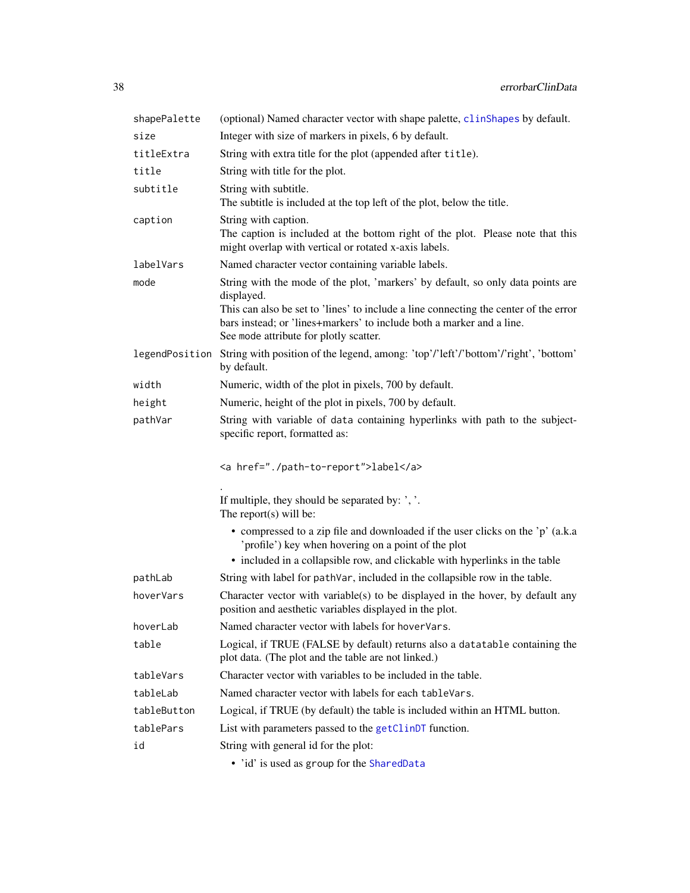| shapePalette   | (optional) Named character vector with shape palette, clinShapes by default.                                                                                                                                                                                                                             |  |
|----------------|----------------------------------------------------------------------------------------------------------------------------------------------------------------------------------------------------------------------------------------------------------------------------------------------------------|--|
| size           | Integer with size of markers in pixels, 6 by default.                                                                                                                                                                                                                                                    |  |
| titleExtra     | String with extra title for the plot (appended after title).                                                                                                                                                                                                                                             |  |
| title          | String with title for the plot.                                                                                                                                                                                                                                                                          |  |
| subtitle       | String with subtitle.<br>The subtitle is included at the top left of the plot, below the title.                                                                                                                                                                                                          |  |
| caption        | String with caption.<br>The caption is included at the bottom right of the plot. Please note that this<br>might overlap with vertical or rotated x-axis labels.                                                                                                                                          |  |
| labelVars      | Named character vector containing variable labels.                                                                                                                                                                                                                                                       |  |
| mode           | String with the mode of the plot, 'markers' by default, so only data points are<br>displayed.<br>This can also be set to 'lines' to include a line connecting the center of the error<br>bars instead; or 'lines+markers' to include both a marker and a line.<br>See mode attribute for plotly scatter. |  |
| legendPosition | String with position of the legend, among: 'top'/'left'/'bottom'/'right', 'bottom'<br>by default.                                                                                                                                                                                                        |  |
| width          | Numeric, width of the plot in pixels, 700 by default.                                                                                                                                                                                                                                                    |  |
| height         | Numeric, height of the plot in pixels, 700 by default.                                                                                                                                                                                                                                                   |  |
| pathVar        | String with variable of data containing hyperlinks with path to the subject-<br>specific report, formatted as:                                                                                                                                                                                           |  |
|                | <a href="./path-to-report">label</a>                                                                                                                                                                                                                                                                     |  |
|                | If multiple, they should be separated by: ', '.<br>The report $(s)$ will be:                                                                                                                                                                                                                             |  |
|                | • compressed to a zip file and downloaded if the user clicks on the 'p' (a.k.a)<br>'profile') key when hovering on a point of the plot                                                                                                                                                                   |  |
|                | • included in a collapsible row, and clickable with hyperlinks in the table                                                                                                                                                                                                                              |  |
| pathLab        | String with label for pathVar, included in the collapsible row in the table.                                                                                                                                                                                                                             |  |
| hoverVars      | Character vector with variable(s) to be displayed in the hover, by default any<br>position and aesthetic variables displayed in the plot.                                                                                                                                                                |  |
| hoverLab       | Named character vector with labels for hoverVars.                                                                                                                                                                                                                                                        |  |
| table          | Logical, if TRUE (FALSE by default) returns also a datatable containing the<br>plot data. (The plot and the table are not linked.)                                                                                                                                                                       |  |
| tableVars      | Character vector with variables to be included in the table.                                                                                                                                                                                                                                             |  |
| tableLab       | Named character vector with labels for each table Vars.                                                                                                                                                                                                                                                  |  |
| tableButton    | Logical, if TRUE (by default) the table is included within an HTML button.                                                                                                                                                                                                                               |  |
| tablePars      | List with parameters passed to the getClinDT function.                                                                                                                                                                                                                                                   |  |
|                |                                                                                                                                                                                                                                                                                                          |  |
| id             | String with general id for the plot:                                                                                                                                                                                                                                                                     |  |

• 'id' is used as group for the [SharedData](#page-0-0)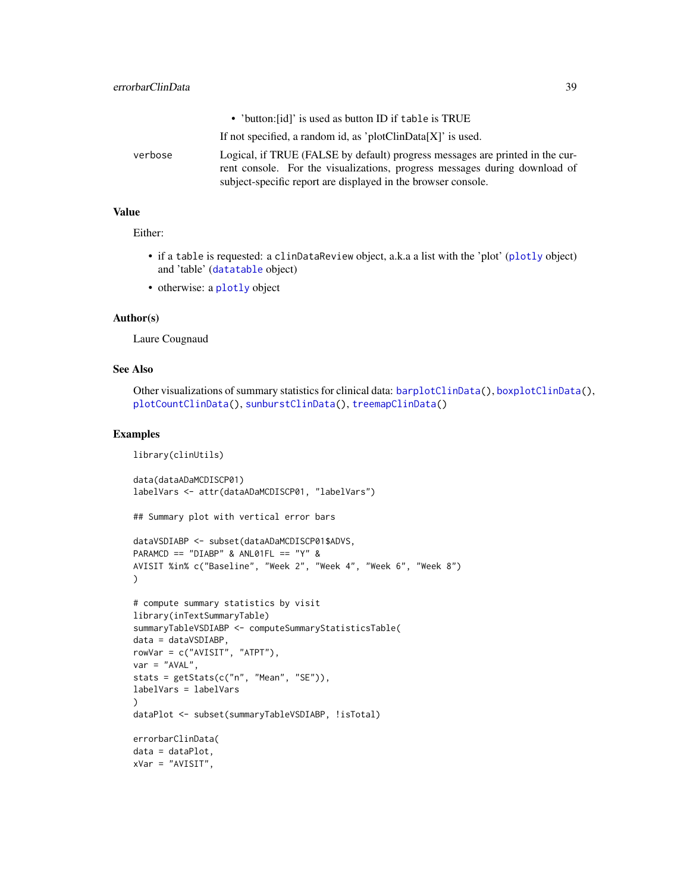|         | • 'button: [id]' is used as button ID if table is TRUE                                                                                                                                                                       |
|---------|------------------------------------------------------------------------------------------------------------------------------------------------------------------------------------------------------------------------------|
|         | If not specified, a random id, as 'plotClinData $[X]$ ' is used.                                                                                                                                                             |
| verbose | Logical, if TRUE (FALSE by default) progress messages are printed in the cur-<br>rent console. For the visualizations, progress messages during download of<br>subject-specific report are displayed in the browser console. |

Either:

- if a table is requested: a clinDataReview object, a.k.a a list with the 'plot' ([plotly](#page-0-0) object) and 'table' ([datatable](#page-0-0) object)
- otherwise: a [plotly](#page-0-0) object

#### Author(s)

Laure Cougnaud

### See Also

Other visualizations of summary statistics for clinical data: [barplotClinData\(](#page-8-0)), [boxplotClinData\(](#page-12-0)), [plotCountClinData\(](#page-74-0)), [sunburstClinData\(](#page-92-0)), [treemapClinData\(](#page-101-0))

### Examples

```
library(clinUtils)
data(dataADaMCDISCP01)
labelVars <- attr(dataADaMCDISCP01, "labelVars")
## Summary plot with vertical error bars
dataVSDIABP <- subset(dataADaMCDISCP01$ADVS,
PARAMCD == "DIABP" & ANL01FL == "Y" &
AVISIT %in% c("Baseline", "Week 2", "Week 4", "Week 6", "Week 8")
)
# compute summary statistics by visit
library(inTextSummaryTable)
summaryTableVSDIABP <- computeSummaryStatisticsTable(
data = dataVSDIABP,
rowVar = c("AVISIT", "ATPT"),
var = "AVAL",
stats = getStats(c("n", "Mean", "SE")),
labelVars = labelVars
)
dataPlot <- subset(summaryTableVSDIABP, !isTotal)
errorbarClinData(
data = dataPlot,
xVar = "AVISIT",
```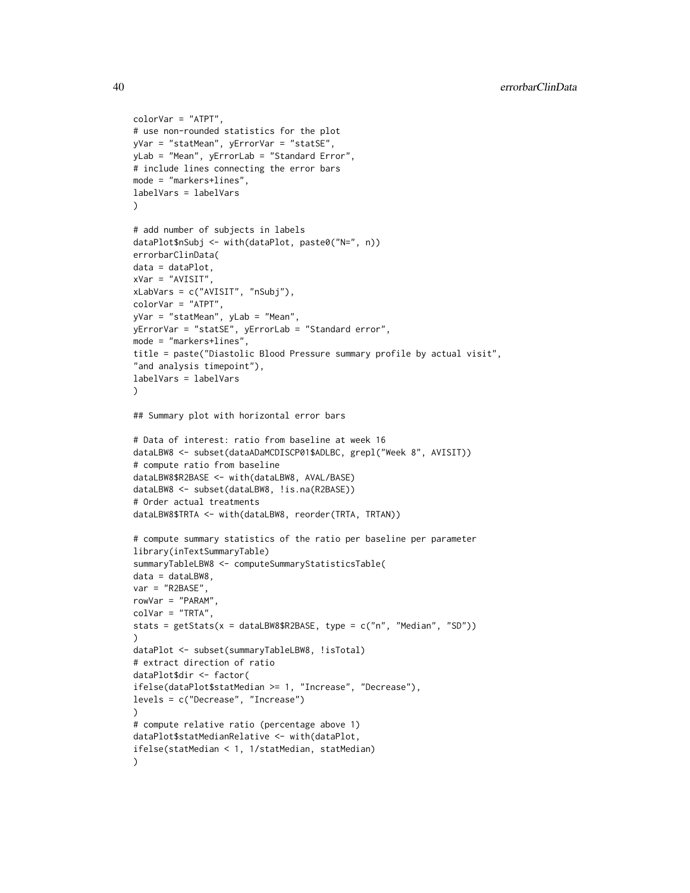```
colorVar = "ATPT",
# use non-rounded statistics for the plot
yVar = "statMean", yErrorVar = "statSE",
yLab = "Mean", yErrorLab = "Standard Error",
# include lines connecting the error bars
mode = "markers+lines",
labelVars = labelVars
\lambda# add number of subjects in labels
dataPlot$nSubj <- with(dataPlot, paste0("N=", n))
errorbarClinData(
data = dataPlot,
xVar = "AVISIT",
xLabVars = c("AVISIT", "nSubj"),
colorVar = "ATPT",
yVar = "statMean", yLab = "Mean",
yErrorVar = "statSE", yErrorLab = "Standard error",
mode = "markers+lines",
title = paste("Diastolic Blood Pressure summary profile by actual visit",
"and analysis timepoint"),
labelVars = labelVars
\lambda## Summary plot with horizontal error bars
# Data of interest: ratio from baseline at week 16
dataLBW8 <- subset(dataADaMCDISCP01$ADLBC, grepl("Week 8", AVISIT))
# compute ratio from baseline
dataLBW8$R2BASE <- with(dataLBW8, AVAL/BASE)
dataLBW8 <- subset(dataLBW8, !is.na(R2BASE))
# Order actual treatments
dataLBW8$TRTA <- with(dataLBW8, reorder(TRTA, TRTAN))
# compute summary statistics of the ratio per baseline per parameter
library(inTextSummaryTable)
summaryTableLBW8 <- computeSummaryStatisticsTable(
data = dataLBW8,var = "R2BASE",
rowVar = "PARAM",
colVar = "TRTA",
stats = getStats(x = dataLBW8$R2BASE, type = c("n", "Median", "SD"))
\lambdadataPlot <- subset(summaryTableLBW8, !isTotal)
# extract direction of ratio
dataPlot$dir <- factor(
ifelse(dataPlot$statMedian >= 1, "Increase", "Decrease"),
levels = c("Decrease", "Increase")
\lambda# compute relative ratio (percentage above 1)
dataPlot$statMedianRelative <- with(dataPlot,
ifelse(statMedian < 1, 1/statMedian, statMedian)
)
```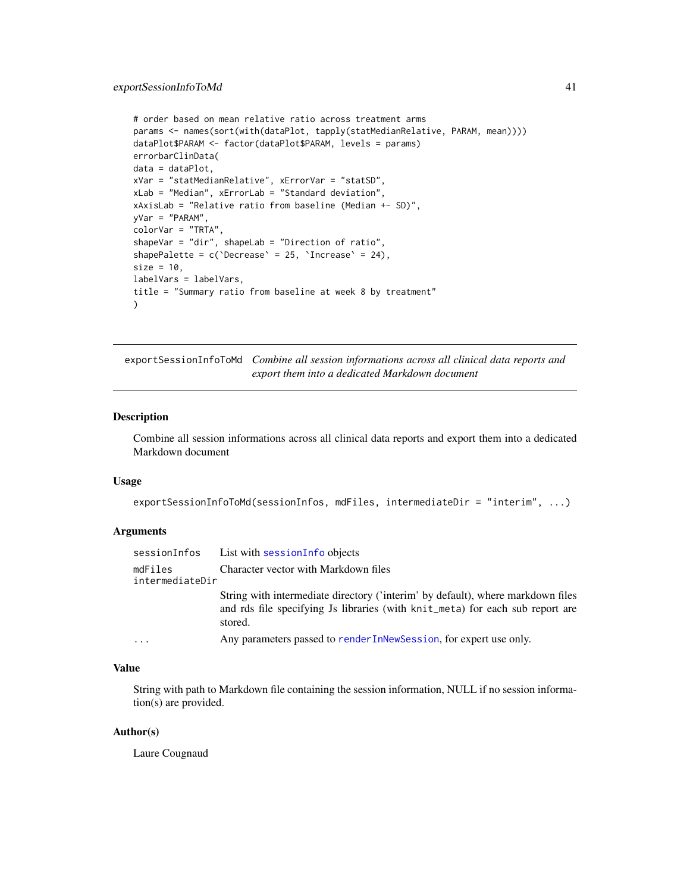```
# order based on mean relative ratio across treatment arms
params <- names(sort(with(dataPlot, tapply(statMedianRelative, PARAM, mean))))
dataPlot$PARAM <- factor(dataPlot$PARAM, levels = params)
errorbarClinData(
data = dataPlot,
xVar = "statMedianRelative", xErrorVar = "statSD",
xLab = "Median", xErrorLab = "Standard deviation",
xAxisLab = "Relative ratio from baseline (Median +- SD)",
yVar = "PARAM",
colorVar = "TRTA",
shapeVar = "dir", shapeLab = "Direction of ratio",
shapePalette = c('Decrease' = 25, 'Increase' = 24),
size = 10,labelVars = labelVars,
title = "Summary ratio from baseline at week 8 by treatment"
)
```
exportSessionInfoToMd *Combine all session informations across all clinical data reports and export them into a dedicated Markdown document*

### Description

Combine all session informations across all clinical data reports and export them into a dedicated Markdown document

#### Usage

```
exportSessionInfoToMd(sessionInfos, mdFiles, intermediateDir = "interim", ...)
```
### Arguments

|                            | sessionInfos List with sessionInfo objects                                                                                                                                  |
|----------------------------|-----------------------------------------------------------------------------------------------------------------------------------------------------------------------------|
| mdFiles<br>intermediateDir | Character vector with Markdown files                                                                                                                                        |
|                            | String with intermediate directory ('interim' by default), where markdown files<br>and rds file specifying Js libraries (with knit meta) for each sub report are<br>stored. |
| $\ddots$                   | Any parameters passed to render InNewSession, for expert use only.                                                                                                          |

#### Value

String with path to Markdown file containing the session information, NULL if no session information(s) are provided.

#### Author(s)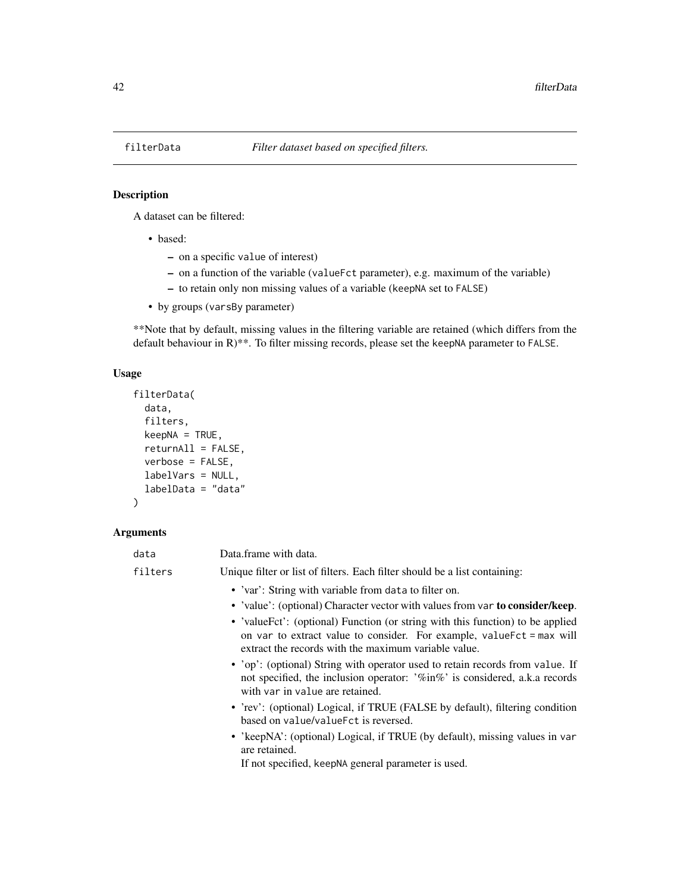#### Description

A dataset can be filtered:

- based:
	- on a specific value of interest)
	- on a function of the variable (valueFct parameter), e.g. maximum of the variable)
	- to retain only non missing values of a variable (keepNA set to FALSE)
- by groups (varsBy parameter)

\*\*Note that by default, missing values in the filtering variable are retained (which differs from the default behaviour in  $R$ <sup>\*\*</sup>. To filter missing records, please set the keepNA parameter to FALSE.

### Usage

```
filterData(
  data,
  filters,
  keepNA = TRUE,return All = FALSE,verbose = FALSE,
  labelVars = NULL,
  labelData = "data"
)
```
#### Arguments

| data    | Data.frame with data.                                                      |
|---------|----------------------------------------------------------------------------|
| filters | Unique filter or list of filters. Each filter should be a list containing: |

- 'var': String with variable from data to filter on.
- 'value': (optional) Character vector with values from var to consider/keep.
- 'valueFct': (optional) Function (or string with this function) to be applied on var to extract value to consider. For example, valueFct = max will extract the records with the maximum variable value.
- 'op': (optional) String with operator used to retain records from value. If not specified, the inclusion operator: '%in%' is considered, a.k.a records with var in value are retained.
- 'rev': (optional) Logical, if TRUE (FALSE by default), filtering condition based on value/valueFct is reversed.
- 'keepNA': (optional) Logical, if TRUE (by default), missing values in var are retained.

If not specified, keepNA general parameter is used.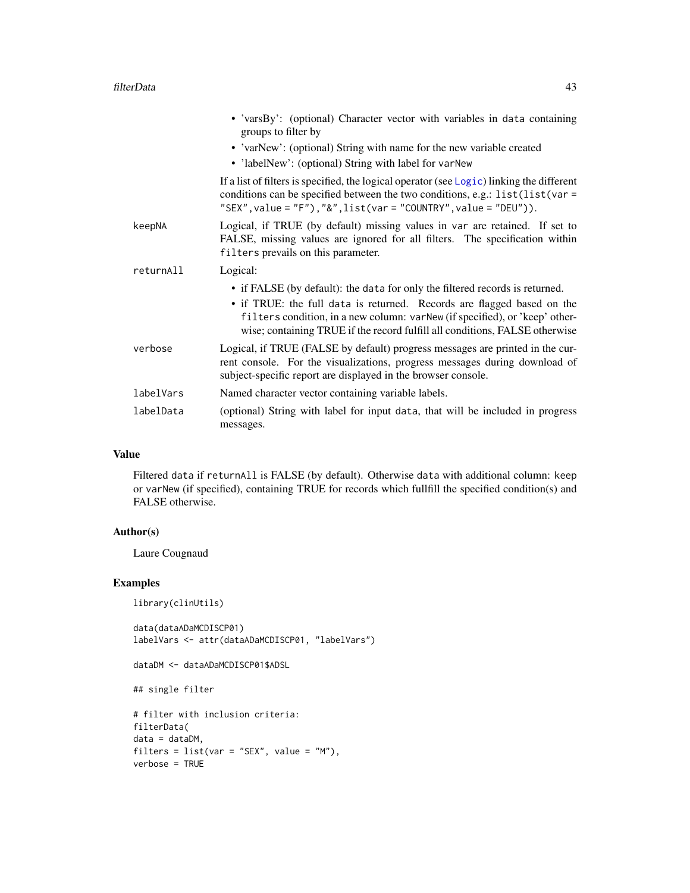|           | • 'varsBy': (optional) Character vector with variables in data containing<br>groups to filter by                                                                                                                                                                                                                     |
|-----------|----------------------------------------------------------------------------------------------------------------------------------------------------------------------------------------------------------------------------------------------------------------------------------------------------------------------|
|           | • 'varNew': (optional) String with name for the new variable created<br>• 'labelNew': (optional) String with label for varNew                                                                                                                                                                                        |
|           | If a list of filters is specified, the logical operator (see $Logic$ ) linking the different<br>conditions can be specified between the two conditions, e.g.: list(list(var =<br>"SEX", value = "F"), "&", list(var = "COUNTRY", value = "DEU")).                                                                    |
| keepNA    | Logical, if TRUE (by default) missing values in var are retained. If set to<br>FALSE, missing values are ignored for all filters. The specification within<br>filters prevails on this parameter.                                                                                                                    |
| returnAll | Logical:                                                                                                                                                                                                                                                                                                             |
|           | • if FALSE (by default): the data for only the filtered records is returned.<br>• if TRUE: the full data is returned. Records are flagged based on the<br>filters condition, in a new column: varNew (if specified), or 'keep' other-<br>wise; containing TRUE if the record fulfill all conditions, FALSE otherwise |
| verbose   | Logical, if TRUE (FALSE by default) progress messages are printed in the cur-<br>rent console. For the visualizations, progress messages during download of<br>subject-specific report are displayed in the browser console.                                                                                         |
| labelVars | Named character vector containing variable labels.                                                                                                                                                                                                                                                                   |
| labelData | (optional) String with label for input data, that will be included in progress<br>messages.                                                                                                                                                                                                                          |

Filtered data if returnAll is FALSE (by default). Otherwise data with additional column: keep or varNew (if specified), containing TRUE for records which fullfill the specified condition(s) and FALSE otherwise.

#### Author(s)

Laure Cougnaud

### Examples

library(clinUtils)

data(dataADaMCDISCP01) labelVars <- attr(dataADaMCDISCP01, "labelVars")

```
dataDM <- dataADaMCDISCP01$ADSL
```
## single filter

```
# filter with inclusion criteria:
filterData(
data = dataDM,
filters = list(var = "SEX", value = "M"),
verbose = TRUE
```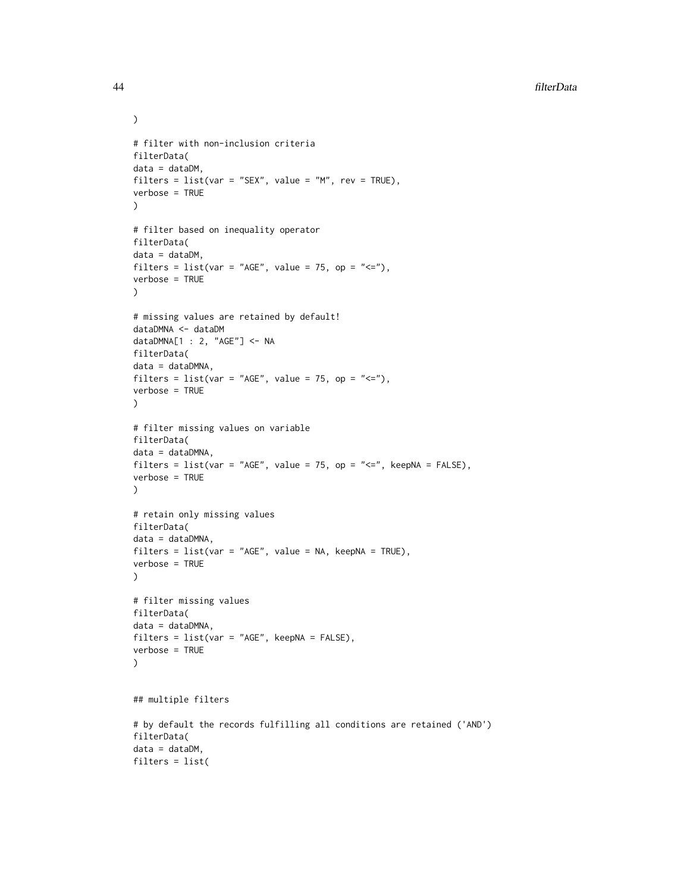```
# filter with non-inclusion criteria
filterData(
data = dataDM,
filters = list(var = "SEX", value = "M", rev = TRUE),verbose = TRUE
\lambda# filter based on inequality operator
filterData(
data = dataDM,
filters = list(var = "AGE", value = 75, op = "\leq"),
verbose = TRUE
\lambda# missing values are retained by default!
dataDMNA <- dataDM
dataDMNA[1 : 2, "AGE"] <- NA
filterData(
data = dataDMNA,
filters = list(var = "AGE", value = 75, op = "\leq"),
verbose = TRUE
\lambda# filter missing values on variable
filterData(
data = dataDMNA,
filters = list(var = "AGE", value = 75, op = "<=", keepNA = FALSE),
verbose = TRUE
\lambda# retain only missing values
filterData(
data = dataDMNA,
filters = list(var = "AGE", value = NA, keepNA = TRUE),
verbose = TRUE
)
# filter missing values
filterData(
data = dataDMNA,
filters = list(var = "AGE", keepNA = FALSE),
verbose = TRUE
\lambda## multiple filters
# by default the records fulfilling all conditions are retained ('AND')
filterData(
data = dataDM,
filters = list(
```
 $\lambda$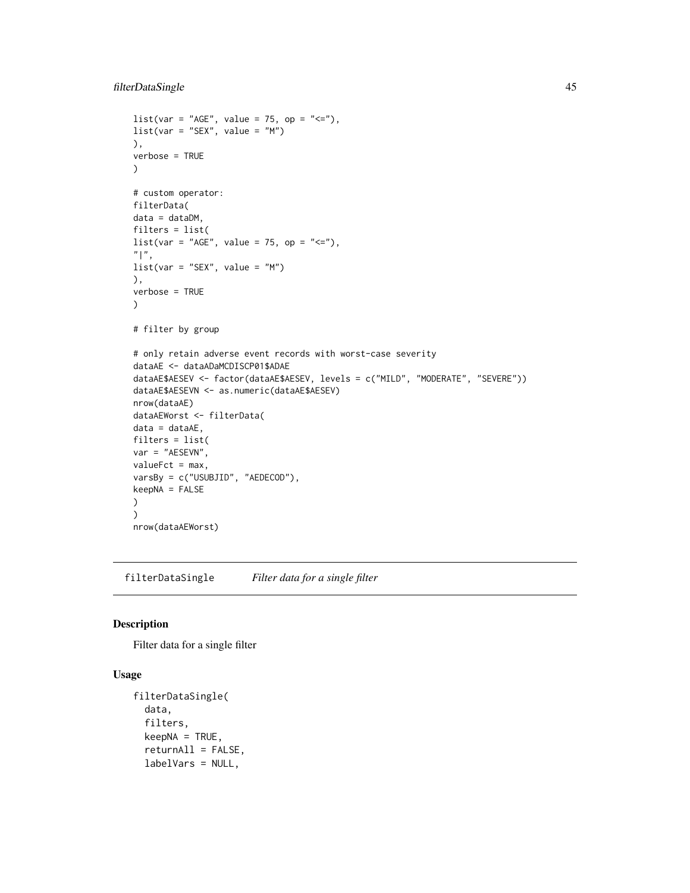# filterDataSingle 45

```
list(var = "AGE", value = 75, op = "<="),
list(var = "SEX", value = "M")),
verbose = TRUE
\lambda# custom operator:
filterData(
data = dataDM,
filters = list(
list(var = "AGE", value = 75, op = "<="),
"|",
list(var = "SEX", value = "M")),
verbose = TRUE
\mathcal{L}# filter by group
# only retain adverse event records with worst-case severity
dataAE <- dataADaMCDISCP01$ADAE
dataAE$AESEV <- factor(dataAE$AESEV, levels = c("MILD", "MODERATE", "SEVERE"))
dataAE$AESEVN <- as.numeric(dataAE$AESEV)
nrow(dataAE)
dataAEWorst <- filterData(
data = dataAE,
filters = list(
var = "AESEVN",
valueFct = max,
varsBy = c("USUBJID", "AEDECOD"),
keepNA = FALSE
\mathcal{L})
nrow(dataAEWorst)
```
filterDataSingle *Filter data for a single filter*

#### Description

Filter data for a single filter

#### Usage

```
filterDataSingle(
 data,
  filters,
 keepNA = TRUE,returnAll = FALSE,
 labelVars = NULL,
```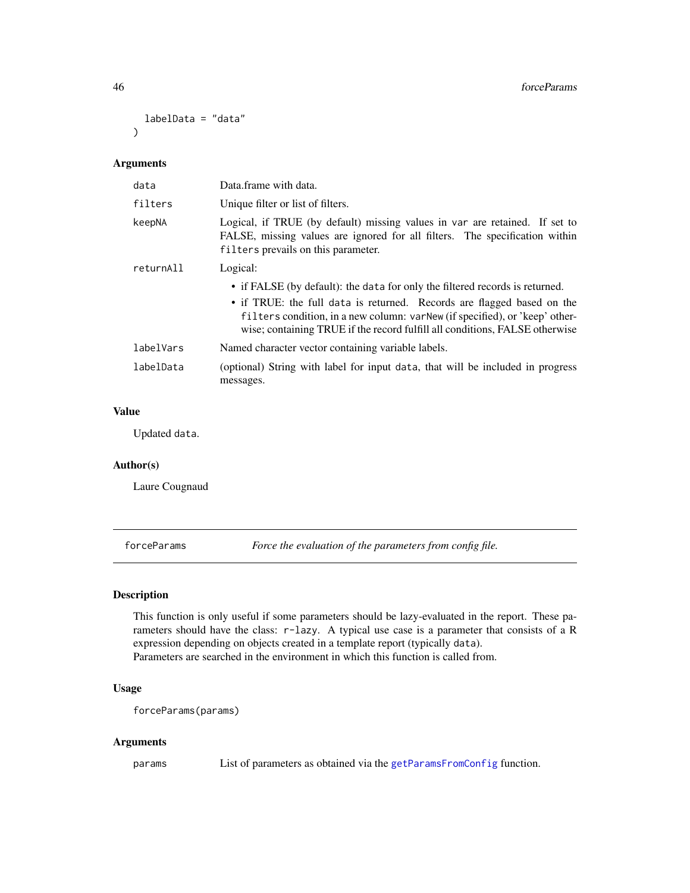```
labelData = "data"
\mathcal{L}
```
#### Arguments

| data      | Data.frame with data.                                                                                                                                                                                                                                                                                                |
|-----------|----------------------------------------------------------------------------------------------------------------------------------------------------------------------------------------------------------------------------------------------------------------------------------------------------------------------|
| filters   | Unique filter or list of filters.                                                                                                                                                                                                                                                                                    |
| keepNA    | Logical, if TRUE (by default) missing values in var are retained. If set to<br>FALSE, missing values are ignored for all filters. The specification within<br>filters prevails on this parameter.                                                                                                                    |
| returnAll | Logical:                                                                                                                                                                                                                                                                                                             |
|           | • if FALSE (by default): the data for only the filtered records is returned.<br>• if TRUE: the full data is returned. Records are flagged based on the<br>filters condition, in a new column: varNew (if specified), or 'keep' other-<br>wise; containing TRUE if the record fulfill all conditions, FALSE otherwise |
| labelVars | Named character vector containing variable labels.                                                                                                                                                                                                                                                                   |
| labelData | (optional) String with label for input data, that will be included in progress<br>messages.                                                                                                                                                                                                                          |

### Value

Updated data.

### Author(s)

Laure Cougnaud

<span id="page-45-0"></span>forceParams *Force the evaluation of the parameters from config file.*

# Description

This function is only useful if some parameters should be lazy-evaluated in the report. These parameters should have the class: r-lazy. A typical use case is a parameter that consists of a R expression depending on objects created in a template report (typically data). Parameters are searched in the environment in which this function is called from.

# Usage

forceParams(params)

#### Arguments

params List of parameters as obtained via the [getParamsFromConfig](#page-59-0) function.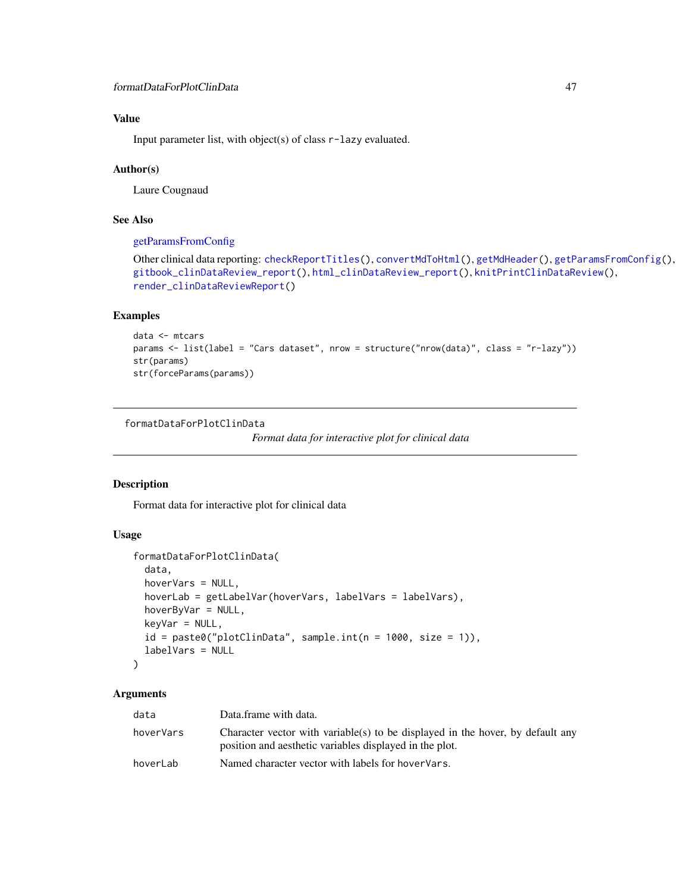Input parameter list, with object(s) of class r-lazy evaluated.

#### Author(s)

Laure Cougnaud

### See Also

[getParamsFromConfig](#page-59-0)

```
Other clinical data reporting: checkReportTitles(), convertMdToHtml(), getMdHeader(), getParamsFromConfig(),
gitbook_clinDataReview_report(), html_clinDataReview_report(), knitPrintClinDataReview(),
render_clinDataReviewReport()
```
# Examples

```
data <- mtcars
params <- list(label = "Cars dataset", nrow = structure("nrow(data)", class = "r-lazy"))
str(params)
str(forceParams(params))
```
formatDataForPlotClinData

*Format data for interactive plot for clinical data*

### Description

Format data for interactive plot for clinical data

### Usage

```
formatDataForPlotClinData(
  data,
  hoverVars = NULL,
 hoverLab = getLabelVar(hoverVars, labelVars = labelVars),
  hoverByVar = NULL,
 keyVar = NULL,
  id = paste0("plotClinData", sample.int(n = 1000, size = 1)),labelVars = NULL
)
```
# Arguments

| data      | Data.frame with data.                                                                                                                     |
|-----------|-------------------------------------------------------------------------------------------------------------------------------------------|
| hoverVars | Character vector with variable(s) to be displayed in the hover, by default any<br>position and aesthetic variables displayed in the plot. |
| hoverLab  | Named character vector with labels for hoverVars.                                                                                         |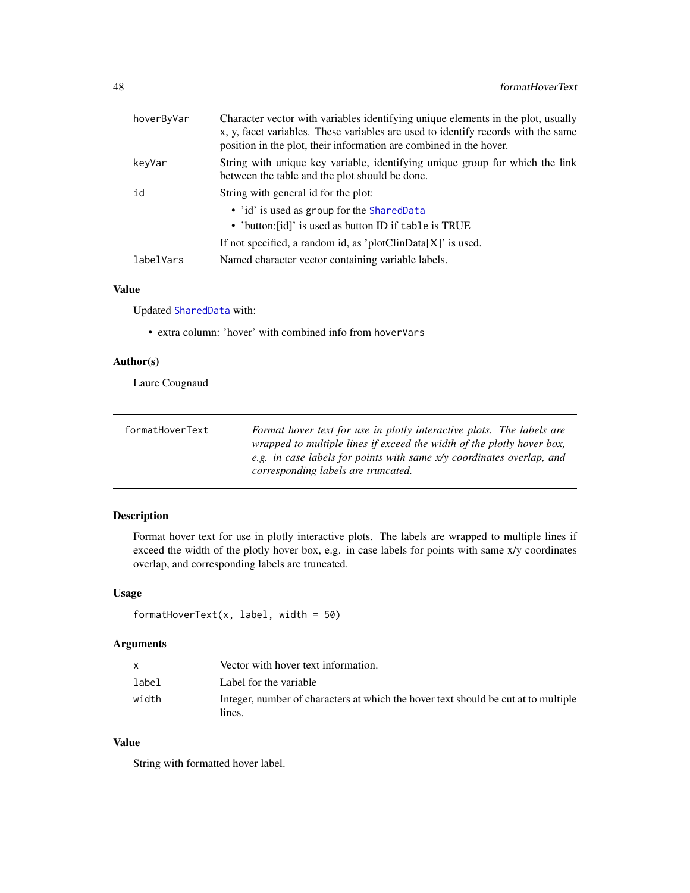| hoverByVar | Character vector with variables identifying unique elements in the plot, usually<br>x, y, facet variables. These variables are used to identify records with the same<br>position in the plot, their information are combined in the hover. |  |
|------------|---------------------------------------------------------------------------------------------------------------------------------------------------------------------------------------------------------------------------------------------|--|
| keyVar     | String with unique key variable, identifying unique group for which the link<br>between the table and the plot should be done.                                                                                                              |  |
| id         | String with general id for the plot:<br>• 'id' is used as group for the SharedData<br>• 'button: [id]' is used as button ID if table is TRUE<br>If not specified, a random id, as 'plotClinData $[X]$ ' is used.                            |  |
| labelVars  | Named character vector containing variable labels.                                                                                                                                                                                          |  |

Updated [SharedData](#page-0-0) with:

• extra column: 'hover' with combined info from hoverVars

# Author(s)

Laure Cougnaud

| formatHoverText | Format hover text for use in plotly interactive plots. The labels are   |
|-----------------|-------------------------------------------------------------------------|
|                 | wrapped to multiple lines if exceed the width of the plotly hover box,  |
|                 | e.g. in case labels for points with same $x/y$ coordinates overlap, and |
|                 | corresponding labels are truncated.                                     |

# Description

Format hover text for use in plotly interactive plots. The labels are wrapped to multiple lines if exceed the width of the plotly hover box, e.g. in case labels for points with same x/y coordinates overlap, and corresponding labels are truncated.

# Usage

```
formatHoverText(x, label, width = 50)
```
# Arguments

|       | Vector with hover text information.                                                |
|-------|------------------------------------------------------------------------------------|
| label | Label for the variable                                                             |
| width | Integer, number of characters at which the hover text should be cut at to multiple |
|       | lines.                                                                             |

### Value

String with formatted hover label.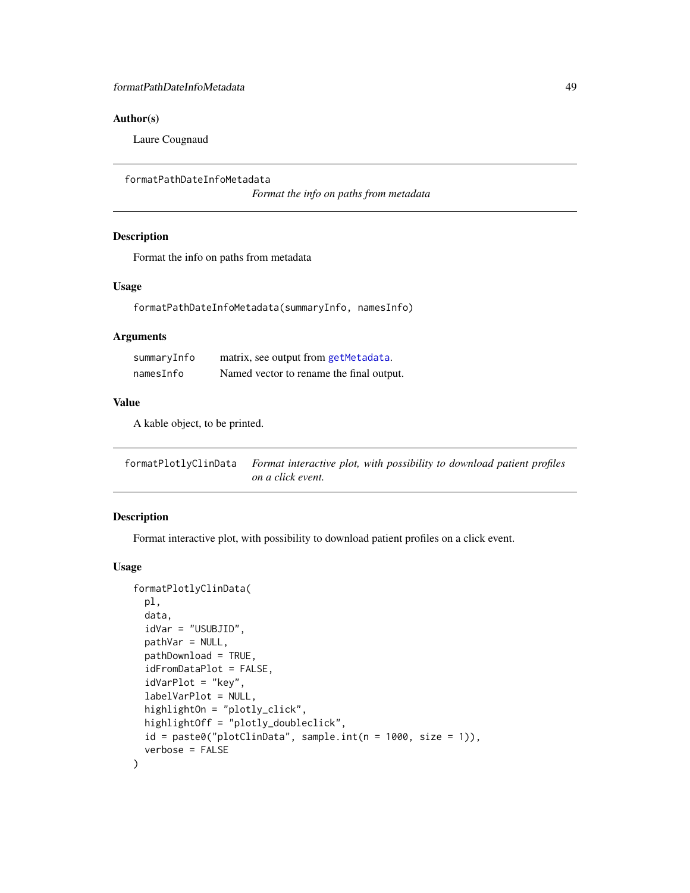### Author(s)

Laure Cougnaud

formatPathDateInfoMetadata

*Format the info on paths from metadata*

### Description

Format the info on paths from metadata

### Usage

formatPathDateInfoMetadata(summaryInfo, namesInfo)

#### Arguments

| summaryInfo | matrix, see output from getMetadata.     |
|-------------|------------------------------------------|
| namesInfo   | Named vector to rename the final output. |

#### Value

A kable object, to be printed.

| formatPlotlyClinData | Format interactive plot, with possibility to download patient profiles |
|----------------------|------------------------------------------------------------------------|
|                      | on a click event.                                                      |

#### Description

Format interactive plot, with possibility to download patient profiles on a click event.

#### Usage

```
formatPlotlyClinData(
 pl,
 data,
  idVar = "USUBJID",
 pathVar = NULL,
 pathDownload = TRUE,
  idFromDataPlot = FALSE,
  idVarPlot = "key",
  labelVarPlot = NULL,
 highlightOn = "plotly_click",
 highlightOff = "plotly_doubleclick",
 id = paste0("plotClinData", sample.int(n = 1000, size = 1)),verbose = FALSE
\mathcal{E}
```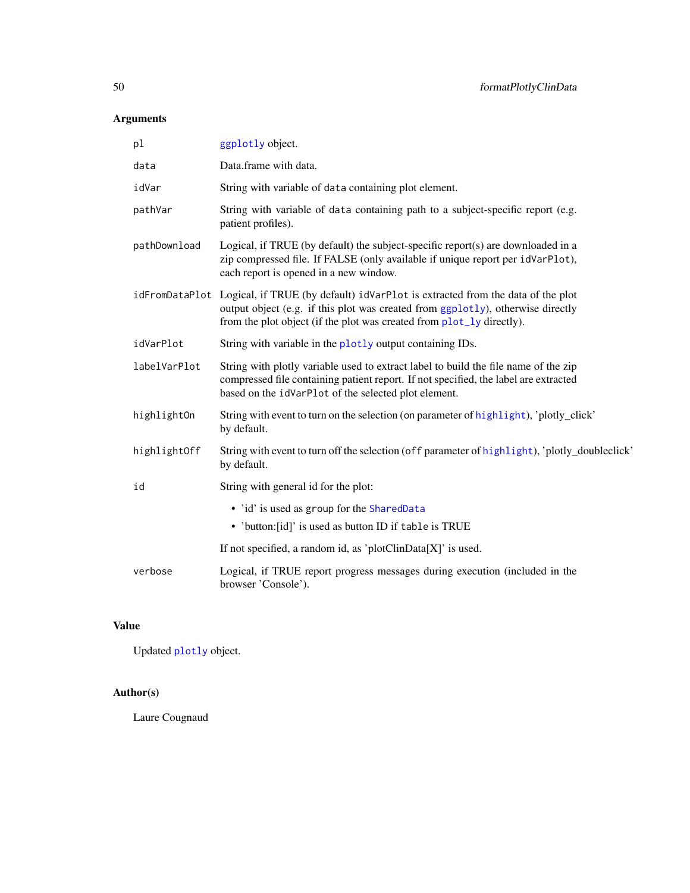# Arguments

| pl           | ggplotly object.                                                                                                                                                                                                                                          |
|--------------|-----------------------------------------------------------------------------------------------------------------------------------------------------------------------------------------------------------------------------------------------------------|
| data         | Data.frame with data.                                                                                                                                                                                                                                     |
| idVar        | String with variable of data containing plot element.                                                                                                                                                                                                     |
| pathVar      | String with variable of data containing path to a subject-specific report (e.g.<br>patient profiles).                                                                                                                                                     |
| pathDownload | Logical, if TRUE (by default) the subject-specific report(s) are downloaded in a<br>zip compressed file. If FALSE (only available if unique report per idVarPlot),<br>each report is opened in a new window.                                              |
|              | idFromDataPlot Logical, if TRUE (by default) idVarPlot is extracted from the data of the plot<br>output object (e.g. if this plot was created from ggplotly), otherwise directly<br>from the plot object (if the plot was created from plot_ly directly). |
| idVarPlot    | String with variable in the plotly output containing IDs.                                                                                                                                                                                                 |
| labelVarPlot | String with plotly variable used to extract label to build the file name of the zip<br>compressed file containing patient report. If not specified, the label are extracted<br>based on the idVarPlot of the selected plot element.                       |
| highlightOn  | String with event to turn on the selection (on parameter of highlight), 'plotly_click'<br>by default.                                                                                                                                                     |
| highlightOff | String with event to turn off the selection (off parameter of highlight), 'plotly_doubleclick'<br>by default.                                                                                                                                             |
| id           | String with general id for the plot:                                                                                                                                                                                                                      |
|              | • 'id' is used as group for the SharedData<br>• 'button: [id]' is used as button ID if table is TRUE                                                                                                                                                      |
|              | If not specified, a random id, as 'plotClinData[X]' is used.                                                                                                                                                                                              |
| verbose      | Logical, if TRUE report progress messages during execution (included in the<br>browser 'Console').                                                                                                                                                        |

# Value

Updated [plotly](#page-0-0) object.

# Author(s)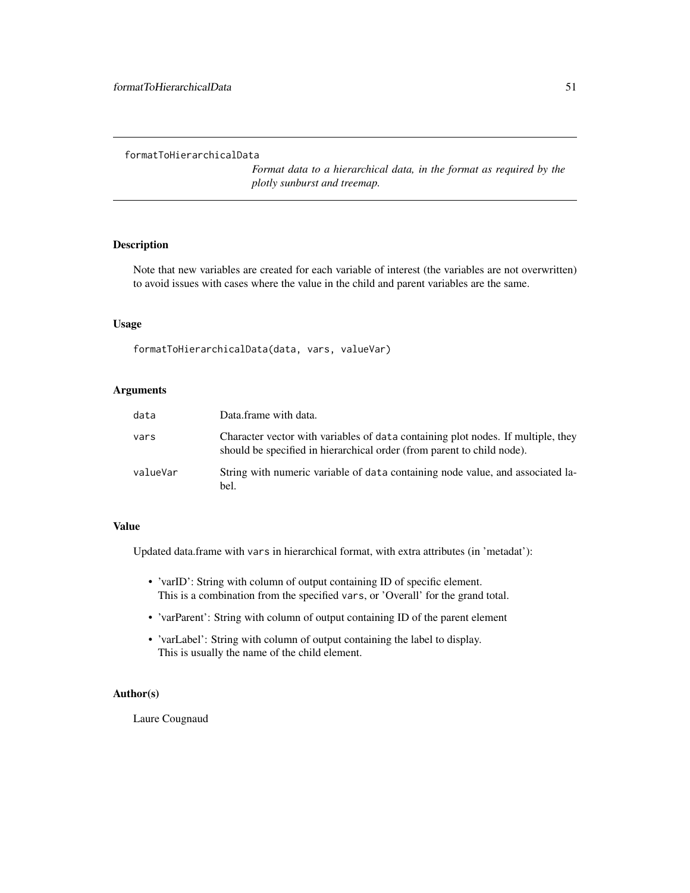formatToHierarchicalData

*Format data to a hierarchical data, in the format as required by the plotly sunburst and treemap.*

### Description

Note that new variables are created for each variable of interest (the variables are not overwritten) to avoid issues with cases where the value in the child and parent variables are the same.

#### Usage

formatToHierarchicalData(data, vars, valueVar)

# Arguments

| data     | Data.frame with data.                                                                                                                                      |
|----------|------------------------------------------------------------------------------------------------------------------------------------------------------------|
| vars     | Character vector with variables of data containing plot nodes. If multiple, they<br>should be specified in hierarchical order (from parent to child node). |
| valueVar | String with numeric variable of data containing node value, and associated la-<br>bel.                                                                     |

### Value

Updated data.frame with vars in hierarchical format, with extra attributes (in 'metadat'):

- 'varID': String with column of output containing ID of specific element. This is a combination from the specified vars, or 'Overall' for the grand total.
- 'varParent': String with column of output containing ID of the parent element
- 'varLabel': String with column of output containing the label to display. This is usually the name of the child element.

### Author(s)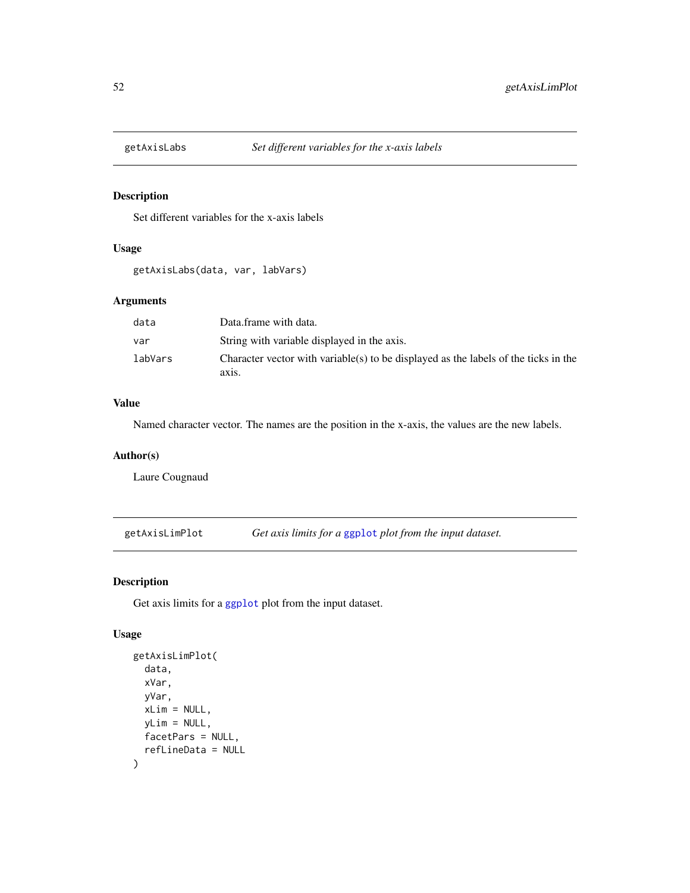# Description

Set different variables for the x-axis labels

# Usage

getAxisLabs(data, var, labVars)

### Arguments

| data    | Data.frame with data.                                                                        |
|---------|----------------------------------------------------------------------------------------------|
| var     | String with variable displayed in the axis.                                                  |
| labVars | Character vector with variable(s) to be displayed as the labels of the ticks in the<br>axis. |

# Value

Named character vector. The names are the position in the x-axis, the values are the new labels.

#### Author(s)

Laure Cougnaud

getAxisLimPlot *Get axis limits for a* [ggplot](#page-0-0) *plot from the input dataset.*

# Description

Get axis limits for a [ggplot](#page-0-0) plot from the input dataset.

### Usage

```
getAxisLimPlot(
  data,
  xVar,
  yVar,
  xLim = NULL,yLim = NULL,
  facetPars = NULL,
  refLineData = NULL
\mathcal{E}
```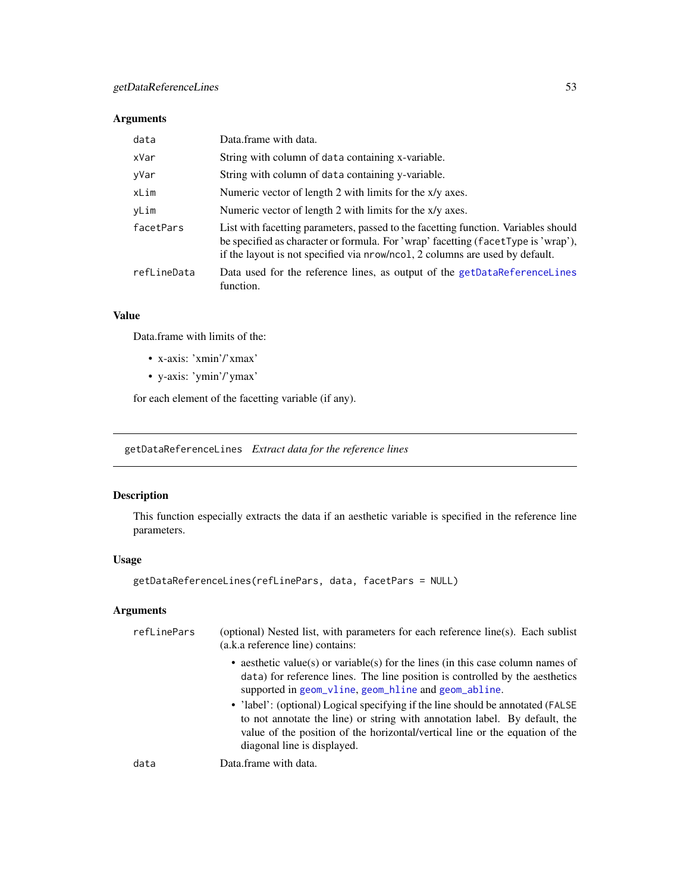# Arguments

| data        | Data.frame with data.                                                                                                                                                                                                                                  |
|-------------|--------------------------------------------------------------------------------------------------------------------------------------------------------------------------------------------------------------------------------------------------------|
| xVar        | String with column of data containing x-variable.                                                                                                                                                                                                      |
| yVar        | String with column of data containing y-variable.                                                                                                                                                                                                      |
| xLim        | Numeric vector of length 2 with limits for the x/y axes.                                                                                                                                                                                               |
| yLim        | Numeric vector of length 2 with limits for the x/y axes.                                                                                                                                                                                               |
| facetPars   | List with facetting parameters, passed to the facetting function. Variables should<br>be specified as character or formula. For 'wrap' faceting (facetType is 'wrap'),<br>if the layout is not specified via nrow/ncol, 2 columns are used by default. |
| refLineData | Data used for the reference lines, as output of the getDataReferenceLines<br>function.                                                                                                                                                                 |

#### Value

Data.frame with limits of the:

- x-axis: 'xmin'/'xmax'
- y-axis: 'ymin'/'ymax'

for each element of the facetting variable (if any).

<span id="page-52-0"></span>getDataReferenceLines *Extract data for the reference lines*

# Description

This function especially extracts the data if an aesthetic variable is specified in the reference line parameters.

### Usage

getDataReferenceLines(refLinePars, data, facetPars = NULL)

# Arguments

| refLinePars | (optional) Nested list, with parameters for each reference line(s). Each sublist<br>(a.k.a reference line) contains:                                                                                                                                                         |
|-------------|------------------------------------------------------------------------------------------------------------------------------------------------------------------------------------------------------------------------------------------------------------------------------|
|             | • aesthetic value(s) or variable(s) for the lines (in this case column names of<br>data) for reference lines. The line position is controlled by the aesthetics<br>supported in geom_vline, geom_hline and geom_abline.                                                      |
|             | • 'label': (optional) Logical specifying if the line should be annotated (FALSE<br>to not annotate the line) or string with annotation label. By default, the<br>value of the position of the horizontal/vertical line or the equation of the<br>diagonal line is displayed. |
| data        | Data.frame with data.                                                                                                                                                                                                                                                        |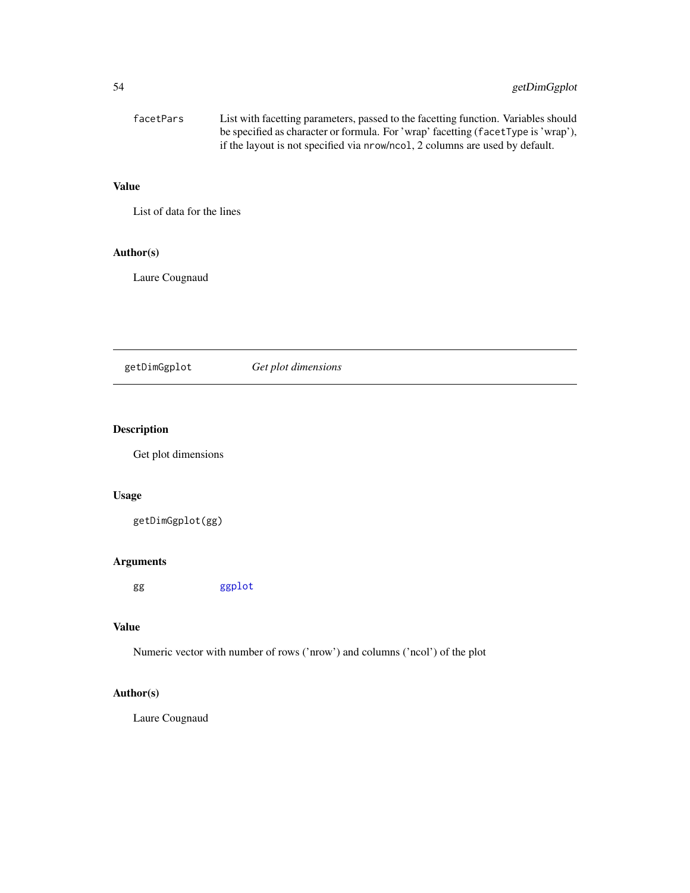| facetPars | List with facetting parameters, passed to the facetting function. Variables should |
|-----------|------------------------------------------------------------------------------------|
|           | be specified as character or formula. For 'wrap' facetting (facetType is 'wrap'),  |
|           | if the layout is not specified via nrow/ncol, 2 columns are used by default.       |

List of data for the lines

# Author(s)

Laure Cougnaud

# getDimGgplot *Get plot dimensions*

# Description

Get plot dimensions

# Usage

```
getDimGgplot(gg)
```
# Arguments

gg<br>[ggplot](#page-0-0)

# Value

Numeric vector with number of rows ('nrow') and columns ('ncol') of the plot

# Author(s)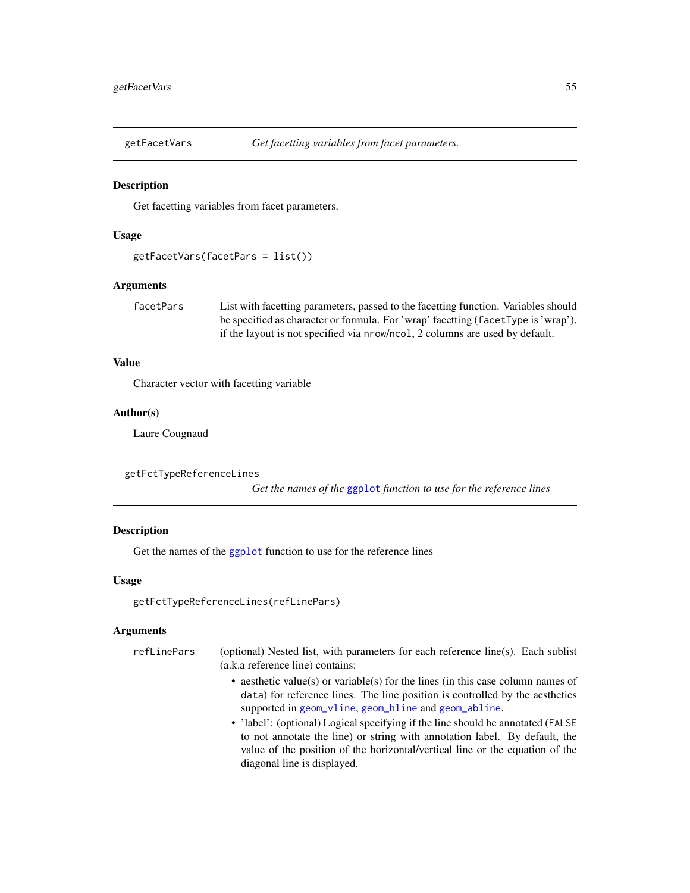### **Description**

Get facetting variables from facet parameters.

#### Usage

```
getFacetVars(facetPars = list())
```
#### Arguments

facetPars List with facetting parameters, passed to the facetting function. Variables should be specified as character or formula. For 'wrap' facetting (facetType is 'wrap'), if the layout is not specified via nrow/ncol, 2 columns are used by default.

#### Value

Character vector with facetting variable

#### Author(s)

Laure Cougnaud

```
getFctTypeReferenceLines
```
*Get the names of the* [ggplot](#page-0-0) *function to use for the reference lines*

### Description

Get the names of the [ggplot](#page-0-0) function to use for the reference lines

#### Usage

```
getFctTypeReferenceLines(refLinePars)
```
### Arguments

refLinePars (optional) Nested list, with parameters for each reference line(s). Each sublist (a.k.a reference line) contains:

- aesthetic value(s) or variable(s) for the lines (in this case column names of data) for reference lines. The line position is controlled by the aesthetics supported in [geom\\_vline](#page-0-0), [geom\\_hline](#page-0-0) and [geom\\_abline](#page-0-0).
- 'label': (optional) Logical specifying if the line should be annotated (FALSE) to not annotate the line) or string with annotation label. By default, the value of the position of the horizontal/vertical line or the equation of the diagonal line is displayed.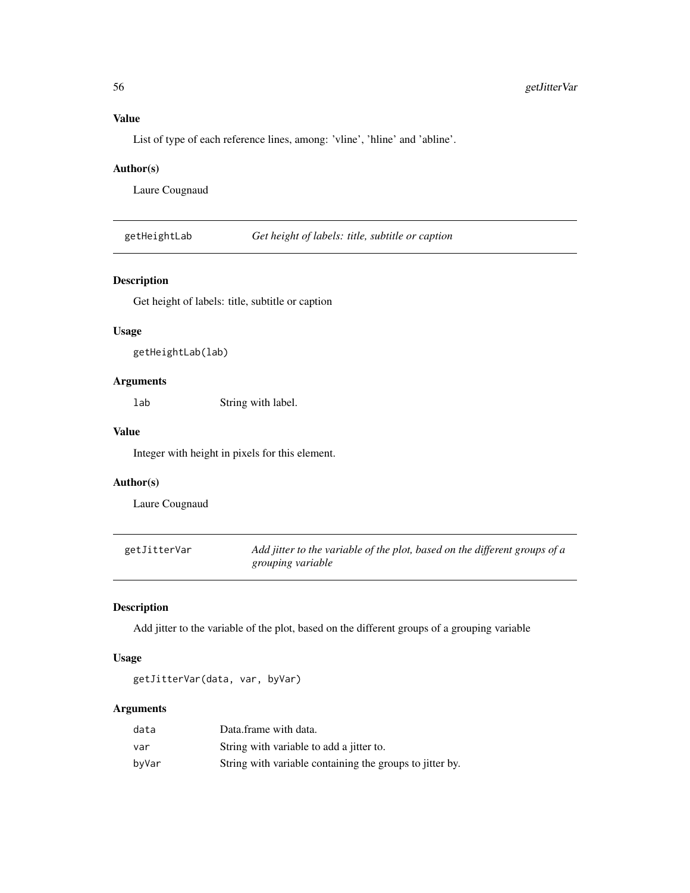List of type of each reference lines, among: 'vline', 'hline' and 'abline'.

# Author(s)

Laure Cougnaud

getHeightLab *Get height of labels: title, subtitle or caption*

### Description

Get height of labels: title, subtitle or caption

# Usage

getHeightLab(lab)

# Arguments

lab String with label.

#### Value

Integer with height in pixels for this element.

#### Author(s)

Laure Cougnaud

getJitterVar *Add jitter to the variable of the plot, based on the different groups of a grouping variable*

# Description

Add jitter to the variable of the plot, based on the different groups of a grouping variable

### Usage

```
getJitterVar(data, var, byVar)
```
### Arguments

| data  | Data.frame with data.                                    |
|-------|----------------------------------------------------------|
| var   | String with variable to add a jitter to.                 |
| byVar | String with variable containing the groups to jitter by. |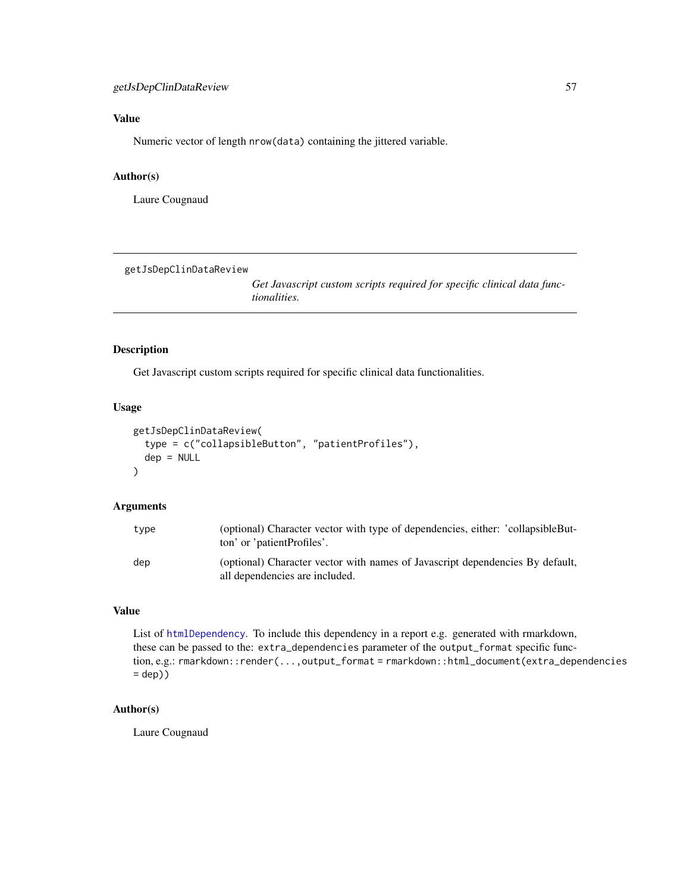Numeric vector of length nrow(data) containing the jittered variable.

# Author(s)

Laure Cougnaud

getJsDepClinDataReview

*Get Javascript custom scripts required for specific clinical data functionalities.*

### Description

Get Javascript custom scripts required for specific clinical data functionalities.

#### Usage

```
getJsDepClinDataReview(
  type = c("collapsibleButton", "patientProfiles"),
  dep = NULL)
```
#### Arguments

| type | (optional) Character vector with type of dependencies, either: 'collapsibleBut-<br>ton' or 'patientProfiles'.   |
|------|-----------------------------------------------------------------------------------------------------------------|
| dep  | (optional) Character vector with names of Javascript dependencies By default,<br>all dependencies are included. |

#### Value

List of [htmlDependency](#page-0-0). To include this dependency in a report e.g. generated with rmarkdown, these can be passed to the: extra\_dependencies parameter of the output\_format specific function, e.g.: rmarkdown::render(...,output\_format = rmarkdown::html\_document(extra\_dependencies = dep))

### Author(s)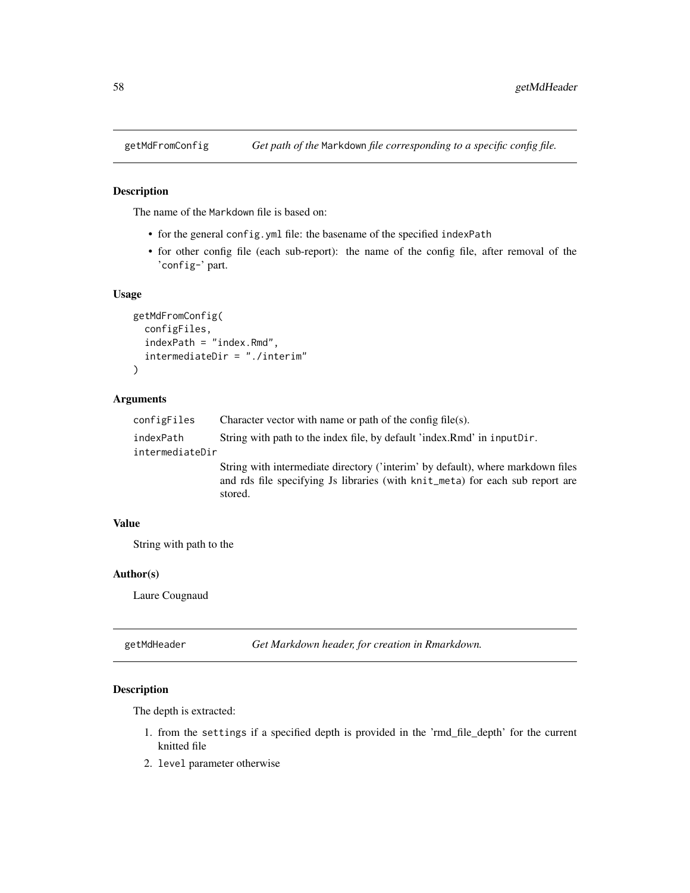#### Description

The name of the Markdown file is based on:

- for the general config.yml file: the basename of the specified indexPath
- for other config file (each sub-report): the name of the config file, after removal of the 'config-' part.

#### Usage

```
getMdFromConfig(
  configFiles,
  indexPath = "index.Rmd",
  intermediateDir = "./interim"
\lambda
```
#### Arguments

| configFiles     | Character vector with name or path of the config file(s).                                                                                                                   |
|-----------------|-----------------------------------------------------------------------------------------------------------------------------------------------------------------------------|
| indexPath       | String with path to the index file, by default 'index.Rmd' in inputDir.                                                                                                     |
| intermediateDir |                                                                                                                                                                             |
|                 | String with intermediate directory ('interim' by default), where markdown files<br>and rds file specifying Js libraries (with knit meta) for each sub report are<br>stored. |

#### Value

String with path to the

#### Author(s)

Laure Cougnaud

<span id="page-57-0"></span>getMdHeader *Get Markdown header, for creation in Rmarkdown.*

### Description

The depth is extracted:

- 1. from the settings if a specified depth is provided in the 'rmd\_file\_depth' for the current knitted file
- 2. level parameter otherwise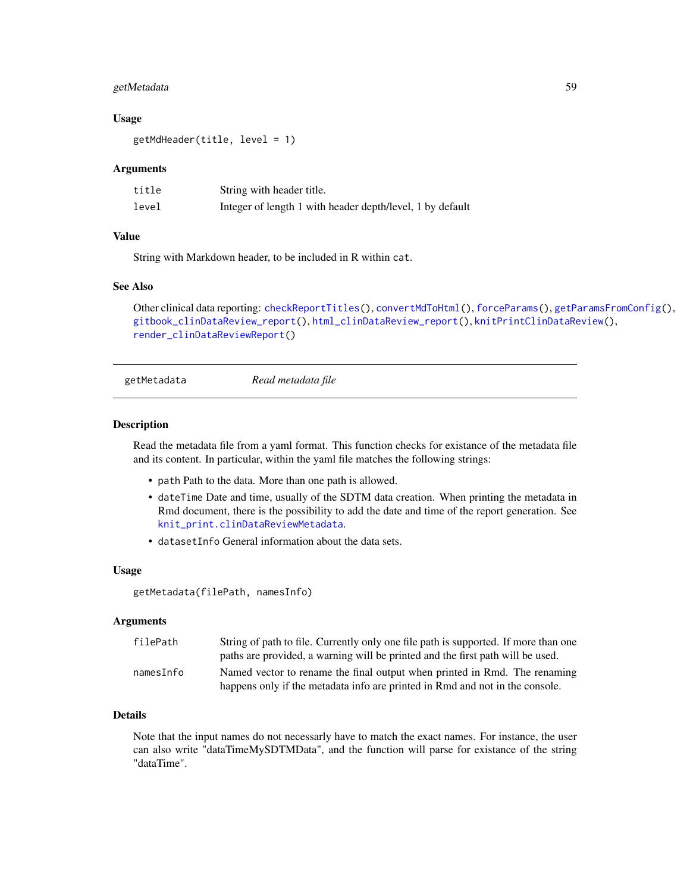### getMetadata 59

#### Usage

getMdHeader(title, level = 1)

#### Arguments

| title | String with header title.                                 |
|-------|-----------------------------------------------------------|
| level | Integer of length 1 with header depth/level, 1 by default |

### Value

String with Markdown header, to be included in R within cat.

## See Also

```
checkReportTitles(convertMdToHtml(forceParams(getParamsFromConfig(),
gitbook_clinDataReview_report(), html_clinDataReview_report(), knitPrintClinDataReview(),
render_clinDataReviewReport()
```

```
getMetadata Read metadata file
```
#### Description

Read the metadata file from a yaml format. This function checks for existance of the metadata file and its content. In particular, within the yaml file matches the following strings:

- path Path to the data. More than one path is allowed.
- dateTime Date and time, usually of the SDTM data creation. When printing the metadata in Rmd document, there is the possibility to add the date and time of the report generation. See [knit\\_print.clinDataReviewMetadata](#page-71-0).
- datasetInfo General information about the data sets.

#### Usage

```
getMetadata(filePath, namesInfo)
```
#### Arguments

| filePath  | String of path to file. Currently only one file path is supported. If more than one |
|-----------|-------------------------------------------------------------------------------------|
|           | paths are provided, a warning will be printed and the first path will be used.      |
| namesInfo | Named vector to rename the final output when printed in Rmd. The renaming           |
|           | happens only if the metadata info are printed in Rmd and not in the console.        |

### Details

Note that the input names do not necessarly have to match the exact names. For instance, the user can also write "dataTimeMySDTMData", and the function will parse for existance of the string "dataTime".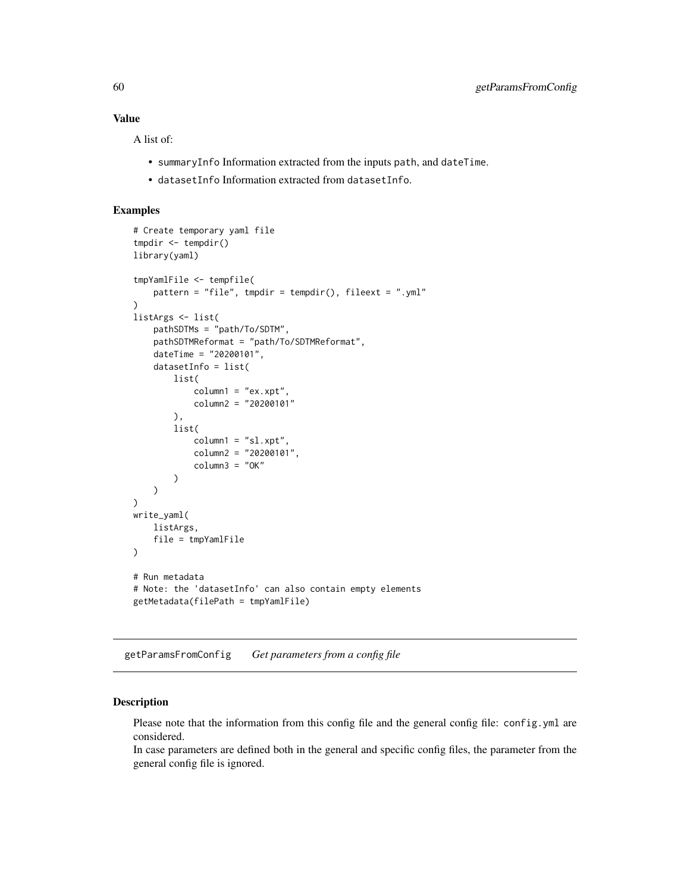A list of:

- summaryInfo Information extracted from the inputs path, and dateTime.
- datasetInfo Information extracted from datasetInfo.

# Examples

```
# Create temporary yaml file
tmpdir <- tempdir()
library(yaml)
tmpYamlFile <- tempfile(
    pattern = "file", tmpdir = tempdir(), fileext = ".yml"
)
listArgs <- list(
   pathSDTMs = "path/To/SDTM",
   pathSDTMReformat = "path/To/SDTMReformat",
    dateTime = "20200101",
    datasetInfo = list(
        list(
            column1 = "ex.xpt",
            column2 = "20200101"
        ),
        list(
            column1 = "sl.xt",column2 = "20200101",
            column3 = "OK")
   )
)
write_yaml(
   listArgs,
    file = tmpYamlFile
)
# Run metadata
# Note: the 'datasetInfo' can also contain empty elements
getMetadata(filePath = tmpYamlFile)
```
<span id="page-59-0"></span>getParamsFromConfig *Get parameters from a config file*

#### Description

Please note that the information from this config file and the general config file: config.yml are considered.

In case parameters are defined both in the general and specific config files, the parameter from the general config file is ignored.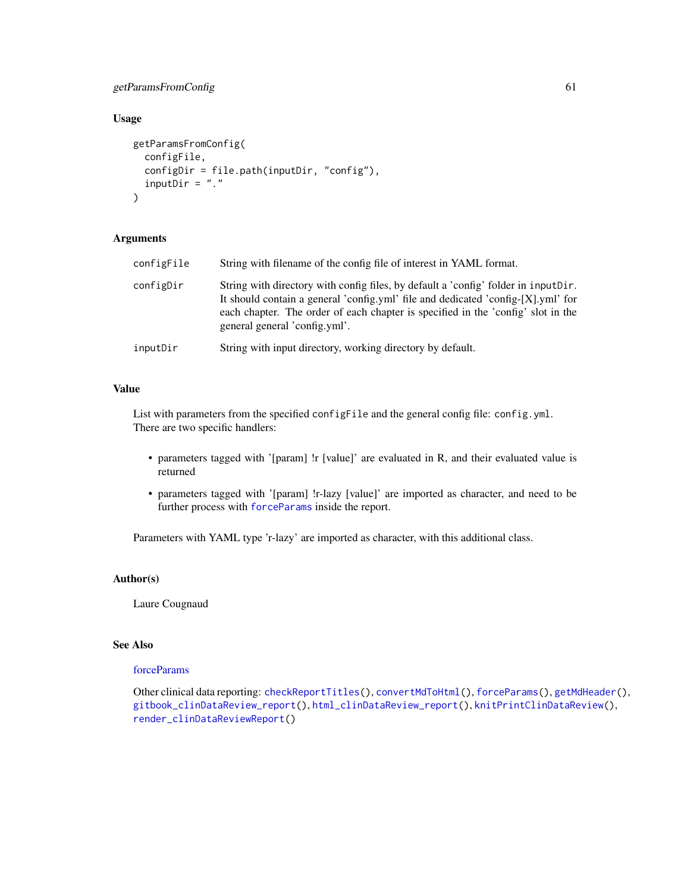# getParamsFromConfig 61

# Usage

```
getParamsFromConfig(
 configFile,
 configDir = file.path(inputDir, "config"),
  inputDir = ".")
```
#### Arguments

| configFile | String with filename of the config file of interest in YAML format.                                                                                                                                                                                                                             |
|------------|-------------------------------------------------------------------------------------------------------------------------------------------------------------------------------------------------------------------------------------------------------------------------------------------------|
| configDir  | String with directory with config files, by default a 'config' folder in inputDir.<br>It should contain a general 'config.yml' file and dedicated 'config. $[X]$ .yml' for<br>each chapter. The order of each chapter is specified in the 'config' slot in the<br>general general 'config.yml'. |
| inputDir   | String with input directory, working directory by default.                                                                                                                                                                                                                                      |

### Value

List with parameters from the specified configFile and the general config file: config.yml. There are two specific handlers:

- parameters tagged with '[param] !r [value]' are evaluated in R, and their evaluated value is returned
- parameters tagged with '[param] !r-lazy [value]' are imported as character, and need to be further process with [forceParams](#page-45-0) inside the report.

Parameters with YAML type 'r-lazy' are imported as character, with this additional class.

### Author(s)

Laure Cougnaud

# See Also

#### [forceParams](#page-45-0)

Other clinical data reporting: [checkReportTitles\(](#page-18-0)), [convertMdToHtml\(](#page-29-0)), [forceParams\(](#page-45-0)), [getMdHeader\(](#page-57-0)), [gitbook\\_clinDataReview\\_report\(](#page-66-0)), [html\\_clinDataReview\\_report\(](#page-67-0)), [knitPrintClinDataReview\(](#page-69-0)), [render\\_clinDataReviewReport\(](#page-79-0))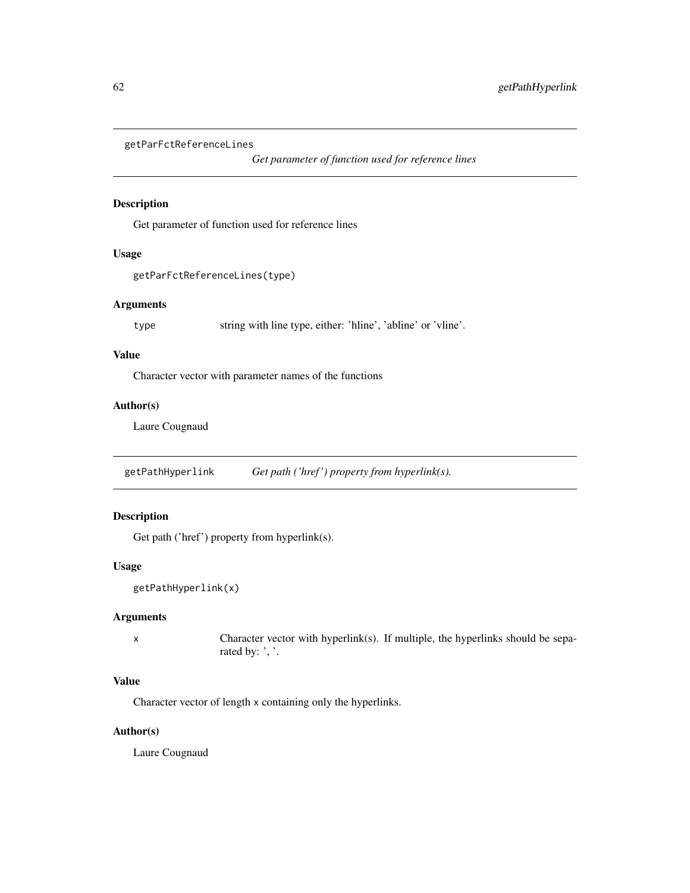```
getParFctReferenceLines
```
*Get parameter of function used for reference lines*

# Description

Get parameter of function used for reference lines

### Usage

```
getParFctReferenceLines(type)
```
# Arguments

type string with line type, either: 'hline', 'abline' or 'vline'.

# Value

Character vector with parameter names of the functions

### Author(s)

Laure Cougnaud

getPathHyperlink *Get path ('href ') property from hyperlink(s).*

### Description

Get path ('href') property from hyperlink(s).

# Usage

```
getPathHyperlink(x)
```
#### Arguments

```
x Character vector with hyperlink(s). If multiple, the hyperlinks should be sepa-
                rated by: ', '.
```
# Value

Character vector of length x containing only the hyperlinks.

### Author(s)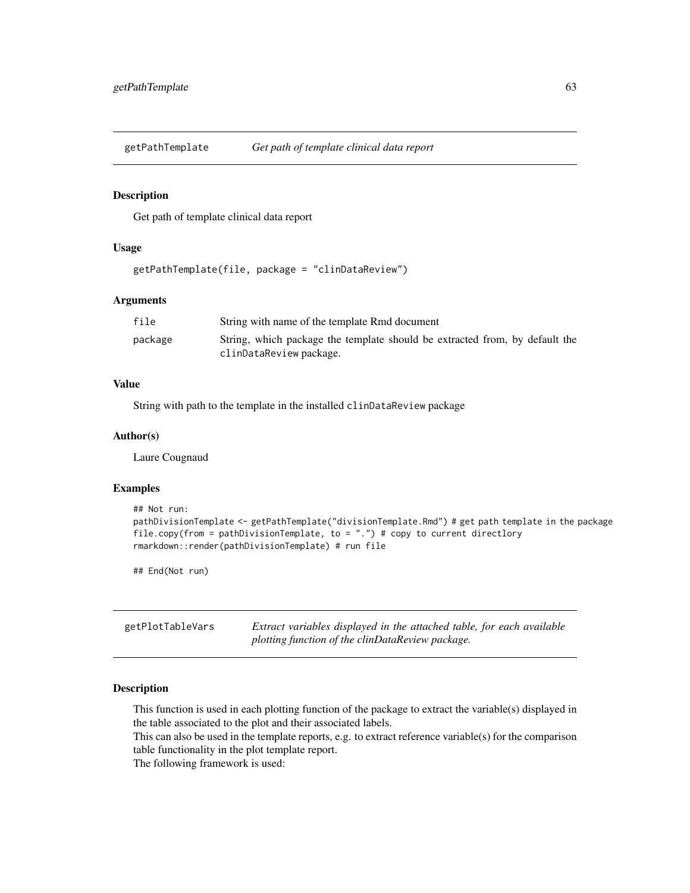getPathTemplate *Get path of template clinical data report*

#### Description

Get path of template clinical data report

# Usage

```
getPathTemplate(file, package = "clinDataReview")
```
#### Arguments

| file    | String with name of the template Rmd document                                                          |
|---------|--------------------------------------------------------------------------------------------------------|
| package | String, which package the template should be extracted from, by default the<br>clinDataReview package. |

#### Value

String with path to the template in the installed clinDataReview package

#### Author(s)

Laure Cougnaud

#### Examples

```
## Not run:
pathDivisionTemplate <- getPathTemplate("divisionTemplate.Rmd") # get path template in the package
file.copy(from = pathDivisionTemplate, to = ".") # copy to current directlory
rmarkdown::render(pathDivisionTemplate) # run file
```
## End(Not run)

getPlotTableVars *Extract variables displayed in the attached table, for each available plotting function of the clinDataReview package.*

# Description

This function is used in each plotting function of the package to extract the variable(s) displayed in the table associated to the plot and their associated labels.

This can also be used in the template reports, e.g. to extract reference variable(s) for the comparison table functionality in the plot template report.

The following framework is used: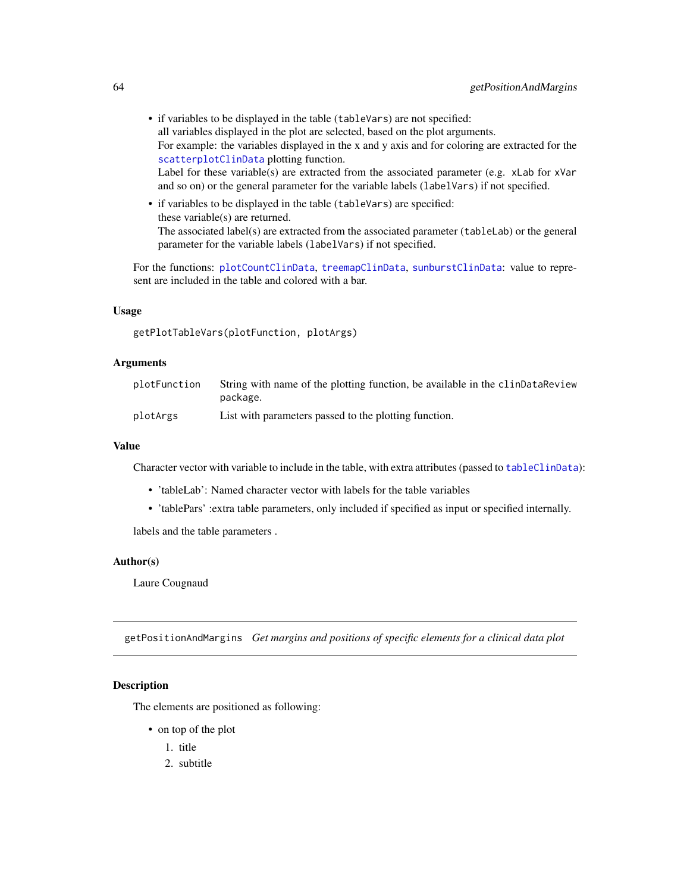- if variables to be displayed in the table (tableVars) are not specified: all variables displayed in the plot are selected, based on the plot arguments. For example: the variables displayed in the x and y axis and for coloring are extracted for the [scatterplotClinData](#page-81-0) plotting function. Label for these variable(s) are extracted from the associated parameter (e.g.  $x$ Lab for  $x$ Var and so on) or the general parameter for the variable labels (labelVars) if not specified.
- if variables to be displayed in the table (tableVars) are specified: these variable(s) are returned. The associated label(s) are extracted from the associated parameter (tableLab) or the general parameter for the variable labels (labelVars) if not specified.

For the functions: [plotCountClinData](#page-74-0), [treemapClinData](#page-101-0), [sunburstClinData](#page-92-0): value to represent are included in the table and colored with a bar.

#### Usage

getPlotTableVars(plotFunction, plotArgs)

### Arguments

| plotFunction | String with name of the plotting function, be available in the clinDataReview<br>package. |
|--------------|-------------------------------------------------------------------------------------------|
| plotArgs     | List with parameters passed to the plotting function.                                     |

#### Value

Character vector with variable to include in the table, with extra attributes (passed to [tableClinData](#page-95-0)):

- 'tableLab': Named character vector with labels for the table variables
- 'tablePars' :extra table parameters, only included if specified as input or specified internally.

labels and the table parameters .

#### Author(s)

Laure Cougnaud

getPositionAndMargins *Get margins and positions of specific elements for a clinical data plot*

#### **Description**

The elements are positioned as following:

- on top of the plot
	- 1. title
	- 2. subtitle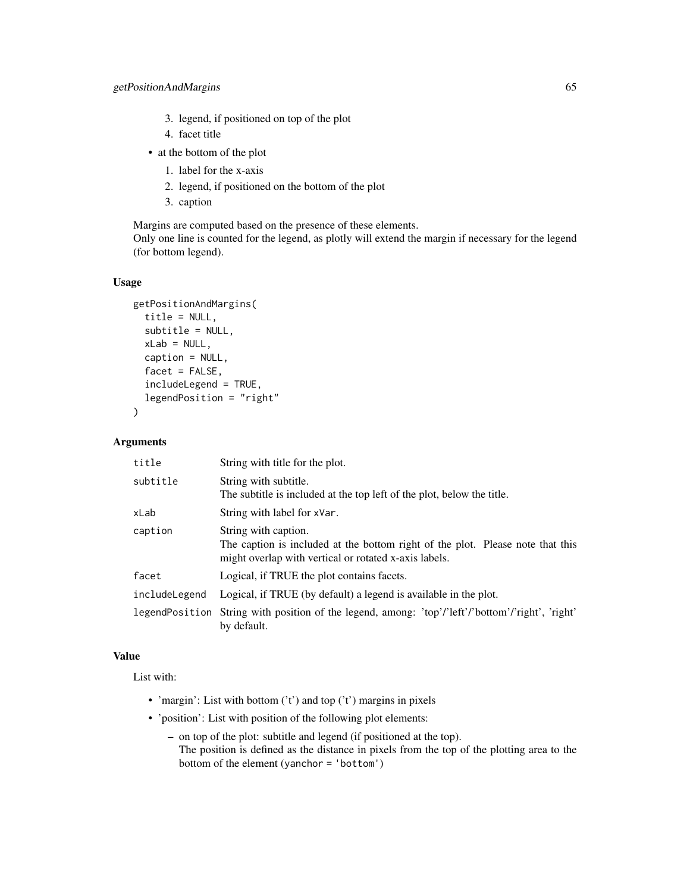- 3. legend, if positioned on top of the plot
- 4. facet title
- at the bottom of the plot
	- 1. label for the x-axis
	- 2. legend, if positioned on the bottom of the plot
	- 3. caption

Margins are computed based on the presence of these elements. Only one line is counted for the legend, as plotly will extend the margin if necessary for the legend (for bottom legend).

#### Usage

```
getPositionAndMargins(
  title = NULL,
  subtitle = NULL,
  xLab = NULL,caption = NULL,
  facet = FALSE,includeLegend = TRUE,
  legendPosition = "right"
)
```
### Arguments

| title          | String with title for the plot.                                                                                                                                 |
|----------------|-----------------------------------------------------------------------------------------------------------------------------------------------------------------|
| subtitle       | String with subtitle.<br>The subtitle is included at the top left of the plot, below the title.                                                                 |
| xLab           | String with label for xVar.                                                                                                                                     |
| caption        | String with caption.<br>The caption is included at the bottom right of the plot. Please note that this<br>might overlap with vertical or rotated x-axis labels. |
| facet          | Logical, if TRUE the plot contains facets.                                                                                                                      |
| includeLegend  | Logical, if TRUE (by default) a legend is available in the plot.                                                                                                |
| legendPosition | String with position of the legend, among: 'top'/'left'/'bottom'/'right', 'right'<br>by default.                                                                |

# Value

List with:

- 'margin': List with bottom ('t') and top ('t') margins in pixels
- 'position': List with position of the following plot elements:
	- on top of the plot: subtitle and legend (if positioned at the top). The position is defined as the distance in pixels from the top of the plotting area to the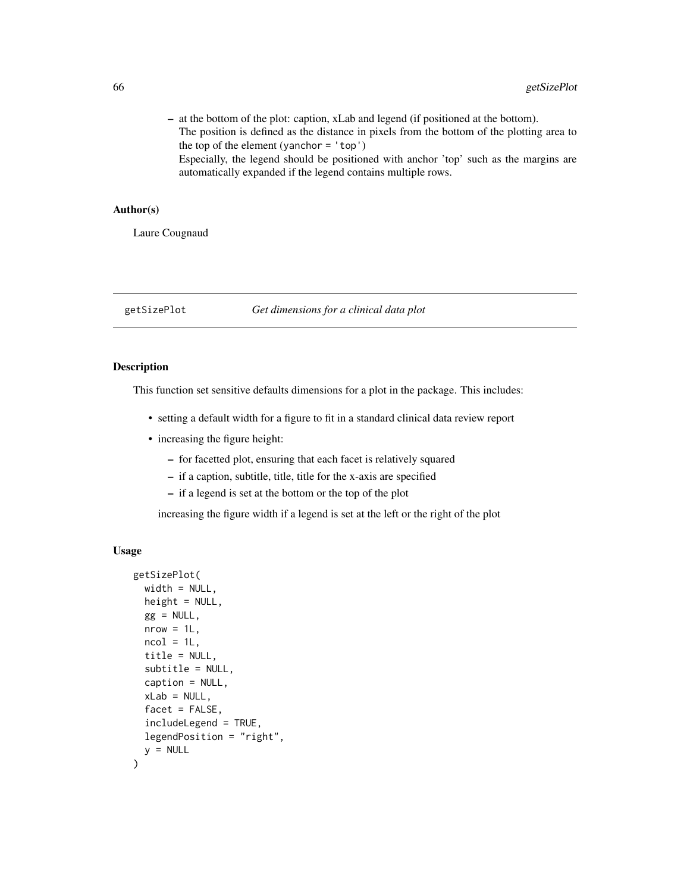- at the bottom of the plot: caption, xLab and legend (if positioned at the bottom). The position is defined as the distance in pixels from the bottom of the plotting area to the top of the element (yanchor  $= 'top')$ Especially, the legend should be positioned with anchor 'top' such as the margins are
	- automatically expanded if the legend contains multiple rows.

#### Author(s)

Laure Cougnaud

# getSizePlot *Get dimensions for a clinical data plot*

# Description

This function set sensitive defaults dimensions for a plot in the package. This includes:

- setting a default width for a figure to fit in a standard clinical data review report
- increasing the figure height:
	- for facetted plot, ensuring that each facet is relatively squared
	- if a caption, subtitle, title, title for the x-axis are specified
	- if a legend is set at the bottom or the top of the plot

increasing the figure width if a legend is set at the left or the right of the plot

### Usage

```
getSizePlot(
  width = NULL,height = NULL,gg = NULL,nrow = 1L,
  ncol = 1L,
  title = NULL,
  subtitle = NULL,
  caption = NULL,
  xLab = NULL,
  facet = FALSE,includeLegend = TRUE,
  legendPosition = "right",
  y = NULL)
```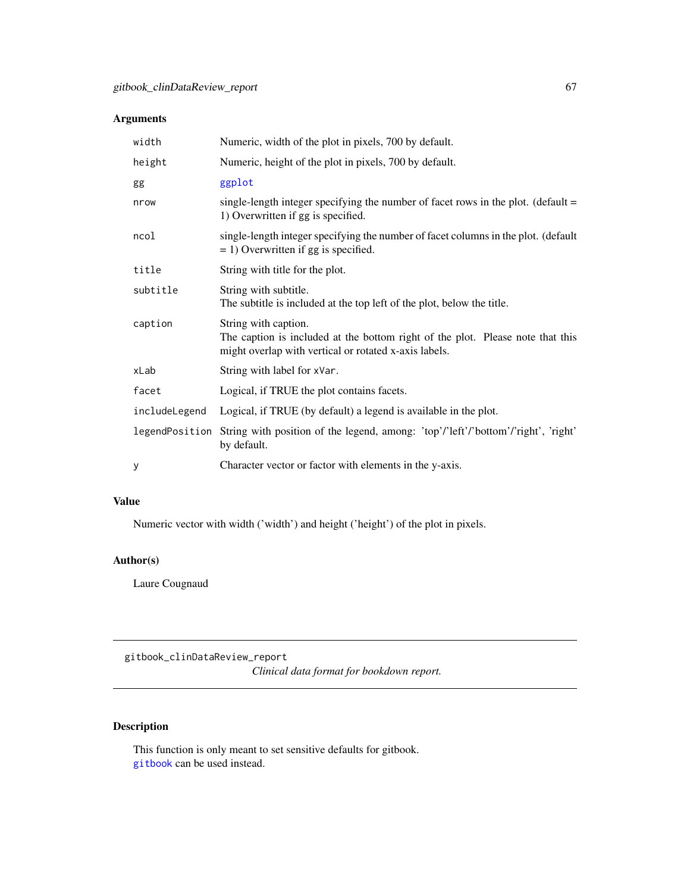# Arguments

| width         | Numeric, width of the plot in pixels, 700 by default.                                                                                                           |
|---------------|-----------------------------------------------------------------------------------------------------------------------------------------------------------------|
| height        | Numeric, height of the plot in pixels, 700 by default.                                                                                                          |
| gg            | ggplot                                                                                                                                                          |
| nrow          | single-length integer specifying the number of facet rows in the plot. (default $=$<br>1) Overwritten if gg is specified.                                       |
| ncol          | single-length integer specifying the number of facet columns in the plot. (default<br>$= 1$ ) Overwritten if gg is specified.                                   |
| title         | String with title for the plot.                                                                                                                                 |
| subtitle      | String with subtitle.<br>The subtitle is included at the top left of the plot, below the title.                                                                 |
| caption       | String with caption.<br>The caption is included at the bottom right of the plot. Please note that this<br>might overlap with vertical or rotated x-axis labels. |
| xLab          | String with label for xVar.                                                                                                                                     |
| facet         | Logical, if TRUE the plot contains facets.                                                                                                                      |
| includeLegend | Logical, if TRUE (by default) a legend is available in the plot.                                                                                                |
|               | legendPosition String with position of the legend, among: 'top'/'left'/'bottom'/'right', 'right'<br>by default.                                                 |
| у             | Character vector or factor with elements in the y-axis.                                                                                                         |

#### Value

Numeric vector with width ('width') and height ('height') of the plot in pixels.

### Author(s)

Laure Cougnaud

<span id="page-66-0"></span>gitbook\_clinDataReview\_report *Clinical data format for bookdown report.*

# Description

This function is only meant to set sensitive defaults for gitbook. [gitbook](#page-0-0) can be used instead.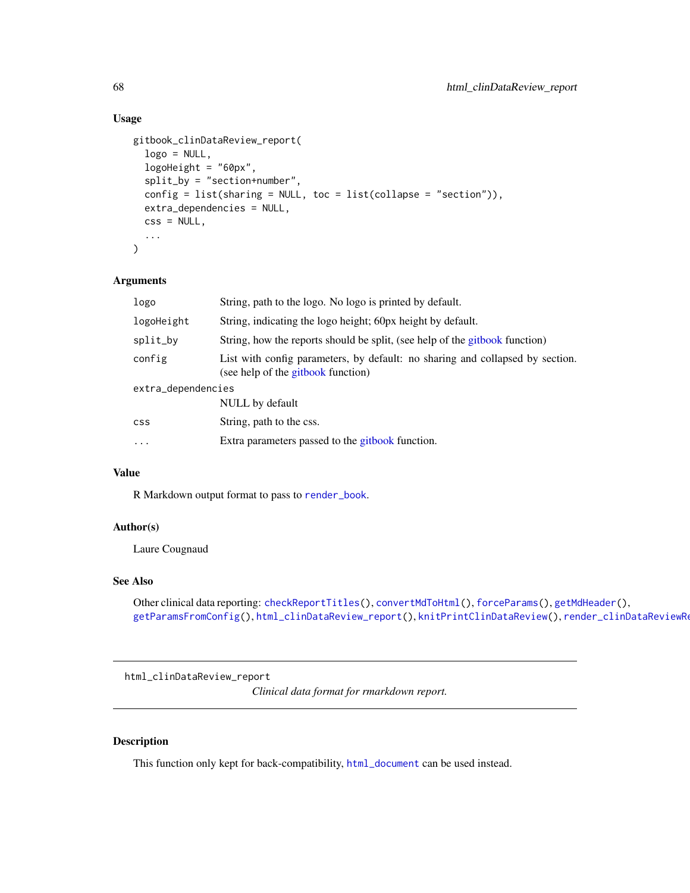#### Usage

```
gitbook_clinDataReview_report(
  logo = NULL,logoHeight = "60px",
  split_by = "section+number",
 config = list(sharing = NULL, toc = list(collapse = "section")),
  extra_dependencies = NULL,
 \text{css} = \text{NULL},
  ...
)
```
# Arguments

| String, path to the logo. No logo is printed by default.                                                            |  |
|---------------------------------------------------------------------------------------------------------------------|--|
| String, indicating the logo height; 60px height by default.                                                         |  |
| String, how the reports should be split, (see help of the gitbook function)                                         |  |
| List with config parameters, by default: no sharing and collapsed by section.<br>(see help of the gitbook function) |  |
| extra_dependencies                                                                                                  |  |
| NULL by default                                                                                                     |  |
| String, path to the css.                                                                                            |  |
| Extra parameters passed to the gitbook function.                                                                    |  |
|                                                                                                                     |  |

### Value

R Markdown output format to pass to [render\\_book](#page-0-0).

#### Author(s)

Laure Cougnaud

#### See Also

```
checkReportTitles(convertMdToHtml(forceParams(getMdHeader(),
getParamsFromConfig(), html_clinDataReview_report(), knitPrintClinDataReview(), render_clinDataReviewReport()
```
<span id="page-67-0"></span>html\_clinDataReview\_report

*Clinical data format for rmarkdown report.*

### Description

This function only kept for back-compatibility, [html\\_document](#page-0-0) can be used instead.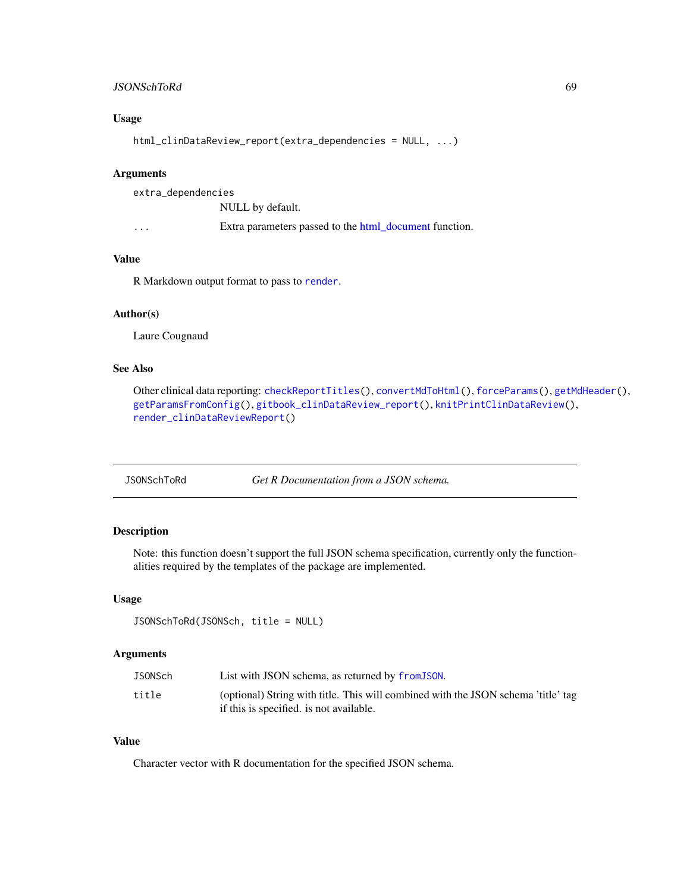### JSONSchToRd 69

# Usage

html\_clinDataReview\_report(extra\_dependencies = NULL, ...)

### Arguments

extra\_dependencies NULL by default.

... Extra parameters passed to the [html\\_document](#page-0-0) function.

### Value

R Markdown output format to pass to [render](#page-0-0).

### Author(s)

Laure Cougnaud

# See Also

Other clinical data reporting: [checkReportTitles\(](#page-18-0)), [convertMdToHtml\(](#page-29-0)), [forceParams\(](#page-45-0)), [getMdHeader\(](#page-57-0)), [getParamsFromConfig\(](#page-59-0)), [gitbook\\_clinDataReview\\_report\(](#page-66-0)), [knitPrintClinDataReview\(](#page-69-0)), [render\\_clinDataReviewReport\(](#page-79-0))

JSONSchToRd *Get R Documentation from a JSON schema.*

# Description

Note: this function doesn't support the full JSON schema specification, currently only the functionalities required by the templates of the package are implemented.

#### Usage

```
JSONSchToRd(JSONSch, title = NULL)
```
#### Arguments

| JSONSch | List with JSON schema, as returned by from JSON.                                  |
|---------|-----------------------------------------------------------------------------------|
| title   | (optional) String with title. This will combined with the JSON schema 'title' tag |
|         | if this is specified, is not available.                                           |

### Value

Character vector with R documentation for the specified JSON schema.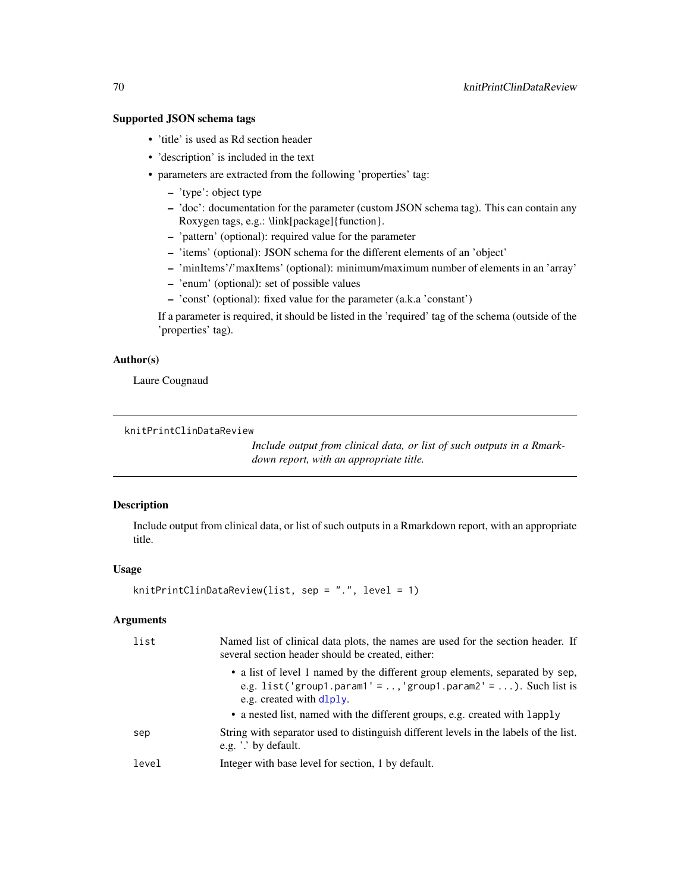### Supported JSON schema tags

- 'title' is used as Rd section header
- 'description' is included in the text
- parameters are extracted from the following 'properties' tag:
	- 'type': object type
	- 'doc': documentation for the parameter (custom JSON schema tag). This can contain any Roxygen tags, e.g.: \link[package]{function}.
	- 'pattern' (optional): required value for the parameter
	- 'items' (optional): JSON schema for the different elements of an 'object'
	- 'minItems'/'maxItems' (optional): minimum/maximum number of elements in an 'array'
	- 'enum' (optional): set of possible values
	- 'const' (optional): fixed value for the parameter (a.k.a 'constant')

If a parameter is required, it should be listed in the 'required' tag of the schema (outside of the 'properties' tag).

#### Author(s)

Laure Cougnaud

<span id="page-69-0"></span>knitPrintClinDataReview

*Include output from clinical data, or list of such outputs in a Rmarkdown report, with an appropriate title.*

#### Description

Include output from clinical data, or list of such outputs in a Rmarkdown report, with an appropriate title.

### Usage

```
knitPrintClinDataReview(list, sep = ".", level = 1)
```
### Arguments

| list  | Named list of clinical data plots, the names are used for the section header. If<br>several section header should be created, either:                                       |
|-------|-----------------------------------------------------------------------------------------------------------------------------------------------------------------------------|
|       | • a list of level 1 named by the different group elements, separated by sep,<br>e.g. list('group1.param1' = , 'group1.param2' = ). Such list is<br>e.g. created with dlply. |
|       | • a nested list, named with the different groups, e.g. created with lapply                                                                                                  |
| sep   | String with separator used to distinguish different levels in the labels of the list.<br>e.g. '.' by default.                                                               |
| level | Integer with base level for section, 1 by default.                                                                                                                          |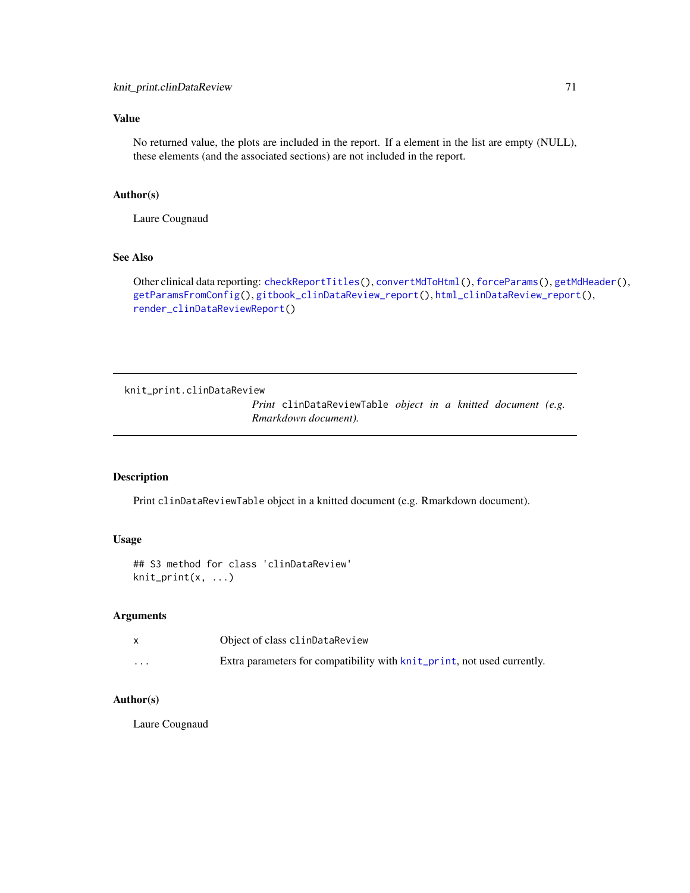No returned value, the plots are included in the report. If a element in the list are empty (NULL), these elements (and the associated sections) are not included in the report.

#### Author(s)

Laure Cougnaud

# See Also

Other clinical data reporting: [checkReportTitles\(](#page-18-0)), [convertMdToHtml\(](#page-29-0)), [forceParams\(](#page-45-0)), [getMdHeader\(](#page-57-0)), [getParamsFromConfig\(](#page-59-0)), [gitbook\\_clinDataReview\\_report\(](#page-66-0)), [html\\_clinDataReview\\_report\(](#page-67-0)), [render\\_clinDataReviewReport\(](#page-79-0))

knit\_print.clinDataReview

*Print* clinDataReviewTable *object in a knitted document (e.g. Rmarkdown document).*

# Description

Print clinDataReviewTable object in a knitted document (e.g. Rmarkdown document).

### Usage

```
## S3 method for class 'clinDataReview'
knit_print(x, ...)
```
#### Arguments

|                         | Object of class clinDataReview                                          |
|-------------------------|-------------------------------------------------------------------------|
| $\cdot$ $\cdot$ $\cdot$ | Extra parameters for compatibility with knit_print, not used currently. |

# Author(s)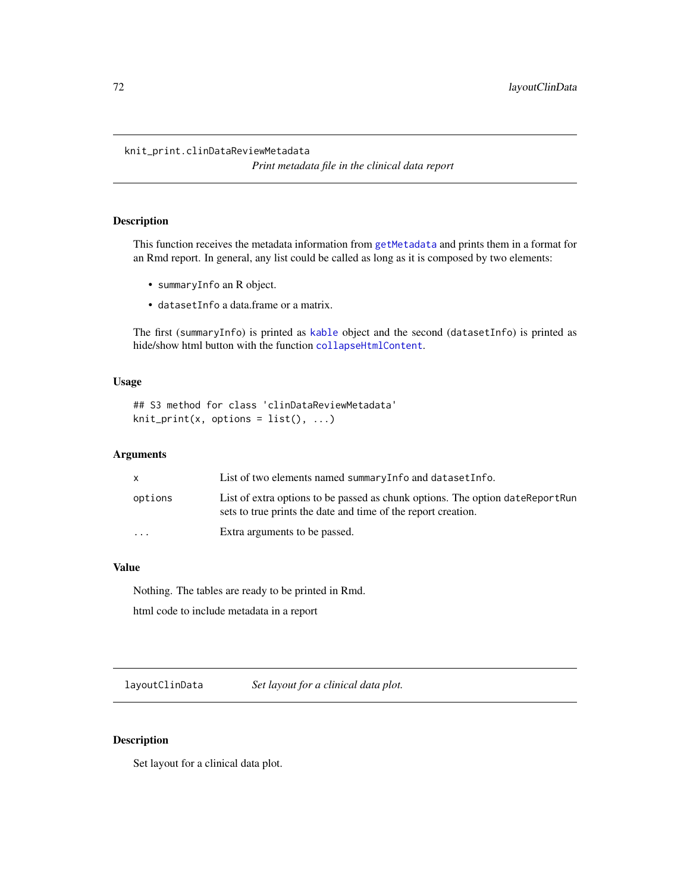#### <span id="page-71-0"></span>knit\_print.clinDataReviewMetadata

*Print metadata file in the clinical data report*

# Description

This function receives the metadata information from [getMetadata](#page-58-0) and prints them in a format for an Rmd report. In general, any list could be called as long as it is composed by two elements:

- summaryInfo an R object.
- datasetInfo a data.frame or a matrix.

The first (summaryInfo) is printed as [kable](#page-0-0) object and the second (datasetInfo) is printed as hide/show html button with the function [collapseHtmlContent](#page-28-0).

#### Usage

```
## S3 method for class 'clinDataReviewMetadata'
knit\_print(x, options = list(), ...)
```
#### Arguments

| x         | List of two elements named summary Info and dataset Info.                                                                                        |
|-----------|--------------------------------------------------------------------------------------------------------------------------------------------------|
| options   | List of extra options to be passed as chunk options. The option date Report Run<br>sets to true prints the date and time of the report creation. |
| $\ddotsc$ | Extra arguments to be passed.                                                                                                                    |

#### Value

Nothing. The tables are ready to be printed in Rmd.

html code to include metadata in a report

layoutClinData *Set layout for a clinical data plot.*

#### Description

Set layout for a clinical data plot.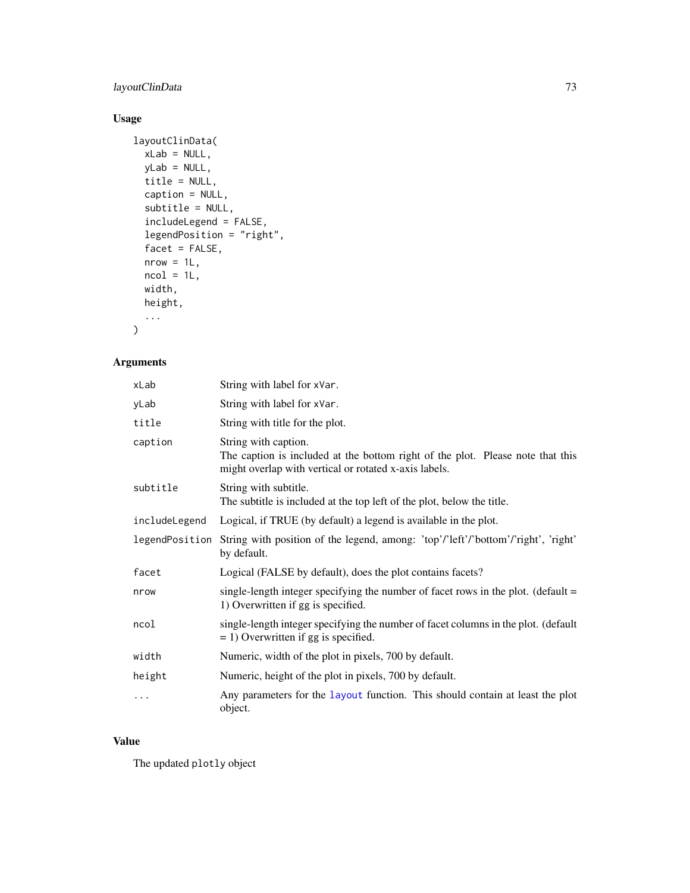## <span id="page-72-0"></span>layoutClinData 73

## Usage

```
layoutClinData(
 xLab = NULL,yLab = NULL,title = NULL,
 caption = NULL,
  subtitle = NULL,
  includeLegend = FALSE,
  legendPosition = "right",
  facet = FALSE,
 nrow = 1L,
 ncol = 1L,
 width,
 height,
  ...
\mathcal{L}
```
## Arguments

| xLab           | String with label for xVar.                                                                                                                                     |
|----------------|-----------------------------------------------------------------------------------------------------------------------------------------------------------------|
| yLab           | String with label for xVar.                                                                                                                                     |
| title          | String with title for the plot.                                                                                                                                 |
| caption        | String with caption.<br>The caption is included at the bottom right of the plot. Please note that this<br>might overlap with vertical or rotated x-axis labels. |
| subtitle       | String with subtitle.<br>The subtitle is included at the top left of the plot, below the title.                                                                 |
| includeLegend  | Logical, if TRUE (by default) a legend is available in the plot.                                                                                                |
| legendPosition | String with position of the legend, among: 'top'/'left'/'bottom'/'right', 'right'<br>by default.                                                                |
| facet          | Logical (FALSE by default), does the plot contains facets?                                                                                                      |
| nrow           | single-length integer specifying the number of facet rows in the plot. (default $=$<br>1) Overwritten if gg is specified.                                       |
| ncol           | single-length integer specifying the number of facet columns in the plot. (default<br>$= 1$ ) Overwritten if gg is specified.                                   |
| width          | Numeric, width of the plot in pixels, 700 by default.                                                                                                           |
| height         | Numeric, height of the plot in pixels, 700 by default.                                                                                                          |
| .              | Any parameters for the layout function. This should contain at least the plot<br>object.                                                                        |

#### Value

The updated plotly object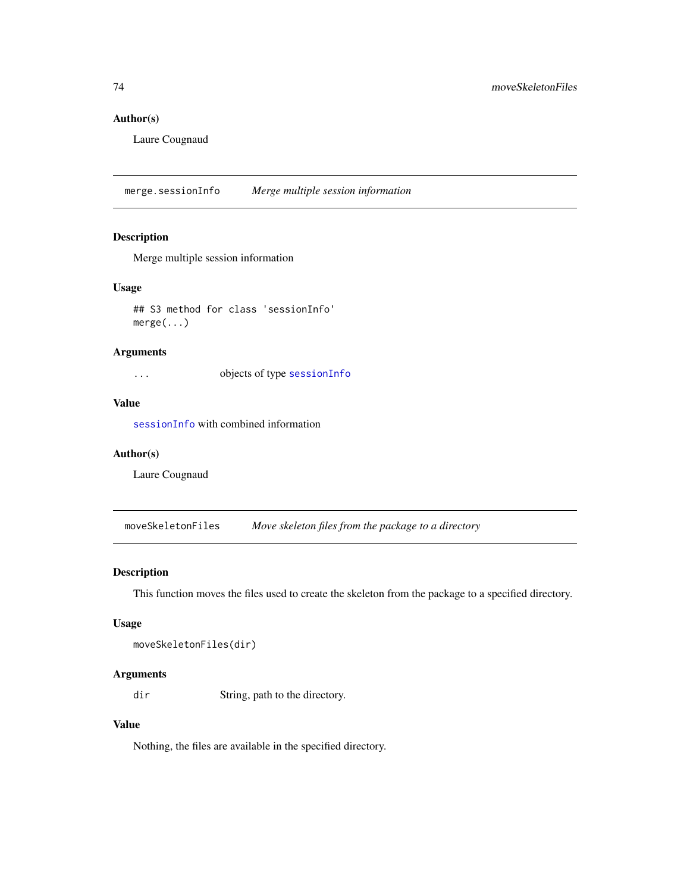## <span id="page-73-0"></span>Author(s)

Laure Cougnaud

merge.sessionInfo *Merge multiple session information*

#### Description

Merge multiple session information

#### Usage

## S3 method for class 'sessionInfo' merge(...)

## Arguments

... objects of type [sessionInfo](#page-0-0)

## Value

[sessionInfo](#page-0-0) with combined information

#### Author(s)

Laure Cougnaud

moveSkeletonFiles *Move skeleton files from the package to a directory*

#### Description

This function moves the files used to create the skeleton from the package to a specified directory.

#### Usage

```
moveSkeletonFiles(dir)
```
#### Arguments

dir String, path to the directory.

## Value

Nothing, the files are available in the specified directory.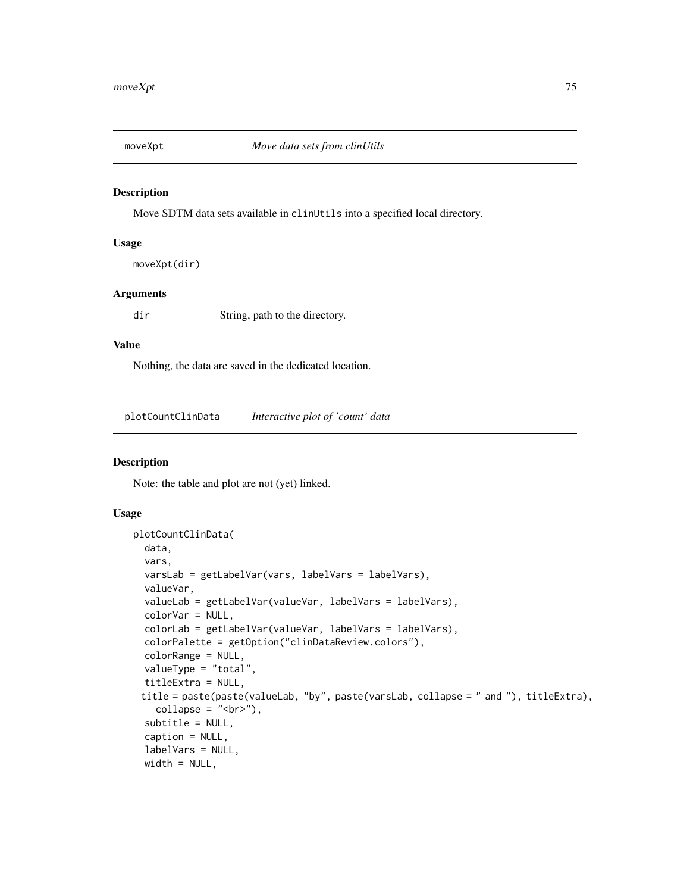<span id="page-74-1"></span>

#### Description

Move SDTM data sets available in clinUtils into a specified local directory.

#### Usage

moveXpt(dir)

#### Arguments

dir String, path to the directory.

#### Value

Nothing, the data are saved in the dedicated location.

<span id="page-74-0"></span>plotCountClinData *Interactive plot of 'count' data*

## Description

Note: the table and plot are not (yet) linked.

### Usage

```
plotCountClinData(
 data,
  vars,
  varsLab = getLabelVar(vars, labelVars = labelVars),
  valueVar,
  valueLab = getLabelVar(valueVar, labelVars = labelVars),
  colorVar = NULL,
  colorLab = getLabelVar(valueVar, labelVars = labelVars),
  colorPalette = getOption("clinDataReview.colors"),
  colorRange = NULL,
  valueType = "total",
  titleExtra = NULL,
 title = paste(paste(valueLab, "by", paste(varsLab, collapse = " and "), titleExtra),
    collapse = "br>),
  subtitle = NULL,
  caption = NULL,
  labelVars = NULL,
 width = NULL,
```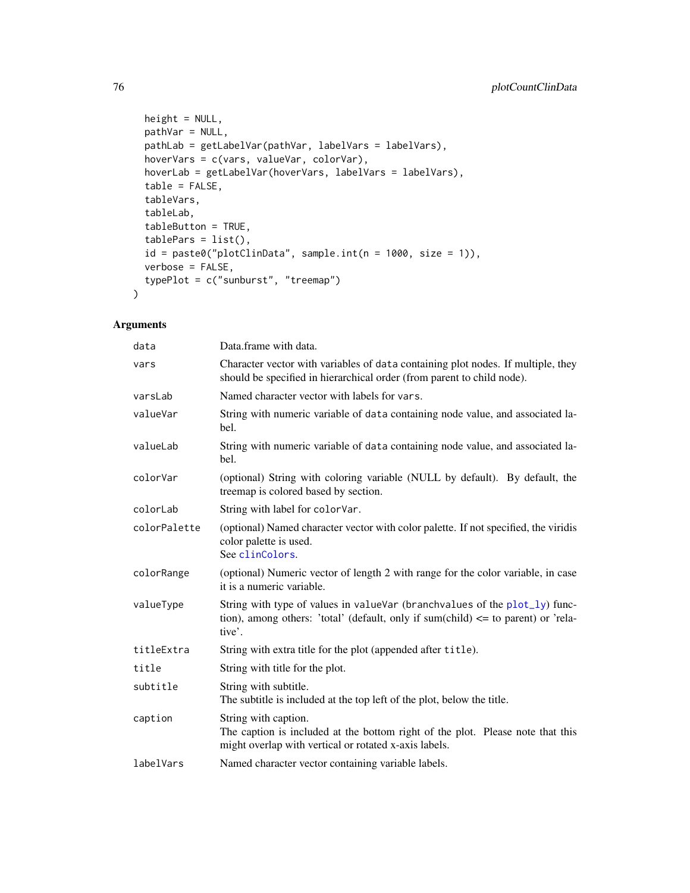```
height = NULL,pathVar = NULL,
 pathLab = getLabelVar(pathVar, labelVars = labelVars),
 hoverVars = c(vars, valueVar, colorVar),
 hoverLab = getLabelVar(hoverVars, labelVars = labelVars),
  table = FALSE,
  tableVars,
  tableLab,
  tableButton = TRUE,
 tablePars = list(),
 id = paste0("plotClinData", sample.int(n = 1000, size = 1)),
 verbose = FALSE,
 typePlot = c("sunburst", "treemap")
\mathcal{L}
```

| data         | Data.frame with data.                                                                                                                                                         |
|--------------|-------------------------------------------------------------------------------------------------------------------------------------------------------------------------------|
| vars         | Character vector with variables of data containing plot nodes. If multiple, they<br>should be specified in hierarchical order (from parent to child node).                    |
| varsLab      | Named character vector with labels for vars.                                                                                                                                  |
| valueVar     | String with numeric variable of data containing node value, and associated la-<br>bel.                                                                                        |
| valueLab     | String with numeric variable of data containing node value, and associated la-<br>bel.                                                                                        |
| colorVar     | (optional) String with coloring variable (NULL by default). By default, the<br>treemap is colored based by section.                                                           |
| colorLab     | String with label for colorVar.                                                                                                                                               |
| colorPalette | (optional) Named character vector with color palette. If not specified, the viridis<br>color palette is used.<br>See clinColors.                                              |
| colorRange   | (optional) Numeric vector of length 2 with range for the color variable, in case<br>it is a numeric variable.                                                                 |
| valueType    | String with type of values in valueVar (branchvalues of the plot_ly) func-<br>tion), among others: 'total' (default, only if sum(child) $\leq$ to parent) or 'rela-<br>tive'. |
| titleExtra   | String with extra title for the plot (appended after title).                                                                                                                  |
| title        | String with title for the plot.                                                                                                                                               |
| subtitle     | String with subtitle.<br>The subtitle is included at the top left of the plot, below the title.                                                                               |
| caption      | String with caption.<br>The caption is included at the bottom right of the plot. Please note that this<br>might overlap with vertical or rotated x-axis labels.               |
| labelVars    | Named character vector containing variable labels.                                                                                                                            |

<span id="page-75-0"></span>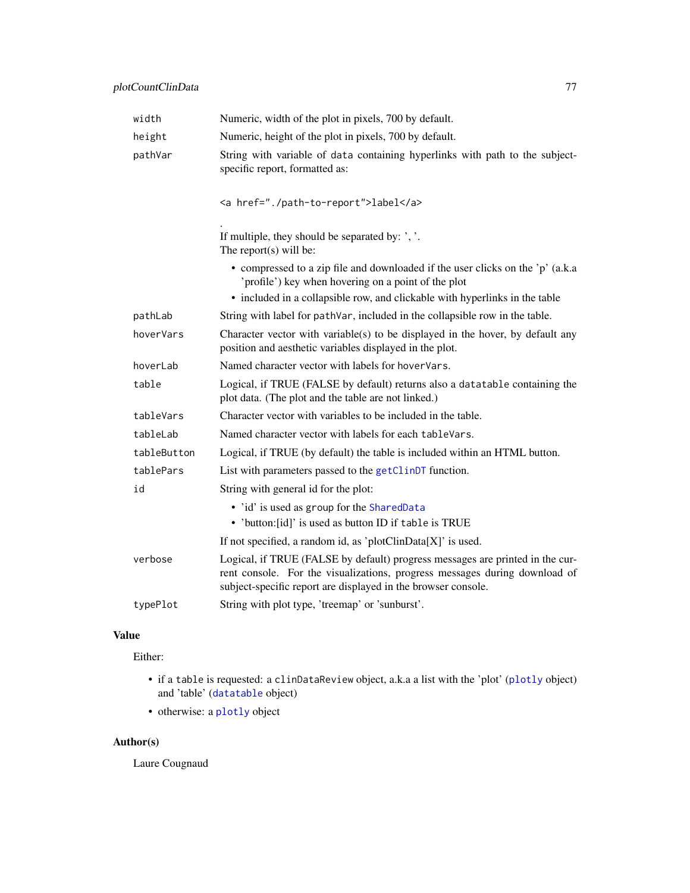<span id="page-76-0"></span>

| width       | Numeric, width of the plot in pixels, 700 by default.                                                                                                                                                                        |
|-------------|------------------------------------------------------------------------------------------------------------------------------------------------------------------------------------------------------------------------------|
| height      | Numeric, height of the plot in pixels, 700 by default.                                                                                                                                                                       |
| pathVar     | String with variable of data containing hyperlinks with path to the subject-<br>specific report, formatted as:                                                                                                               |
|             | <a href="./path-to-report">label</a>                                                                                                                                                                                         |
|             | If multiple, they should be separated by: ', '.<br>The report $(s)$ will be:                                                                                                                                                 |
|             | • compressed to a zip file and downloaded if the user clicks on the 'p' (a.k.a<br>'profile') key when hovering on a point of the plot                                                                                        |
|             | • included in a collapsible row, and clickable with hyperlinks in the table                                                                                                                                                  |
| pathLab     | String with label for path Var, included in the collapsible row in the table.                                                                                                                                                |
| hoverVars   | Character vector with variable(s) to be displayed in the hover, by default any<br>position and aesthetic variables displayed in the plot.                                                                                    |
| hoverLab    | Named character vector with labels for hover Vars.                                                                                                                                                                           |
| table       | Logical, if TRUE (FALSE by default) returns also a datatable containing the<br>plot data. (The plot and the table are not linked.)                                                                                           |
| tableVars   | Character vector with variables to be included in the table.                                                                                                                                                                 |
| tableLab    | Named character vector with labels for each tableVars.                                                                                                                                                                       |
| tableButton | Logical, if TRUE (by default) the table is included within an HTML button.                                                                                                                                                   |
| tablePars   | List with parameters passed to the getClinDT function.                                                                                                                                                                       |
| id          | String with general id for the plot:                                                                                                                                                                                         |
|             | . 'id' is used as group for the SharedData<br>• 'button: [id]' is used as button ID if table is TRUE                                                                                                                         |
|             | If not specified, a random id, as 'plotClinData[X]' is used.                                                                                                                                                                 |
| verbose     | Logical, if TRUE (FALSE by default) progress messages are printed in the cur-<br>rent console. For the visualizations, progress messages during download of<br>subject-specific report are displayed in the browser console. |
| typePlot    | String with plot type, 'treemap' or 'sunburst'.                                                                                                                                                                              |

## Value

Either:

- if a table is requested: a clinDataReview object, a.k.a a list with the 'plot' ([plotly](#page-0-0) object) and 'table' ([datatable](#page-0-0) object)
- otherwise: a [plotly](#page-0-0) object

## Author(s)

Laure Cougnaud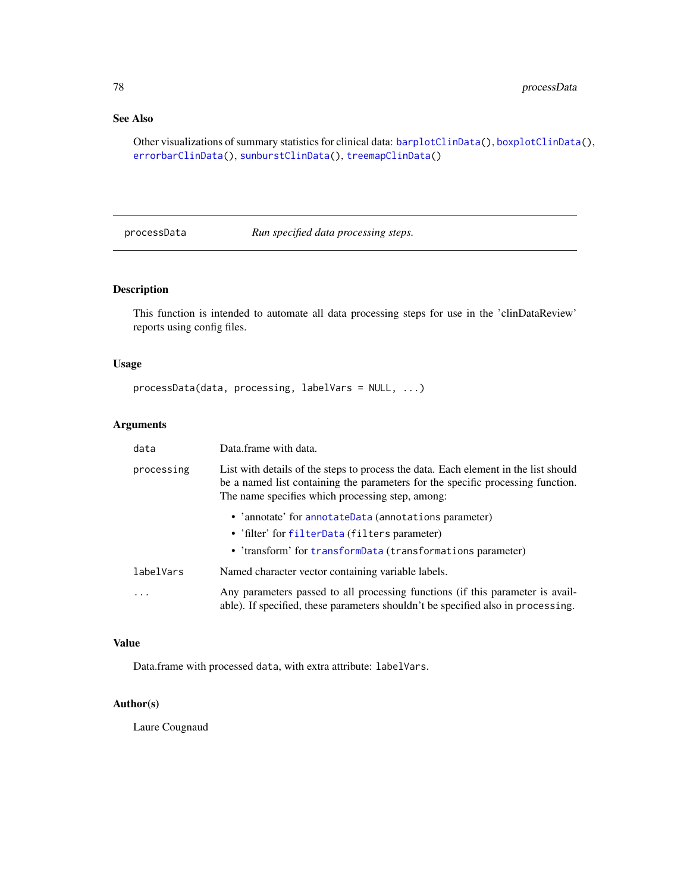## <span id="page-77-0"></span>See Also

Other visualizations of summary statistics for clinical data: [barplotClinData\(](#page-8-0)), [boxplotClinData\(](#page-12-0)), [errorbarClinData\(](#page-35-0)), [sunburstClinData\(](#page-92-0)), [treemapClinData\(](#page-101-0))

processData *Run specified data processing steps.*

## Description

This function is intended to automate all data processing steps for use in the 'clinDataReview' reports using config files.

#### Usage

```
processData(data, processing, labelVars = NULL, ...)
```
## Arguments

| data       | Data.frame with data.                                                                                                                                                                                                      |
|------------|----------------------------------------------------------------------------------------------------------------------------------------------------------------------------------------------------------------------------|
| processing | List with details of the steps to process the data. Each element in the list should<br>be a named list containing the parameters for the specific processing function.<br>The name specifies which processing step, among: |
|            | • 'annotate' for annotateData (annotations parameter)<br>• 'filter' for filterData (filters parameter)<br>• 'transform' for transformData (transformations parameter)                                                      |
| labelVars  | Named character vector containing variable labels.                                                                                                                                                                         |
| .          | Any parameters passed to all processing functions (if this parameter is avail-<br>able). If specified, these parameters shouldn't be specified also in processing.                                                         |

#### Value

Data.frame with processed data, with extra attribute: labelVars.

## Author(s)

Laure Cougnaud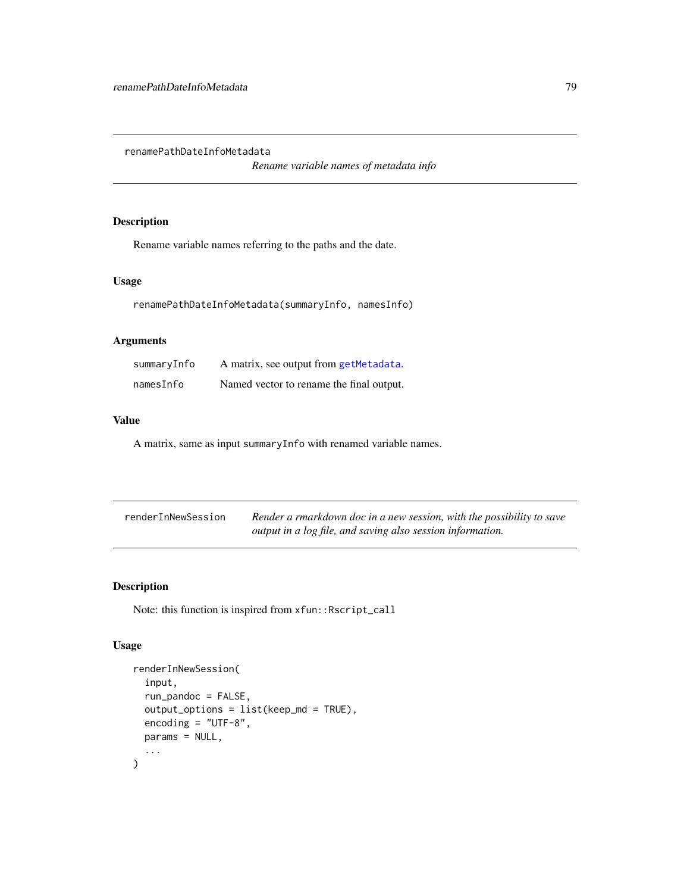<span id="page-78-0"></span>renamePathDateInfoMetadata

*Rename variable names of metadata info*

## Description

Rename variable names referring to the paths and the date.

#### Usage

```
renamePathDateInfoMetadata(summaryInfo, namesInfo)
```
## Arguments

| summaryInfo | A matrix, see output from getMetadata.   |
|-------------|------------------------------------------|
| namesInfo   | Named vector to rename the final output. |

#### Value

A matrix, same as input summaryInfo with renamed variable names.

| renderInNewSession | Render a rmarkdown doc in a new session, with the possibility to save |
|--------------------|-----------------------------------------------------------------------|
|                    | output in a log file, and saving also session information.            |

## Description

Note: this function is inspired from xfun:: Rscript\_call

## Usage

```
renderInNewSession(
  input,
  run_pandoc = FALSE,
 output_options = list(keep_md = TRUE),
  encoding = "UTF-8",
 params = NULL,
  ...
)
```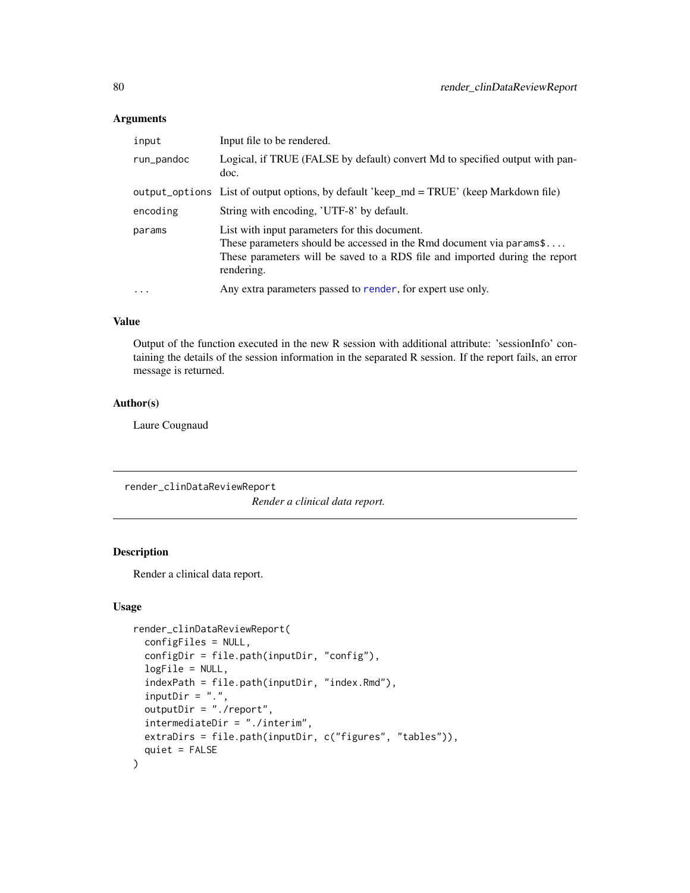<span id="page-79-1"></span>

| input      | Input file to be rendered.                                                                                                                                                                                         |
|------------|--------------------------------------------------------------------------------------------------------------------------------------------------------------------------------------------------------------------|
| run_pandoc | Logical, if TRUE (FALSE by default) convert Md to specified output with pan-<br>doc.                                                                                                                               |
|            | output_options List of output options, by default 'keep_md = TRUE' (keep Markdown file)                                                                                                                            |
| encoding   | String with encoding, 'UTF-8' by default.                                                                                                                                                                          |
| params     | List with input parameters for this document.<br>These parameters should be accessed in the Rmd document via params\$<br>These parameters will be saved to a RDS file and imported during the report<br>rendering. |
| $\ddots$   | Any extra parameters passed to render, for expert use only.                                                                                                                                                        |

## Value

Output of the function executed in the new R session with additional attribute: 'sessionInfo' containing the details of the session information in the separated R session. If the report fails, an error message is returned.

## Author(s)

Laure Cougnaud

<span id="page-79-0"></span>render\_clinDataReviewReport

*Render a clinical data report.*

## Description

Render a clinical data report.

#### Usage

```
render_clinDataReviewReport(
  configFiles = NULL,
  configDir = file.path(inputDir, "config"),
  logFile = NULL,
  indexPath = file.path(inputDir, "index.Rmd"),
  inputDir = "."outputDir = "./report",
  intermediateDir = "./interim",
 extraDirs = file.path(inputDir, c("figures", "tables")),
  quiet = FALSE
\mathcal{E}
```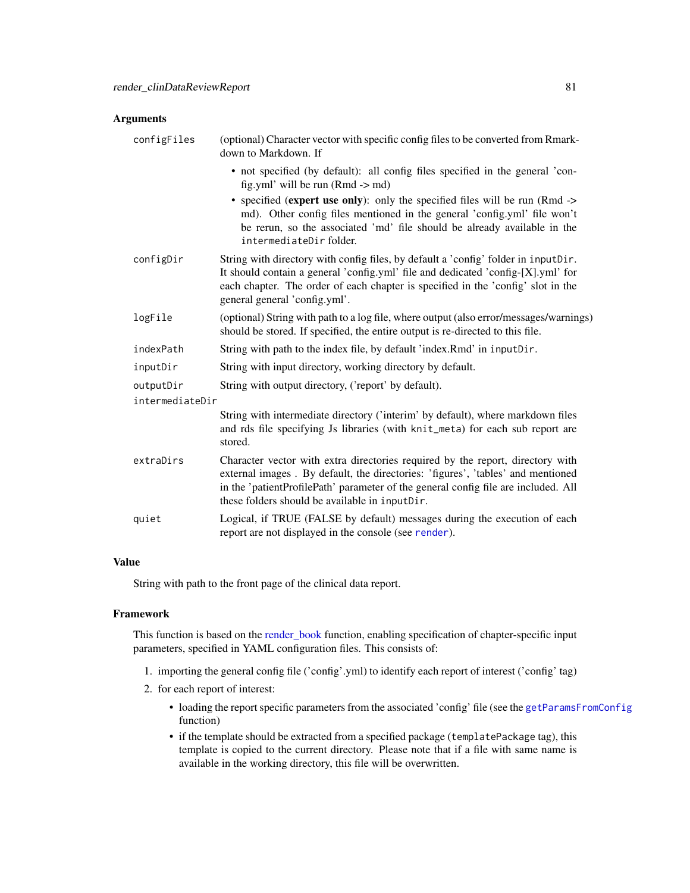<span id="page-80-0"></span>

| configFiles     | (optional) Character vector with specific config files to be converted from Rmark-<br>down to Markdown. If                                                                                                                                                                                                |
|-----------------|-----------------------------------------------------------------------------------------------------------------------------------------------------------------------------------------------------------------------------------------------------------------------------------------------------------|
|                 | • not specified (by default): all config files specified in the general 'con-<br>fig.yml' will be run $(Rmd > md)$                                                                                                                                                                                        |
|                 | • specified (expert use only): only the specified files will be run (Rmd -><br>md). Other config files mentioned in the general 'config.yml' file won't<br>be rerun, so the associated 'md' file should be already available in the<br>intermediateDir folder.                                            |
| configDir       | String with directory with config files, by default a 'config' folder in inputDir.<br>It should contain a general 'config.yml' file and dedicated 'config-[X].yml' for<br>each chapter. The order of each chapter is specified in the 'config' slot in the<br>general general 'config.yml'.               |
| logFile         | (optional) String with path to a log file, where output (also error/messages/warnings)<br>should be stored. If specified, the entire output is re-directed to this file.                                                                                                                                  |
| indexPath       | String with path to the index file, by default 'index.Rmd' in inputDir.                                                                                                                                                                                                                                   |
| inputDir        | String with input directory, working directory by default.                                                                                                                                                                                                                                                |
| outputDir       | String with output directory, ('report' by default).                                                                                                                                                                                                                                                      |
| intermediateDir |                                                                                                                                                                                                                                                                                                           |
|                 | String with intermediate directory ('interim' by default), where markdown files<br>and rds file specifying Js libraries (with knit_meta) for each sub report are<br>stored.                                                                                                                               |
| extraDirs       | Character vector with extra directories required by the report, directory with<br>external images. By default, the directories: 'figures', 'tables' and mentioned<br>in the 'patientProfilePath' parameter of the general config file are included. All<br>these folders should be available in inputDir. |
| quiet           | Logical, if TRUE (FALSE by default) messages during the execution of each<br>report are not displayed in the console (see render).                                                                                                                                                                        |

#### Value

String with path to the front page of the clinical data report.

#### Framework

This function is based on the [render\\_book](#page-0-0) function, enabling specification of chapter-specific input parameters, specified in YAML configuration files. This consists of:

- 1. importing the general config file ('config'.yml) to identify each report of interest ('config' tag)
- 2. for each report of interest:
	- loading the report specific parameters from the associated 'config' file (see the [getParamsFromConfig](#page-59-0) function)
	- if the template should be extracted from a specified package (templatePackage tag), this template is copied to the current directory. Please note that if a file with same name is available in the working directory, this file will be overwritten.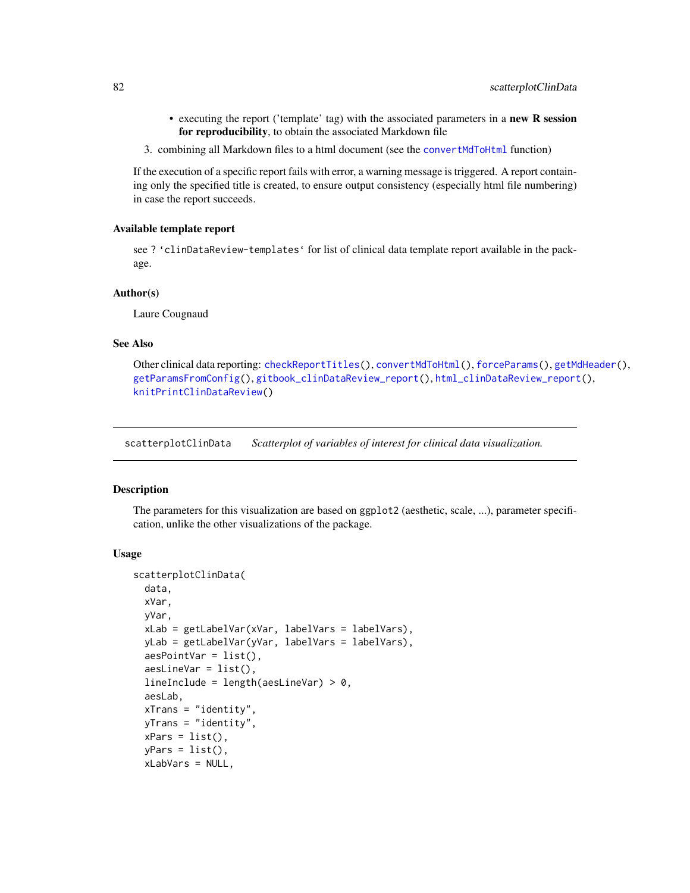- <span id="page-81-0"></span>• executing the report ('template' tag) with the associated parameters in a new R session for reproducibility, to obtain the associated Markdown file
- 3. combining all Markdown files to a html document (see the [convertMdToHtml](#page-29-0) function)

If the execution of a specific report fails with error, a warning message is triggered. A report containing only the specified title is created, to ensure output consistency (especially html file numbering) in case the report succeeds.

#### Available template report

see ? 'clinDataReview-templates' for list of clinical data template report available in the package.

#### Author(s)

Laure Cougnaud

#### See Also

```
Other clinical data reporting: checkReportTitles(), convertMdToHtml(), forceParams(), getMdHeader(),
getParamsFromConfig(), gitbook_clinDataReview_report(), html_clinDataReview_report(),
knitPrintClinDataReview()
```
scatterplotClinData *Scatterplot of variables of interest for clinical data visualization.*

#### Description

The parameters for this visualization are based on ggplot2 (aesthetic, scale, ...), parameter specification, unlike the other visualizations of the package.

#### Usage

```
scatterplotClinData(
  data,
  xVar,
 yVar,
  xLab = getLabelVar(xVar, labelVars = labelVars),
  yLab = getLabelVar(yVar, labelVars = labelVars),
  aesPointVar = list(),
  aesLineVar = list(),
  lineInclude = length(aesLineVar) > 0,
  aesLab,
  xTrans = "identity",
 yTrans = "identity",
  xPars = list(),
  yPars = list(),
  xLabVars = NULL,
```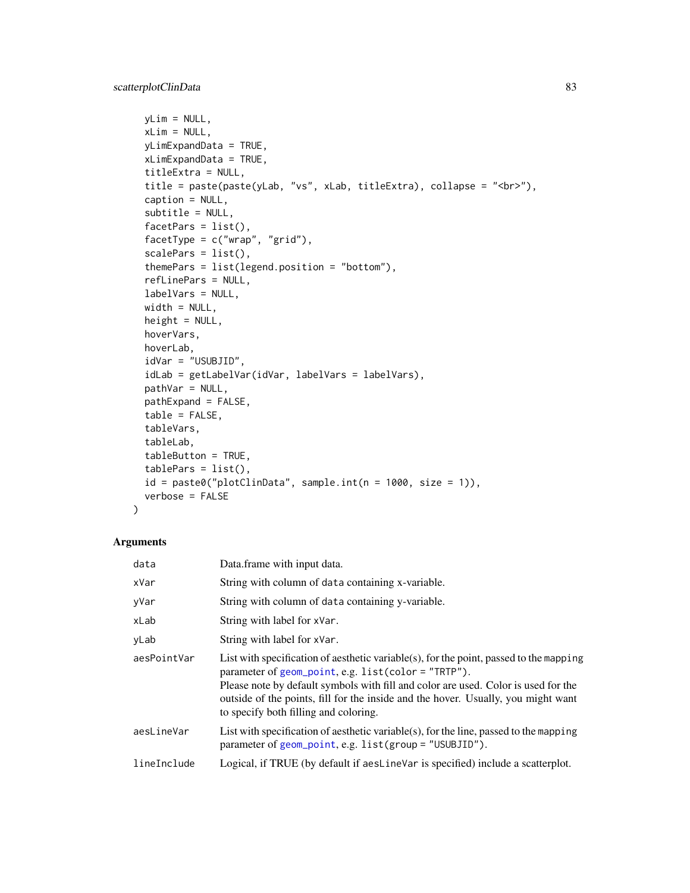```
yLim = NULL,xLim = NULL,yLimExpandData = TRUE,
 xLimExpandData = TRUE,
  titleExtra = NULL,
  title = paste(paste(yLab, "vs", xLab, titleExtra), collapse = "<br>"),
 caption = NULL,
  subtitle = NULL,
  facetParse = list(),facetType = c("wrap", "grid"),
  scalePars = list(),
  themePars = list(legend.position = "bottom"),
  refLinePars = NULL,
 labelVars = NULL,
 width = NULL,height = NULL,hoverVars,
 hoverLab,
  idVar = "USUBJID",
  idLab = getLabelVar(idVar, labelVars = labelVars),
 pathVar = NULL,
 pathExpand = FALSE,
  table = FALSE,
  tableVars,
  tableLab,
  tableButton = TRUE,
  tableParts = list(),id = paste0("plotClinData", sample.int(n = 1000, size = 1)),verbose = FALSE
)
```

| data        | Data.frame with input data.                                                                                                                                                                                                                                                                                                                                       |
|-------------|-------------------------------------------------------------------------------------------------------------------------------------------------------------------------------------------------------------------------------------------------------------------------------------------------------------------------------------------------------------------|
| xVar        | String with column of data containing x-variable.                                                                                                                                                                                                                                                                                                                 |
| yVar        | String with column of data containing y-variable.                                                                                                                                                                                                                                                                                                                 |
| xLab        | String with label for xVar.                                                                                                                                                                                                                                                                                                                                       |
| yLab        | String with label for xVar.                                                                                                                                                                                                                                                                                                                                       |
| aesPointVar | List with specification of aesthetic variable(s), for the point, passed to the mapping<br>parameter of geom_point, e.g. list(color = "TRTP").<br>Please note by default symbols with fill and color are used. Color is used for the<br>outside of the points, fill for the inside and the hover. Usually, you might want<br>to specify both filling and coloring. |
| aesLineVar  | List with specification of aesthetic variable(s), for the line, passed to the mapping<br>parameter of $geom\_point$ , e.g. list( $group = "USUBJID")$ .                                                                                                                                                                                                           |
| lineInclude | Logical, if TRUE (by default if aestine Var is specified) include a scatterplot.                                                                                                                                                                                                                                                                                  |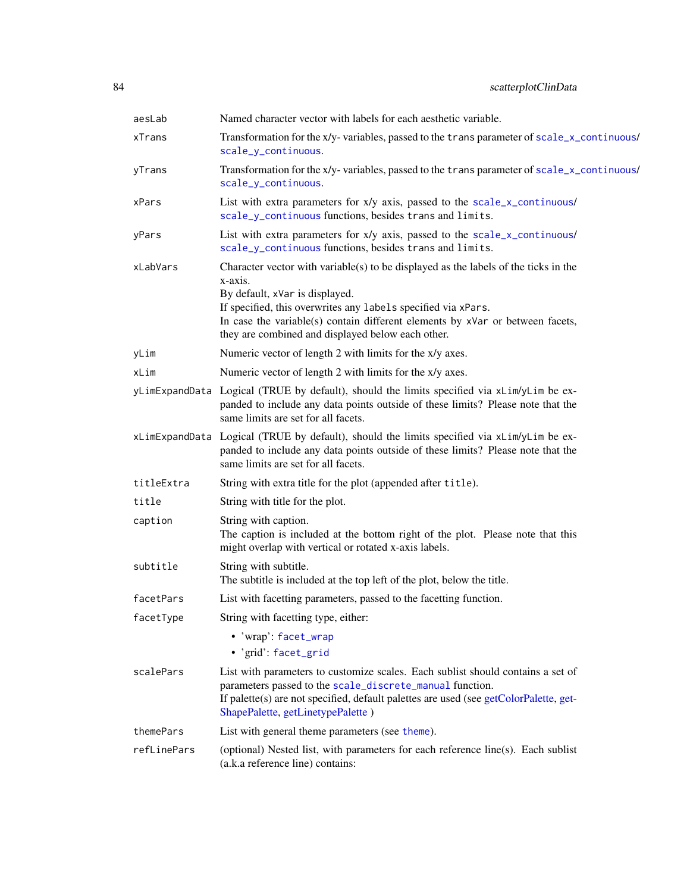<span id="page-83-0"></span>

| aesLab      | Named character vector with labels for each aesthetic variable.                                                                                                                                                                                                                                                                            |
|-------------|--------------------------------------------------------------------------------------------------------------------------------------------------------------------------------------------------------------------------------------------------------------------------------------------------------------------------------------------|
| xTrans      | Transformation for the x/y- variables, passed to the trans parameter of scale_x_continuous/<br>scale_y_continuous.                                                                                                                                                                                                                         |
| yTrans      | Transformation for the x/y- variables, passed to the trans parameter of scale_x_continuous/<br>scale_y_continuous.                                                                                                                                                                                                                         |
| xPars       | List with extra parameters for x/y axis, passed to the scale_x_continuous/<br>scale_y_continuous functions, besides trans and limits.                                                                                                                                                                                                      |
| yPars       | List with extra parameters for x/y axis, passed to the scale_x_continuous/<br>scale_y_continuous functions, besides trans and limits.                                                                                                                                                                                                      |
| xLabVars    | Character vector with variable(s) to be displayed as the labels of the ticks in the<br>x-axis.<br>By default, xVar is displayed.<br>If specified, this overwrites any labels specified via xPars.<br>In case the variable(s) contain different elements by $x$ Var or between facets,<br>they are combined and displayed below each other. |
| yLim        | Numeric vector of length 2 with limits for the x/y axes.                                                                                                                                                                                                                                                                                   |
| xLim        | Numeric vector of length 2 with limits for the x/y axes.                                                                                                                                                                                                                                                                                   |
|             | yLimExpandData Logical (TRUE by default), should the limits specified via xLim/yLim be ex-<br>panded to include any data points outside of these limits? Please note that the<br>same limits are set for all facets.                                                                                                                       |
|             | xLimExpandData Logical (TRUE by default), should the limits specified via xLim/yLim be ex-<br>panded to include any data points outside of these limits? Please note that the<br>same limits are set for all facets.                                                                                                                       |
| titleExtra  | String with extra title for the plot (appended after title).                                                                                                                                                                                                                                                                               |
| title       | String with title for the plot.                                                                                                                                                                                                                                                                                                            |
| caption     | String with caption.<br>The caption is included at the bottom right of the plot. Please note that this<br>might overlap with vertical or rotated x-axis labels.                                                                                                                                                                            |
| subtitle    | String with subtitle.<br>The subtitle is included at the top left of the plot, below the title.                                                                                                                                                                                                                                            |
| facetPars   | List with facetting parameters, passed to the facetting function.                                                                                                                                                                                                                                                                          |
| facetType   | String with facetting type, either:                                                                                                                                                                                                                                                                                                        |
|             | • 'wrap': facet_wrap<br>· 'grid': facet_grid                                                                                                                                                                                                                                                                                               |
| scalePars   | List with parameters to customize scales. Each sublist should contains a set of<br>parameters passed to the scale_discrete_manual function.<br>If palette(s) are not specified, default palettes are used (see getColorPalette, get-<br>ShapePalette, getLinetypePalette)                                                                  |
| themePars   | List with general theme parameters (see theme).                                                                                                                                                                                                                                                                                            |
| refLinePars | (optional) Nested list, with parameters for each reference line(s). Each sublist<br>(a.k.a reference line) contains:                                                                                                                                                                                                                       |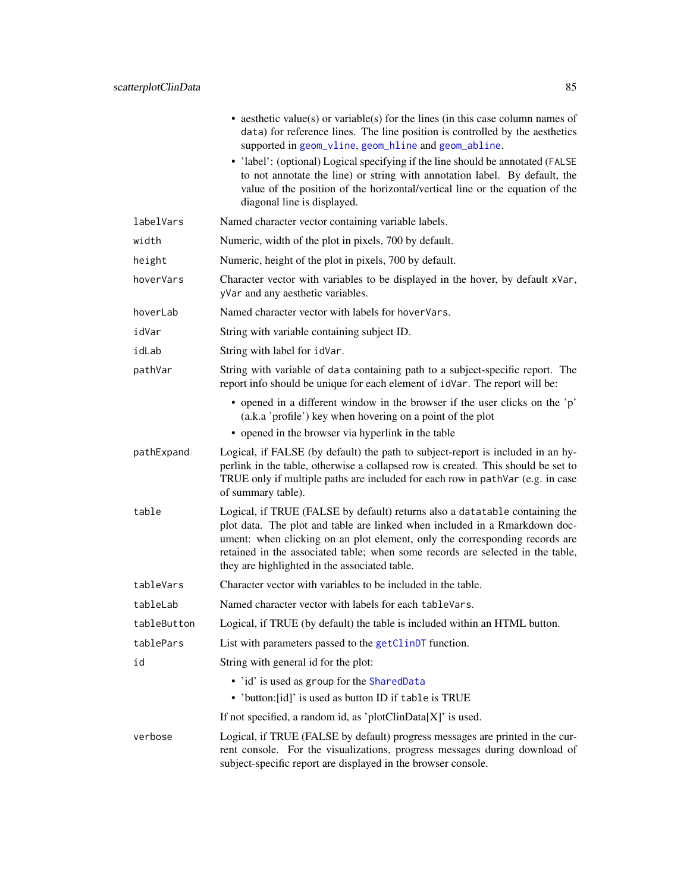<span id="page-84-0"></span>

|             | • aesthetic value(s) or variable(s) for the lines (in this case column names of<br>data) for reference lines. The line position is controlled by the aesthetics<br>supported in geom_vline, geom_hline and geom_abline.<br>• 'label': (optional) Logical specifying if the line should be annotated (FALSE<br>to not annotate the line) or string with annotation label. By default, the<br>value of the position of the horizontal/vertical line or the equation of the<br>diagonal line is displayed. |
|-------------|---------------------------------------------------------------------------------------------------------------------------------------------------------------------------------------------------------------------------------------------------------------------------------------------------------------------------------------------------------------------------------------------------------------------------------------------------------------------------------------------------------|
| labelVars   | Named character vector containing variable labels.                                                                                                                                                                                                                                                                                                                                                                                                                                                      |
| width       | Numeric, width of the plot in pixels, 700 by default.                                                                                                                                                                                                                                                                                                                                                                                                                                                   |
| height      | Numeric, height of the plot in pixels, 700 by default.                                                                                                                                                                                                                                                                                                                                                                                                                                                  |
| hoverVars   | Character vector with variables to be displayed in the hover, by default xVar,<br>yVar and any aesthetic variables.                                                                                                                                                                                                                                                                                                                                                                                     |
| hoverLab    | Named character vector with labels for hoverVars.                                                                                                                                                                                                                                                                                                                                                                                                                                                       |
| idVar       | String with variable containing subject ID.                                                                                                                                                                                                                                                                                                                                                                                                                                                             |
| idLab       | String with label for idVar.                                                                                                                                                                                                                                                                                                                                                                                                                                                                            |
| pathVar     | String with variable of data containing path to a subject-specific report. The<br>report info should be unique for each element of idVar. The report will be:                                                                                                                                                                                                                                                                                                                                           |
|             | • opened in a different window in the browser if the user clicks on the 'p'<br>(a.k.a 'profile') key when hovering on a point of the plot<br>• opened in the browser via hyperlink in the table                                                                                                                                                                                                                                                                                                         |
| pathExpand  | Logical, if FALSE (by default) the path to subject-report is included in an hy-<br>perlink in the table, otherwise a collapsed row is created. This should be set to<br>TRUE only if multiple paths are included for each row in pathVar (e.g. in case<br>of summary table).                                                                                                                                                                                                                            |
| table       | Logical, if TRUE (FALSE by default) returns also a datatable containing the<br>plot data. The plot and table are linked when included in a Rmarkdown doc-<br>ument: when clicking on an plot element, only the corresponding records are<br>retained in the associated table; when some records are selected in the table,<br>they are highlighted in the associated table.                                                                                                                             |
| tableVars   | Character vector with variables to be included in the table.                                                                                                                                                                                                                                                                                                                                                                                                                                            |
| tableLab    | Named character vector with labels for each tableVars.                                                                                                                                                                                                                                                                                                                                                                                                                                                  |
| tableButton | Logical, if TRUE (by default) the table is included within an HTML button.                                                                                                                                                                                                                                                                                                                                                                                                                              |
| tablePars   | List with parameters passed to the getClinDT function.                                                                                                                                                                                                                                                                                                                                                                                                                                                  |
| id          | String with general id for the plot:                                                                                                                                                                                                                                                                                                                                                                                                                                                                    |
|             | • 'id' is used as group for the SharedData                                                                                                                                                                                                                                                                                                                                                                                                                                                              |
|             | • 'button: [id]' is used as button ID if table is TRUE                                                                                                                                                                                                                                                                                                                                                                                                                                                  |
|             | If not specified, a random id, as 'plotClinData $[X]$ ' is used.                                                                                                                                                                                                                                                                                                                                                                                                                                        |
| verbose     | Logical, if TRUE (FALSE by default) progress messages are printed in the cur-<br>rent console. For the visualizations, progress messages during download of<br>subject-specific report are displayed in the browser console.                                                                                                                                                                                                                                                                            |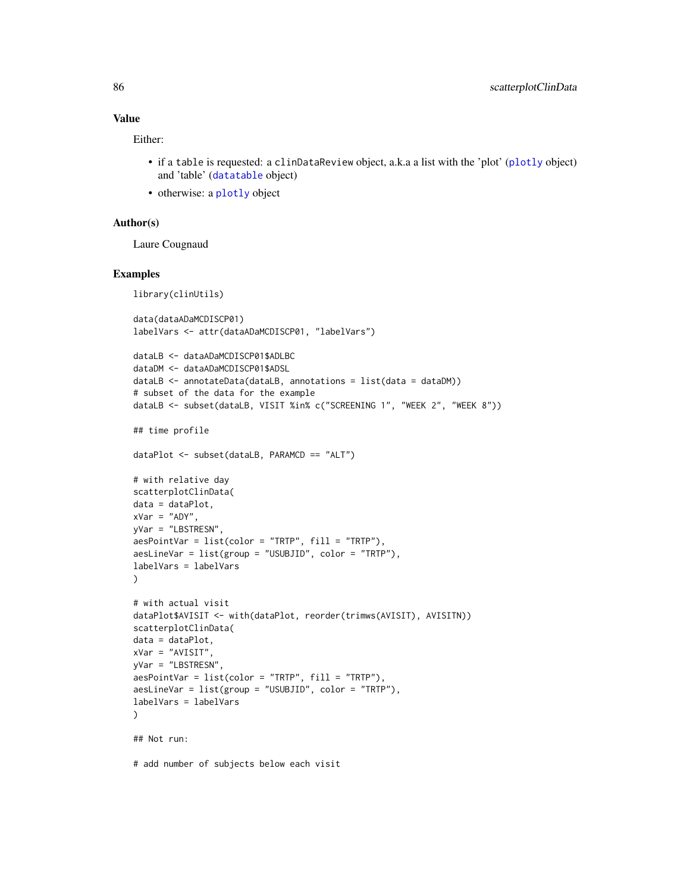## Value

Either:

- if a table is requested: a clinDataReview object, a.k.a a list with the 'plot' ([plotly](#page-0-0) object) and 'table' ([datatable](#page-0-0) object)
- otherwise: a [plotly](#page-0-0) object

#### Author(s)

Laure Cougnaud

#### Examples

library(clinUtils)

```
data(dataADaMCDISCP01)
labelVars <- attr(dataADaMCDISCP01, "labelVars")
dataLB <- dataADaMCDISCP01$ADLBC
dataDM <- dataADaMCDISCP01$ADSL
dataLB \leq annotateData(dataLB, annotations = list(data = dataDM))
# subset of the data for the example
dataLB <- subset(dataLB, VISIT %in% c("SCREENING 1", "WEEK 2", "WEEK 8"))
## time profile
dataPlot <- subset(dataLB, PARAMCD == "ALT")
# with relative day
scatterplotClinData(
data = dataPlot,
xVar = "ADV",yVar = "LBSTRESN",
aesPointVar = list(color = "TRTP", fill = "TRTP"),
aesLineVar = list(group = "USUBJID", color = "TRTP"),
labelVars = labelVars
)
# with actual visit
dataPlot$AVISIT <- with(dataPlot, reorder(trimws(AVISIT), AVISITN))
scatterplotClinData(
data = dataPlot,
xVar = "AVISIT",
yVar = "LBSTRESN",
aesPointVar = list(color = "TRTP", fill = "TRTP"),
aesLineVar = list(group = "USUBJID", color = "TRTP"),
labelVars = labelVars
)
## Not run:
```
# add number of subjects below each visit

<span id="page-85-0"></span>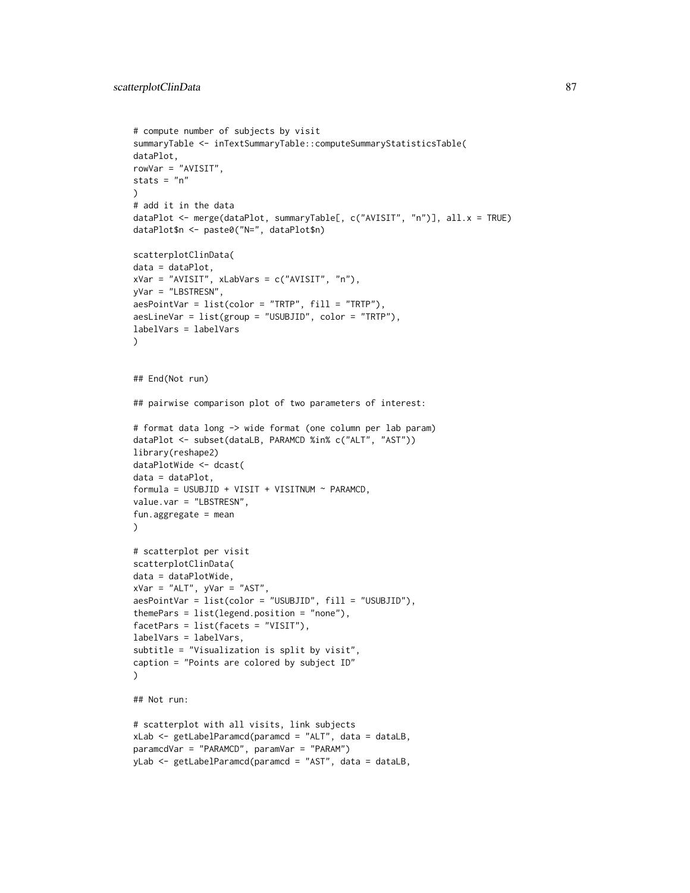```
# compute number of subjects by visit
summaryTable <- inTextSummaryTable::computeSummaryStatisticsTable(
dataPlot,
rowVar = "AVISIT",
stats = "n"\lambda# add it in the data
dataPlot <- merge(dataPlot, summaryTable[, c("AVISIT", "n")], all.x = TRUE)
dataPlot$n <- paste0("N=", dataPlot$n)
scatterplotClinData(
data = dataPlot,
xVar = "AVISIT", xLabVars = c("AVISIT", "n"),
yVar = "LBSTRESN",
aesPointVar = list(color = "TRTP", fill = "TRTP"),
aesLineVar = list(group = "USUBJID", color = "TRTP"),
labelVars = labelVars
\lambda## End(Not run)
## pairwise comparison plot of two parameters of interest:
# format data long -> wide format (one column per lab param)
dataPlot <- subset(dataLB, PARAMCD %in% c("ALT", "AST"))
library(reshape2)
dataPlotWide <- dcast(
data = dataPlot,
formula = USUBJID + VISIT + VISITNUM ~ PARAMCD,value.var = "LBSTRESN",
fun.aggregate = mean
)
# scatterplot per visit
scatterplotClinData(
data = dataPlotWide,
xVar = "ALT", yVar = "AST",
aesPointVar = list(color = "USUBJID", fill = "USUBJID"),
themePars = list(legend.position = "none"),
facetPars = list(facets = "VISIT"),
labelVars = labelVars,
subtitle = "Visualization is split by visit",
caption = "Points are colored by subject ID"
\lambda## Not run:
# scatterplot with all visits, link subjects
xLab <- getLabelParamcd(paramcd = "ALT", data = dataLB,
paramcdVar = "PARAMCD", paramVar = "PARAM")
yLab <- getLabelParamcd(paramcd = "AST", data = dataLB,
```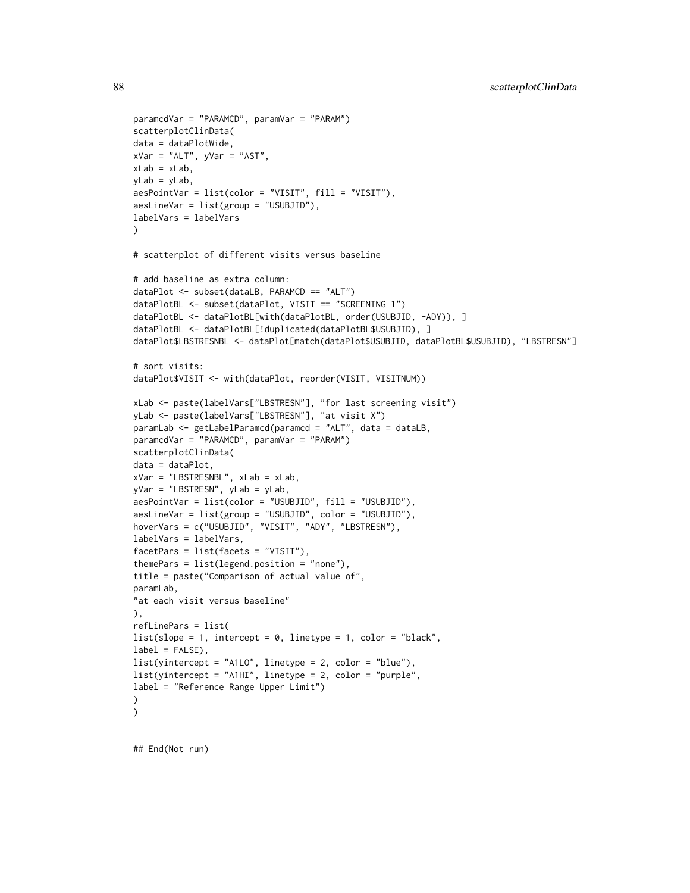```
paramcdVar = "PARAMCD", paramVar = "PARAM")
scatterplotClinData(
data = dataPlotWide,
xVar = "ALT", yVar = "AST",xLab = xLab,
yLab = yLab,aesPointVar = list(color = "VISIT", fill = "VISIT"),
aesLineVar = list(group = "USUBJID"),
labelVars = labelVars
\lambda# scatterplot of different visits versus baseline
# add baseline as extra column:
dataPlot <- subset(dataLB, PARAMCD == "ALT")
dataPlotBL <- subset(dataPlot, VISIT == "SCREENING 1")
dataPlotBL <- dataPlotBL[with(dataPlotBL, order(USUBJID, -ADY)), ]
dataPlotBL <- dataPlotBL[!duplicated(dataPlotBL$USUBJID), ]
dataPlot$LBSTRESNBL <- dataPlot[match(dataPlot$USUBJID, dataPlotBL$USUBJID), "LBSTRESN"]
# sort visits:
dataPlot$VISIT <- with(dataPlot, reorder(VISIT, VISITNUM))
xLab <- paste(labelVars["LBSTRESN"], "for last screening visit")
yLab <- paste(labelVars["LBSTRESN"], "at visit X")
paramLab <- getLabelParamcd(paramcd = "ALT", data = dataLB,
paramcdVar = "PARAMCD", paramVar = "PARAM")
scatterplotClinData(
data = dataPlot,
xVar = "LBSTRESNBL", xLab = xLab,
yVar = "LBSTRESN", yLab = yLab,
aesPointVar = list(color = "USUBJID", fill = "USUBJID"),
aesLineVar = list(group = "USUBJID", color = "USUBJID"),
hoverVars = c("USUBJID", "VISIT", "ADY", "LBSTRESN"),
labelVars = labelVars,
facetPars = list(facets = "VISIT"),
themePars = list(legend.position = "none"),
title = paste("Comparison of actual value of",
paramLab,
"at each visit versus baseline"
),
refLinePars = list(
list(slope = 1, intercept = 0, linetype = 1, color = "black",label = FALSE,
list(yintercept = "A1LO", linetype = 2, color = "blue"),
list(yintercept = "A1HI", linetype = 2, color = "purple",
label = "Reference Range Upper Limit")
)
\lambda
```
## End(Not run)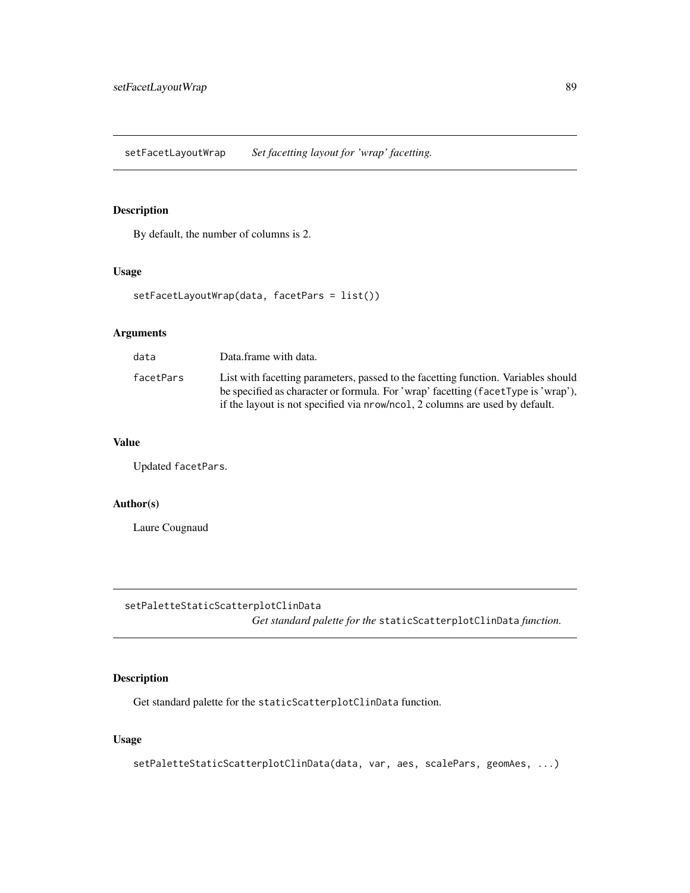<span id="page-88-0"></span>setFacetLayoutWrap *Set facetting layout for 'wrap' facetting.*

## Description

By default, the number of columns is 2.

## Usage

setFacetLayoutWrap(data, facetPars = list())

## Arguments

| data      | Data.frame with data.                                                                                                                                                                                                                                   |
|-----------|---------------------------------------------------------------------------------------------------------------------------------------------------------------------------------------------------------------------------------------------------------|
| facetPars | List with facetting parameters, passed to the facetting function. Variables should<br>be specified as character or formula. For 'wrap' facetting (facetType is 'wrap'),<br>if the layout is not specified via nrow/ncol, 2 columns are used by default. |

## Value

Updated facetPars.

## Author(s)

Laure Cougnaud

setPaletteStaticScatterplotClinData

*Get standard palette for the* staticScatterplotClinData *function.*

## Description

Get standard palette for the staticScatterplotClinData function.

## Usage

setPaletteStaticScatterplotClinData(data, var, aes, scalePars, geomAes, ...)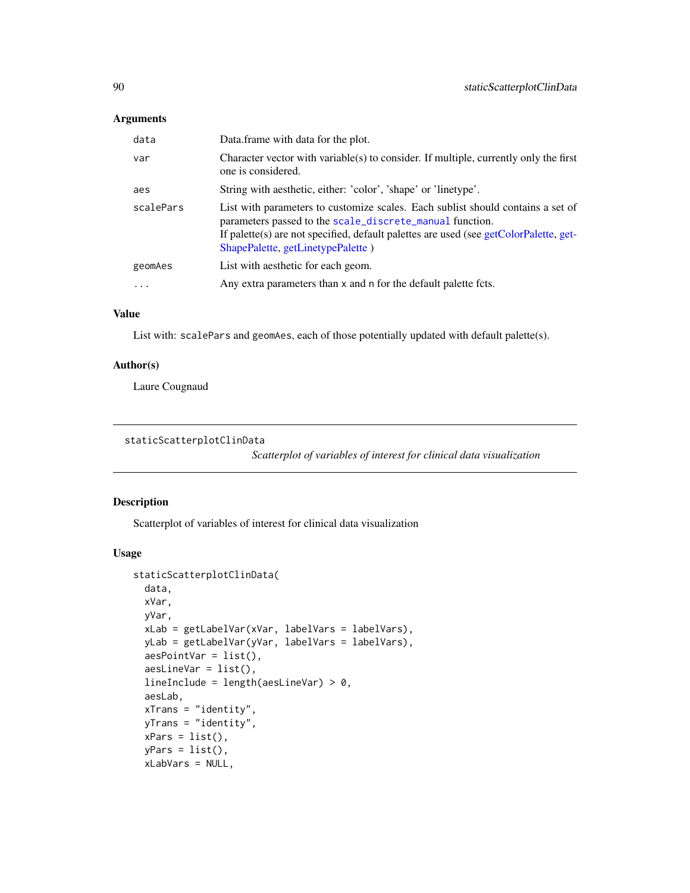<span id="page-89-0"></span>

| data      | Data frame with data for the plot.                                                                                                                                                                                                                                        |
|-----------|---------------------------------------------------------------------------------------------------------------------------------------------------------------------------------------------------------------------------------------------------------------------------|
| var       | Character vector with variable(s) to consider. If multiple, currently only the first<br>one is considered.                                                                                                                                                                |
| aes       | String with aesthetic, either: 'color', 'shape' or 'linetype'.                                                                                                                                                                                                            |
| scalePars | List with parameters to customize scales. Each sublist should contains a set of<br>parameters passed to the scale_discrete_manual function.<br>If palette(s) are not specified, default palettes are used (see getColorPalette, get-<br>ShapePalette, getLinetypePalette) |
| geomAes   | List with aesthetic for each geom.                                                                                                                                                                                                                                        |
| $\cdot$   | Any extra parameters than x and n for the default palette fcts.                                                                                                                                                                                                           |

## Value

List with: scalePars and geomAes, each of those potentially updated with default palette(s).

## Author(s)

Laure Cougnaud

```
staticScatterplotClinData
```
*Scatterplot of variables of interest for clinical data visualization*

## Description

Scatterplot of variables of interest for clinical data visualization

## Usage

```
staticScatterplotClinData(
 data,
 xVar,
 yVar,
 xLab = getLabelVar(xVar, labelVars = labelVars),
 yLab = getLabelVar(yVar, labelVars = labelVars),
 aesPointVar = list(),
 aesLineVar = list(),
 lineInclude = length(aesLineVar) > 0,aesLab,
 xTrans = "identity",
 yTrans = "identity",
 xPars = list(),
 yPars = list(),
 xLabVars = NULL,
```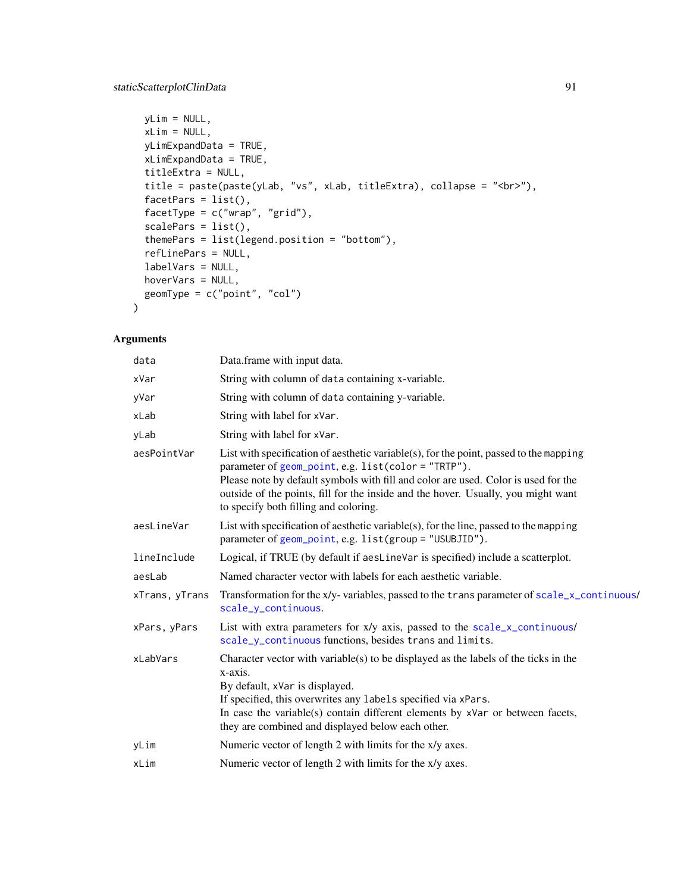```
yLim = NULL,xLim = NULL,yLimExpandData = TRUE,
 xLimExpandData = TRUE,
 titleExtra = NULL,
 title = paste(paste(yLab, "vs", xLab, titleExtra), collapse = "<br>"),
 facetPars = list(),facetType = c("wrap", "grid"),
 scalePars = list(),
 themePars = list(legend.position = "bottom"),
 refLinePars = NULL,
 labelVars = NULL,
 hoverVars = NULL,
 geomType = c("point", "col")
)
```

| data           | Data.frame with input data.                                                                                                                                                                                                                                                                                                                                       |
|----------------|-------------------------------------------------------------------------------------------------------------------------------------------------------------------------------------------------------------------------------------------------------------------------------------------------------------------------------------------------------------------|
| xVar           | String with column of data containing x-variable.                                                                                                                                                                                                                                                                                                                 |
| yVar           | String with column of data containing y-variable.                                                                                                                                                                                                                                                                                                                 |
| xLab           | String with label for xVar.                                                                                                                                                                                                                                                                                                                                       |
| yLab           | String with label for xVar.                                                                                                                                                                                                                                                                                                                                       |
| aesPointVar    | List with specification of aesthetic variable(s), for the point, passed to the mapping<br>parameter of geom_point, e.g. list(color = "TRTP").<br>Please note by default symbols with fill and color are used. Color is used for the<br>outside of the points, fill for the inside and the hover. Usually, you might want<br>to specify both filling and coloring. |
| aesLineVar     | List with specification of aesthetic variable(s), for the line, passed to the mapping<br>parameter of geom_point, e.g. list(group = "USUBJID").                                                                                                                                                                                                                   |
| lineInclude    | Logical, if TRUE (by default if aesLineVar is specified) include a scatterplot.                                                                                                                                                                                                                                                                                   |
| aesLab         | Named character vector with labels for each aesthetic variable.                                                                                                                                                                                                                                                                                                   |
| xTrans, yTrans | Transformation for the x/y-variables, passed to the trans parameter of scale_x_continuous/<br>scale_y_continuous.                                                                                                                                                                                                                                                 |
| xPars, yPars   | List with extra parameters for x/y axis, passed to the scale_x_continuous/<br>scale_y_continuous functions, besides trans and limits.                                                                                                                                                                                                                             |
| xLabVars       | Character vector with variable(s) to be displayed as the labels of the ticks in the<br>x-axis.<br>By default, xVar is displayed.<br>If specified, this overwrites any labels specified via xPars.<br>In case the variable(s) contain different elements by xVar or between facets,<br>they are combined and displayed below each other.                           |
| yLim           | Numeric vector of length 2 with limits for the x/y axes.                                                                                                                                                                                                                                                                                                          |
| xLim           | Numeric vector of length 2 with limits for the x/y axes.                                                                                                                                                                                                                                                                                                          |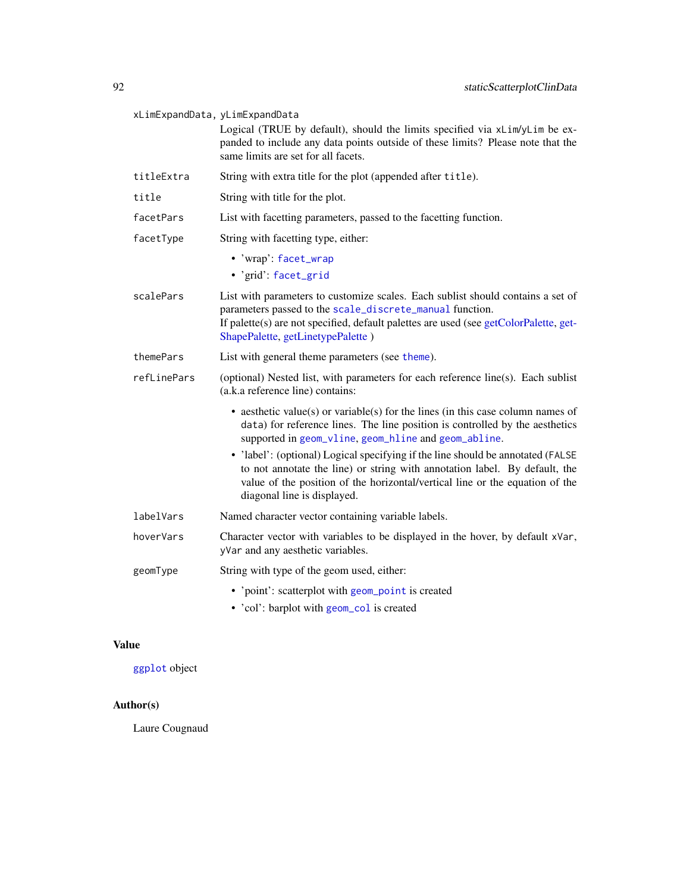<span id="page-91-0"></span>

| xLimExpandData, yLimExpandData | Logical (TRUE by default), should the limits specified via xLim/yLim be ex-<br>panded to include any data points outside of these limits? Please note that the<br>same limits are set for all facets.                                                                                                      |
|--------------------------------|------------------------------------------------------------------------------------------------------------------------------------------------------------------------------------------------------------------------------------------------------------------------------------------------------------|
| titleExtra                     | String with extra title for the plot (appended after title).                                                                                                                                                                                                                                               |
| title                          | String with title for the plot.                                                                                                                                                                                                                                                                            |
| facetPars                      | List with facetting parameters, passed to the facetting function.                                                                                                                                                                                                                                          |
| facetType                      | String with facetting type, either:                                                                                                                                                                                                                                                                        |
|                                | • 'wrap': facet_wrap                                                                                                                                                                                                                                                                                       |
|                                | · 'grid': facet_grid                                                                                                                                                                                                                                                                                       |
| scalePars                      | List with parameters to customize scales. Each sublist should contains a set of<br>parameters passed to the scale_discrete_manual function.<br>If palette(s) are not specified, default palettes are used (see getColorPalette, get-<br>ShapePalette, getLinetypePalette)                                  |
| themePars                      | List with general theme parameters (see theme).                                                                                                                                                                                                                                                            |
| refLinePars                    | (optional) Nested list, with parameters for each reference line(s). Each sublist<br>(a.k.a reference line) contains:                                                                                                                                                                                       |
|                                | • aesthetic value(s) or variable(s) for the lines (in this case column names of<br>data) for reference lines. The line position is controlled by the aesthetics<br>supported in geom_vline, geom_hline and geom_abline.<br>• 'label': (optional) Logical specifying if the line should be annotated (FALSE |
|                                | to not annotate the line) or string with annotation label. By default, the<br>value of the position of the horizontal/vertical line or the equation of the<br>diagonal line is displayed.                                                                                                                  |
| labelVars                      | Named character vector containing variable labels.                                                                                                                                                                                                                                                         |
| hoverVars                      | Character vector with variables to be displayed in the hover, by default xVar,<br>yVar and any aesthetic variables.                                                                                                                                                                                        |
| geomType                       | String with type of the geom used, either:                                                                                                                                                                                                                                                                 |
|                                | • 'point': scatterplot with geom_point is created                                                                                                                                                                                                                                                          |

• 'col': barplot with [geom\\_col](#page-0-0) is created

## Value

[ggplot](#page-0-0) object

## Author(s)

Laure Cougnaud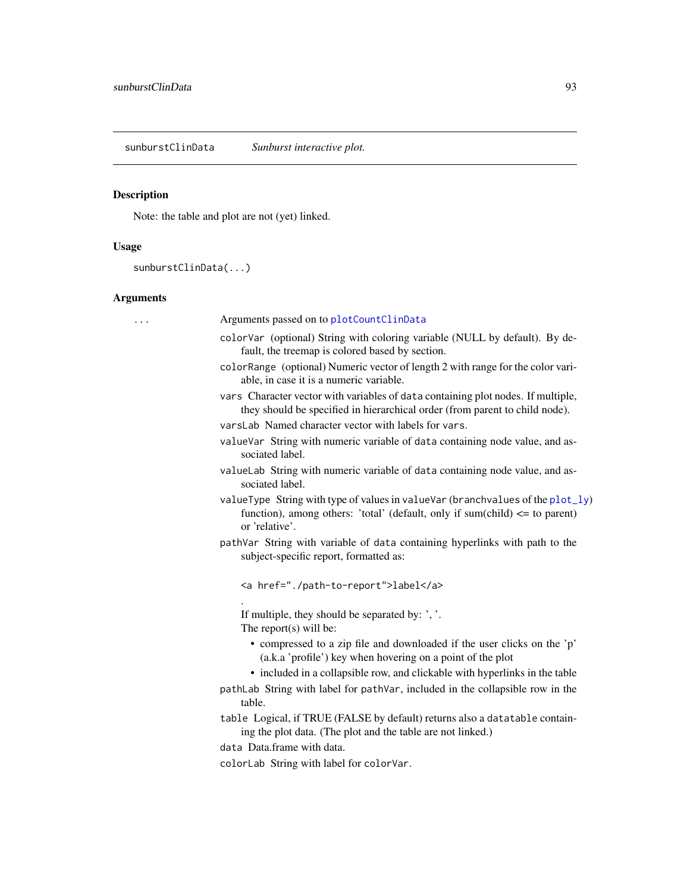<span id="page-92-1"></span><span id="page-92-0"></span>sunburstClinData *Sunburst interactive plot.*

# Description

Note: the table and plot are not (yet) linked.

# Usage

sunburstClinData(...)

## Arguments

| Arguments passed on to plotCountClinData<br>.<br>fault, the treemap is colored based by section.<br>able, in case it is a numeric variable.<br>they should be specified in hierarchical order (from parent to child node).<br>varsLab Named character vector with labels for vars.<br>sociated label.<br>sociated label.<br>or 'relative'.<br>subject-specific report, formatted as:<br><a href="./path-to-report">label</a><br>If multiple, they should be separated by: ', '.<br>The report $(s)$ will be:<br>(a.k.a 'profile') key when hovering on a point of the plot<br>table.<br>ing the plot data. (The plot and the table are not linked.)<br>data Data.frame with data. |                                                                                                                                                                   |
|-----------------------------------------------------------------------------------------------------------------------------------------------------------------------------------------------------------------------------------------------------------------------------------------------------------------------------------------------------------------------------------------------------------------------------------------------------------------------------------------------------------------------------------------------------------------------------------------------------------------------------------------------------------------------------------|-------------------------------------------------------------------------------------------------------------------------------------------------------------------|
|                                                                                                                                                                                                                                                                                                                                                                                                                                                                                                                                                                                                                                                                                   |                                                                                                                                                                   |
|                                                                                                                                                                                                                                                                                                                                                                                                                                                                                                                                                                                                                                                                                   | colorVar (optional) String with coloring variable (NULL by default). By de-                                                                                       |
|                                                                                                                                                                                                                                                                                                                                                                                                                                                                                                                                                                                                                                                                                   | colorRange (optional) Numeric vector of length 2 with range for the color vari-                                                                                   |
|                                                                                                                                                                                                                                                                                                                                                                                                                                                                                                                                                                                                                                                                                   | vars Character vector with variables of data containing plot nodes. If multiple,                                                                                  |
|                                                                                                                                                                                                                                                                                                                                                                                                                                                                                                                                                                                                                                                                                   |                                                                                                                                                                   |
|                                                                                                                                                                                                                                                                                                                                                                                                                                                                                                                                                                                                                                                                                   | valueVar String with numeric variable of data containing node value, and as-                                                                                      |
|                                                                                                                                                                                                                                                                                                                                                                                                                                                                                                                                                                                                                                                                                   | valueLab String with numeric variable of data containing node value, and as-                                                                                      |
|                                                                                                                                                                                                                                                                                                                                                                                                                                                                                                                                                                                                                                                                                   | valueType String with type of values in valueVar (branchvalues of the plot_ly)<br>function), among others: 'total' (default, only if sum(child) $\leq$ to parent) |
|                                                                                                                                                                                                                                                                                                                                                                                                                                                                                                                                                                                                                                                                                   | pathVar String with variable of data containing hyperlinks with path to the                                                                                       |
|                                                                                                                                                                                                                                                                                                                                                                                                                                                                                                                                                                                                                                                                                   |                                                                                                                                                                   |
|                                                                                                                                                                                                                                                                                                                                                                                                                                                                                                                                                                                                                                                                                   |                                                                                                                                                                   |
|                                                                                                                                                                                                                                                                                                                                                                                                                                                                                                                                                                                                                                                                                   | • compressed to a zip file and downloaded if the user clicks on the 'p'                                                                                           |
|                                                                                                                                                                                                                                                                                                                                                                                                                                                                                                                                                                                                                                                                                   | • included in a collapsible row, and clickable with hyperlinks in the table                                                                                       |
|                                                                                                                                                                                                                                                                                                                                                                                                                                                                                                                                                                                                                                                                                   | pathLab String with label for pathVar, included in the collapsible row in the                                                                                     |
|                                                                                                                                                                                                                                                                                                                                                                                                                                                                                                                                                                                                                                                                                   | table Logical, if TRUE (FALSE by default) returns also a datatable contain-                                                                                       |
|                                                                                                                                                                                                                                                                                                                                                                                                                                                                                                                                                                                                                                                                                   |                                                                                                                                                                   |
| colorLab String with label for colorVar.                                                                                                                                                                                                                                                                                                                                                                                                                                                                                                                                                                                                                                          |                                                                                                                                                                   |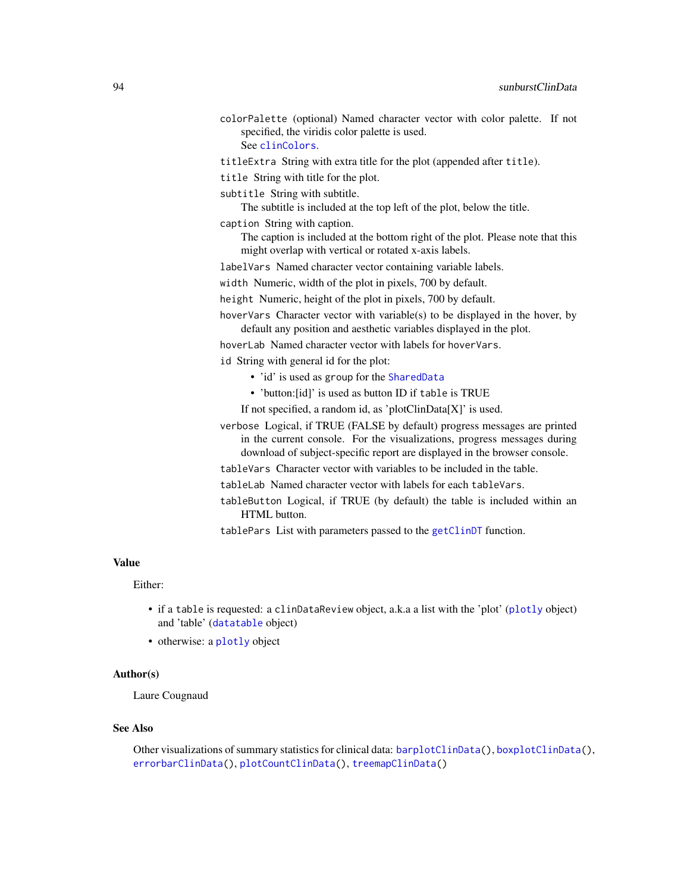<span id="page-93-0"></span>colorPalette (optional) Named character vector with color palette. If not specified, the viridis color palette is used. See [clinColors](#page-0-0).

titleExtra String with extra title for the plot (appended after title).

title String with title for the plot.

subtitle String with subtitle.

The subtitle is included at the top left of the plot, below the title.

caption String with caption.

The caption is included at the bottom right of the plot. Please note that this might overlap with vertical or rotated x-axis labels.

labelVars Named character vector containing variable labels.

width Numeric, width of the plot in pixels, 700 by default.

height Numeric, height of the plot in pixels, 700 by default.

hoverVars Character vector with variable(s) to be displayed in the hover, by default any position and aesthetic variables displayed in the plot.

hoverLab Named character vector with labels for hoverVars.

id String with general id for the plot:

- 'id' is used as group for the [SharedData](#page-0-0)
- 'button:[id]' is used as button ID if table is TRUE

If not specified, a random id, as 'plotClinData[X]' is used.

verbose Logical, if TRUE (FALSE by default) progress messages are printed in the current console. For the visualizations, progress messages during

download of subject-specific report are displayed in the browser console.

tableVars Character vector with variables to be included in the table.

tableLab Named character vector with labels for each tableVars.

tableButton Logical, if TRUE (by default) the table is included within an HTML button.

tablePars List with parameters passed to the [getClinDT](#page-0-0) function.

#### Value

Either:

- if a table is requested: a clinDataReview object, a.k.a a list with the 'plot' ([plotly](#page-0-0) object) and 'table' ([datatable](#page-0-0) object)
- otherwise: a [plotly](#page-0-0) object

#### Author(s)

Laure Cougnaud

#### See Also

Other visualizations of summary statistics for clinical data: [barplotClinData\(](#page-8-0)), [boxplotClinData\(](#page-12-0)), [errorbarClinData\(](#page-35-0)), [plotCountClinData\(](#page-74-0)), [treemapClinData\(](#page-101-0))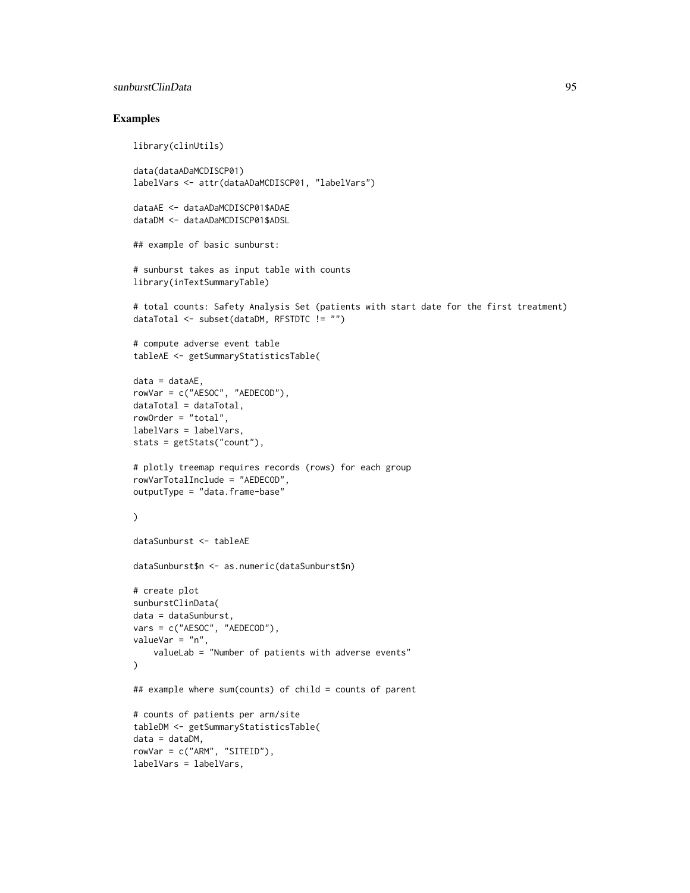## sunburstClinData 95

#### Examples

```
library(clinUtils)
data(dataADaMCDISCP01)
labelVars <- attr(dataADaMCDISCP01, "labelVars")
dataAE <- dataADaMCDISCP01$ADAE
dataDM <- dataADaMCDISCP01$ADSL
## example of basic sunburst:
# sunburst takes as input table with counts
library(inTextSummaryTable)
# total counts: Safety Analysis Set (patients with start date for the first treatment)
dataTotal <- subset(dataDM, RFSTDTC != "")
# compute adverse event table
tableAE <- getSummaryStatisticsTable(
data = dataAE,
rowVar = c("AESOC", "AEDECOD"),
dataTotal = dataTotal,
rowOrder = "total",
labelVars = labelVars,
stats = getStats("count"),
# plotly treemap requires records (rows) for each group
rowVarTotalInclude = "AEDECOD",
outputType = "data.frame-base"
)
dataSunburst <- tableAE
dataSunburst$n <- as.numeric(dataSunburst$n)
# create plot
sunburstClinData(
data = dataSunburst,
vars = c("AESOC", "AEDECOD"),
valueVar = "n",valueLab = "Number of patients with adverse events"
)
## example where sum(counts) of child = counts of parent
# counts of patients per arm/site
tableDM <- getSummaryStatisticsTable(
data = dataDM,
rowVar = c("ARM", "SITEID"),
labelVars = labelVars,
```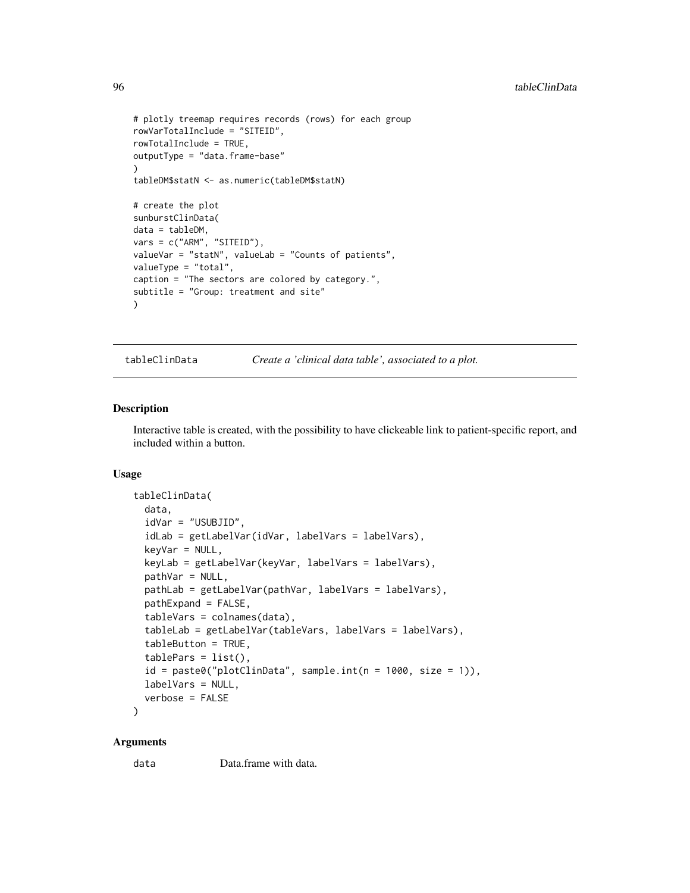```
# plotly treemap requires records (rows) for each group
rowVarTotalInclude = "SITEID",
rowTotalInclude = TRUE,
outputType = "data.frame-base"
)
tableDM$statN <- as.numeric(tableDM$statN)
# create the plot
sunburstClinData(
data = tableDM,
vars = c("ARM", "SITEID"),
valueVar = "statN", valueLab = "Counts of patients",
valueType = "total",
caption = "The sectors are colored by category.",
subtitle = "Group: treatment and site"
)
```
tableClinData *Create a 'clinical data table', associated to a plot.*

### Description

Interactive table is created, with the possibility to have clickeable link to patient-specific report, and included within a button.

#### Usage

```
tableClinData(
  data,
  idVar = "USUBJID",
  idLab = getLabelVar(idVar, labelVars = labelVars),
  keyVar = NULL,
  keyLab = getLabelVar(keyVar, labelVars = labelVars),
  pathVar = NULL,
 pathLab = getLabelVar(pathVar, labelVars = labelVars),
 pathExpand = FALSE,tableVars = colnames(data),
  tableLab = getLabelVar(tableVars, labelVars = labelVars),
  tableButton = TRUE,
  tableParts = list(),
  id = paste0("plotClinData", sample.int(n = 1000, size = 1)),labelVars = NULL,
  verbose = FALSE
```

```
)
```
## Arguments

data Data.frame with data.

<span id="page-95-0"></span>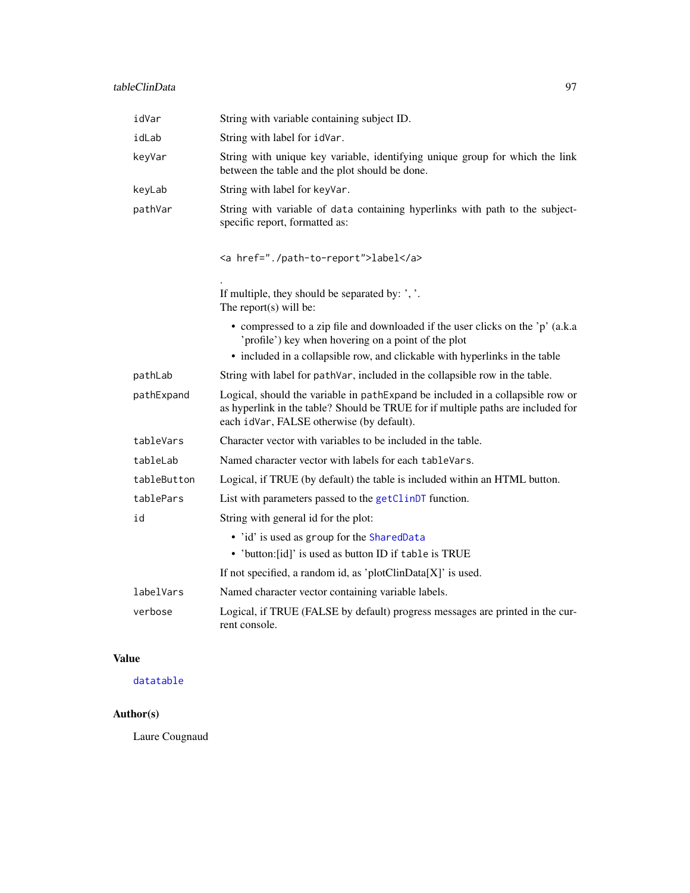# <span id="page-96-0"></span>tableClinData 97

| idVar       | String with variable containing subject ID.                                                                                                                                                                          |
|-------------|----------------------------------------------------------------------------------------------------------------------------------------------------------------------------------------------------------------------|
| idLab       | String with label for idVar.                                                                                                                                                                                         |
| keyVar      | String with unique key variable, identifying unique group for which the link<br>between the table and the plot should be done.                                                                                       |
| keyLab      | String with label for keyVar.                                                                                                                                                                                        |
| pathVar     | String with variable of data containing hyperlinks with path to the subject-<br>specific report, formatted as:                                                                                                       |
|             | <a href="./path-to-report">label</a>                                                                                                                                                                                 |
|             | If multiple, they should be separated by: ', '.<br>The report $(s)$ will be:                                                                                                                                         |
|             | • compressed to a zip file and downloaded if the user clicks on the 'p' (a.k.a<br>'profile') key when hovering on a point of the plot<br>• included in a collapsible row, and clickable with hyperlinks in the table |
| pathLab     | String with label for path Var, included in the collapsible row in the table.                                                                                                                                        |
| pathExpand  | Logical, should the variable in pathExpand be included in a collapsible row or<br>as hyperlink in the table? Should be TRUE for if multiple paths are included for<br>each idVar, FALSE otherwise (by default).      |
| tableVars   | Character vector with variables to be included in the table.                                                                                                                                                         |
| tableLab    | Named character vector with labels for each table Vars.                                                                                                                                                              |
| tableButton | Logical, if TRUE (by default) the table is included within an HTML button.                                                                                                                                           |
| tablePars   | List with parameters passed to the getClinDT function.                                                                                                                                                               |
| id          | String with general id for the plot:                                                                                                                                                                                 |
|             | . 'id' is used as group for the SharedData                                                                                                                                                                           |
|             | • 'button: [id]' is used as button ID if table is TRUE                                                                                                                                                               |
|             | If not specified, a random id, as 'plotClinData[X]' is used.                                                                                                                                                         |
| labelVars   | Named character vector containing variable labels.                                                                                                                                                                   |
| verbose     | Logical, if TRUE (FALSE by default) progress messages are printed in the cur-<br>rent console.                                                                                                                       |

## Value

[datatable](#page-0-0)

# Author(s)

Laure Cougnaud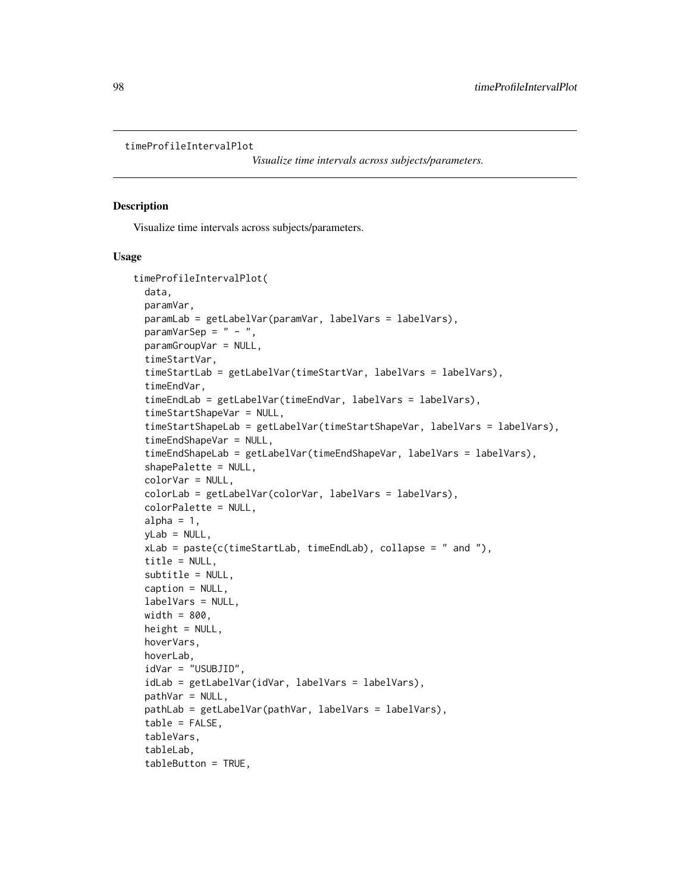```
timeProfileIntervalPlot
```
*Visualize time intervals across subjects/parameters.*

#### Description

Visualize time intervals across subjects/parameters.

#### Usage

```
timeProfileIntervalPlot(
  data,
  paramVar,
 paramLab = getLabelVar(paramVar, labelVars = labelVars),
 paramVarSep = " - "paramGroupVar = NULL,
  timeStartVar,
  timeStartLab = getLabelVar(timeStartVar, labelVars = labelVars),
  timeEndVar,
  timeEndLab = getLabelVar(timeEndVar, labelVars = labelVars),
  timeStartShapeVar = NULL,
  timeStartShapeLab = getLabelVar(timeStartShapeVar, labelVars = labelVars),
  timeEndShapeVar = NULL,
  timeEndShapeLab = getLabelVar(timeEndShapeVar, labelVars = labelVars),
  shapePalette = NULL,
  colorVar = NULL,
  colorLab = getLabelVar(colorVar, labelVars = labelVars),
  colorPalette = NULL,
  alpha = 1,
  yLab = NULL,xLab = paste(c(timeStartLab, timeEndLab), collapse = " and "),
  title = NULL,
  subtitle = NULL,
  caption = NULL,
  labelVars = NULL,
 width = 800,
 height = NULL,hoverVars,
  hoverLab,
  idVar = "USUBJID",
  idLab = getLabelVar(idVar, labelVars = labelVars),
  pathVar = NULL,
  pathLab = getLabelVar(pathVar, labelVars = labelVars),
  table = FALSE,tableVars,
  tableLab,
  tableButton = TRUE,
```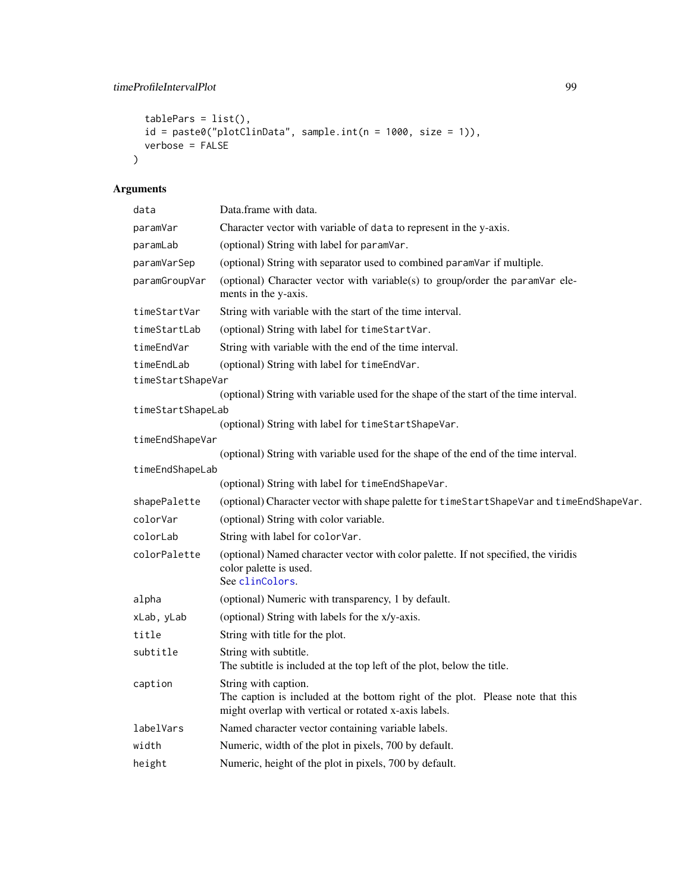```
tablePars = list(),
  id = paste0("plotClinData", sample.int(n = 1000, size = 1)),verbose = FALSE\mathcal{L}
```

| data              | Data.frame with data.                                                                                                                                           |
|-------------------|-----------------------------------------------------------------------------------------------------------------------------------------------------------------|
| paramVar          | Character vector with variable of data to represent in the y-axis.                                                                                              |
| paramLab          | (optional) String with label for paramVar.                                                                                                                      |
| paramVarSep       | (optional) String with separator used to combined paramVar if multiple.                                                                                         |
| paramGroupVar     | (optional) Character vector with variable(s) to group/order the paramVar ele-<br>ments in the y-axis.                                                           |
| timeStartVar      | String with variable with the start of the time interval.                                                                                                       |
| timeStartLab      | (optional) String with label for timeStartVar.                                                                                                                  |
| timeEndVar        | String with variable with the end of the time interval.                                                                                                         |
| timeEndLab        | (optional) String with label for timeEndVar.                                                                                                                    |
| timeStartShapeVar |                                                                                                                                                                 |
|                   | (optional) String with variable used for the shape of the start of the time interval.                                                                           |
| timeStartShapeLab |                                                                                                                                                                 |
|                   | (optional) String with label for timeStartShapeVar.                                                                                                             |
| timeEndShapeVar   | (optional) String with variable used for the shape of the end of the time interval.                                                                             |
| timeEndShapeLab   |                                                                                                                                                                 |
|                   | (optional) String with label for timeEndShapeVar.                                                                                                               |
| shapePalette      | (optional) Character vector with shape palette for timeStartShapeVar and timeEndShapeVar.                                                                       |
| colorVar          | (optional) String with color variable.                                                                                                                          |
| colorLab          | String with label for colorVar.                                                                                                                                 |
| colorPalette      | (optional) Named character vector with color palette. If not specified, the viridis<br>color palette is used.<br>See clinColors.                                |
| alpha             | (optional) Numeric with transparency, 1 by default.                                                                                                             |
| xLab, yLab        | (optional) String with labels for the x/y-axis.                                                                                                                 |
| title             | String with title for the plot.                                                                                                                                 |
| subtitle          | String with subtitle.<br>The subtitle is included at the top left of the plot, below the title.                                                                 |
| caption           | String with caption.<br>The caption is included at the bottom right of the plot. Please note that this<br>might overlap with vertical or rotated x-axis labels. |
| labelVars         | Named character vector containing variable labels.                                                                                                              |
| width             | Numeric, width of the plot in pixels, 700 by default.                                                                                                           |
| height            | Numeric, height of the plot in pixels, 700 by default.                                                                                                          |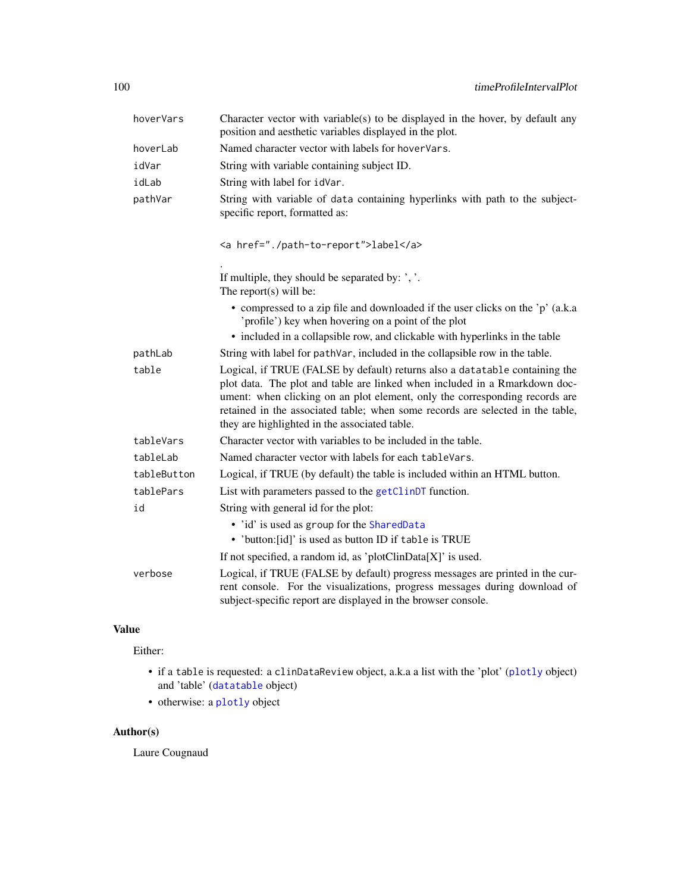<span id="page-99-0"></span>

| hoverVars   | Character vector with variable(s) to be displayed in the hover, by default any<br>position and aesthetic variables displayed in the plot.                                                                                                                                                                                                                                   |
|-------------|-----------------------------------------------------------------------------------------------------------------------------------------------------------------------------------------------------------------------------------------------------------------------------------------------------------------------------------------------------------------------------|
| hoverLab    | Named character vector with labels for hoverVars.                                                                                                                                                                                                                                                                                                                           |
| idVar       | String with variable containing subject ID.                                                                                                                                                                                                                                                                                                                                 |
| idLab       | String with label for idVar.                                                                                                                                                                                                                                                                                                                                                |
| pathVar     | String with variable of data containing hyperlinks with path to the subject-<br>specific report, formatted as:                                                                                                                                                                                                                                                              |
|             | <a href="./path-to-report">label</a>                                                                                                                                                                                                                                                                                                                                        |
|             | If multiple, they should be separated by: ', '.<br>The report $(s)$ will be:                                                                                                                                                                                                                                                                                                |
|             | • compressed to a zip file and downloaded if the user clicks on the 'p' (a.k.a<br>'profile') key when hovering on a point of the plot<br>• included in a collapsible row, and clickable with hyperlinks in the table                                                                                                                                                        |
| pathLab     | String with label for pathVar, included in the collapsible row in the table.                                                                                                                                                                                                                                                                                                |
| table       | Logical, if TRUE (FALSE by default) returns also a datatable containing the<br>plot data. The plot and table are linked when included in a Rmarkdown doc-<br>ument: when clicking on an plot element, only the corresponding records are<br>retained in the associated table; when some records are selected in the table,<br>they are highlighted in the associated table. |
| tableVars   | Character vector with variables to be included in the table.                                                                                                                                                                                                                                                                                                                |
| tableLab    | Named character vector with labels for each table Vars.                                                                                                                                                                                                                                                                                                                     |
| tableButton | Logical, if TRUE (by default) the table is included within an HTML button.                                                                                                                                                                                                                                                                                                  |
| tablePars   | List with parameters passed to the getClinDT function.                                                                                                                                                                                                                                                                                                                      |
| id          | String with general id for the plot:                                                                                                                                                                                                                                                                                                                                        |
|             | • 'id' is used as group for the SharedData<br>• 'button: [id]' is used as button ID if table is TRUE                                                                                                                                                                                                                                                                        |
|             | If not specified, a random id, as 'plotClinData[X]' is used.                                                                                                                                                                                                                                                                                                                |
| verbose     | Logical, if TRUE (FALSE by default) progress messages are printed in the cur-<br>rent console. For the visualizations, progress messages during download of<br>subject-specific report are displayed in the browser console.                                                                                                                                                |

## Value

# Either:

- if a table is requested: a clinDataReview object, a.k.a a list with the 'plot' ([plotly](#page-0-0) object) and 'table' ([datatable](#page-0-0) object)
- otherwise: a [plotly](#page-0-0) object

## Author(s)

Laure Cougnaud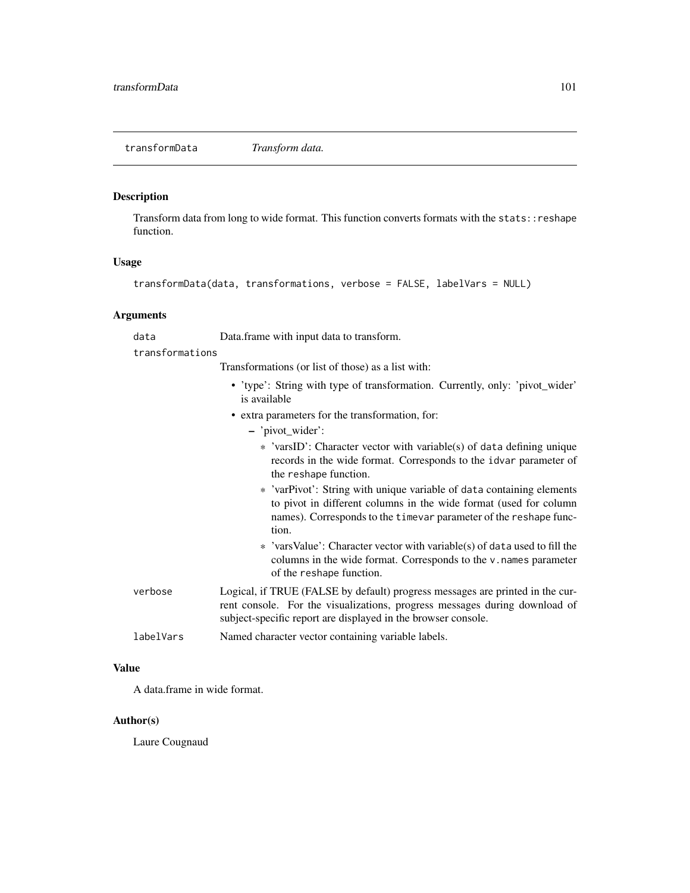#### <span id="page-100-1"></span><span id="page-100-0"></span>Description

Transform data from long to wide format. This function converts formats with the stats::reshape function.

#### Usage

```
transformData(data, transformations, verbose = FALSE, labelVars = NULL)
```
#### Arguments

data Data.frame with input data to transform.

transformations

Transformations (or list of those) as a list with:

- 'type': String with type of transformation. Currently, only: 'pivot\_wider' is available
- extra parameters for the transformation, for:
	- 'pivot\_wider':
		- \* 'varsID': Character vector with variable(s) of data defining unique records in the wide format. Corresponds to the idvar parameter of the reshape function.
		- \* 'varPivot': String with unique variable of data containing elements to pivot in different columns in the wide format (used for column names). Corresponds to the timevar parameter of the reshape function.
		- \* 'varsValue': Character vector with variable(s) of data used to fill the columns in the wide format. Corresponds to the v.names parameter of the reshape function.
- verbose Logical, if TRUE (FALSE by default) progress messages are printed in the current console. For the visualizations, progress messages during download of subject-specific report are displayed in the browser console.

```
labelVars Named character vector containing variable labels.
```
#### Value

A data.frame in wide format.

#### Author(s)

Laure Cougnaud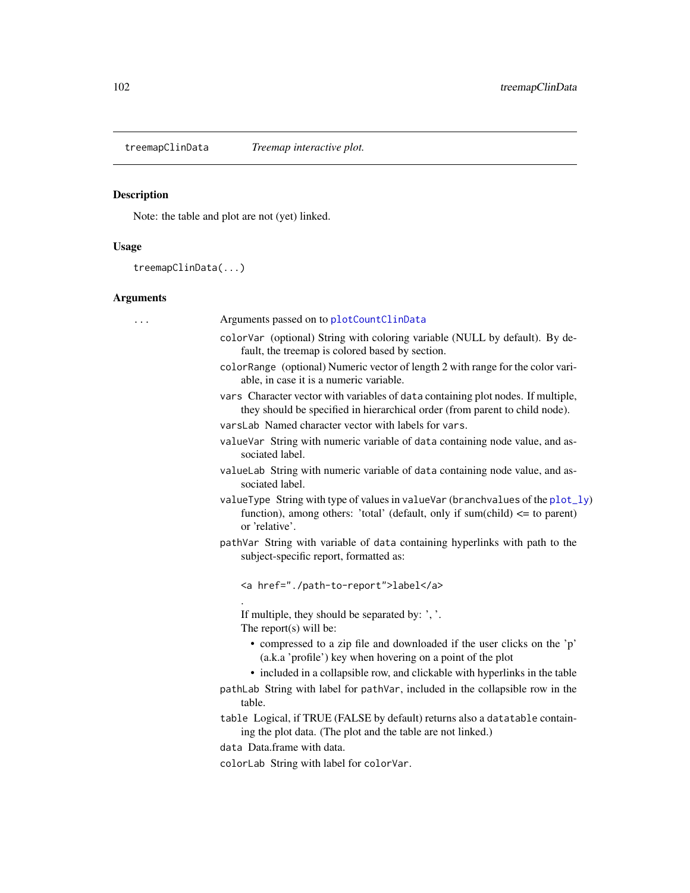<span id="page-101-1"></span><span id="page-101-0"></span>

# Description

Note: the table and plot are not (yet) linked.

# Usage

treemapClinData(...)

## Arguments

| . | Arguments passed on to plotCountClinData                                                                                                                                            |
|---|-------------------------------------------------------------------------------------------------------------------------------------------------------------------------------------|
|   | colorVar (optional) String with coloring variable (NULL by default). By de-<br>fault, the treemap is colored based by section.                                                      |
|   | colorRange (optional) Numeric vector of length 2 with range for the color vari-<br>able, in case it is a numeric variable.                                                          |
|   | vars Character vector with variables of data containing plot nodes. If multiple,<br>they should be specified in hierarchical order (from parent to child node).                     |
|   | varsLab Named character vector with labels for vars.                                                                                                                                |
|   | valueVar String with numeric variable of data containing node value, and as-<br>sociated label.                                                                                     |
|   | valueLab String with numeric variable of data containing node value, and as-<br>sociated label.                                                                                     |
|   | valueType String with type of values in valueVar (branchvalues of the plot_ly)<br>function), among others: 'total' (default, only if sum(child) $\leq$ to parent)<br>or 'relative'. |
|   | pathVar String with variable of data containing hyperlinks with path to the<br>subject-specific report, formatted as:                                                               |
|   | <a href="./path-to-report">label</a>                                                                                                                                                |
|   | If multiple, they should be separated by: ', '.<br>The report $(s)$ will be:                                                                                                        |
|   | • compressed to a zip file and downloaded if the user clicks on the 'p'<br>(a.k.a 'profile') key when hovering on a point of the plot                                               |
|   | • included in a collapsible row, and clickable with hyperlinks in the table                                                                                                         |
|   | pathLab String with label for pathVar, included in the collapsible row in the<br>table.                                                                                             |
|   | table Logical, if TRUE (FALSE by default) returns also a datatable contain-<br>ing the plot data. (The plot and the table are not linked.)                                          |
|   | data Data.frame with data.                                                                                                                                                          |
|   | colorLab String with label for colorVar.                                                                                                                                            |
|   |                                                                                                                                                                                     |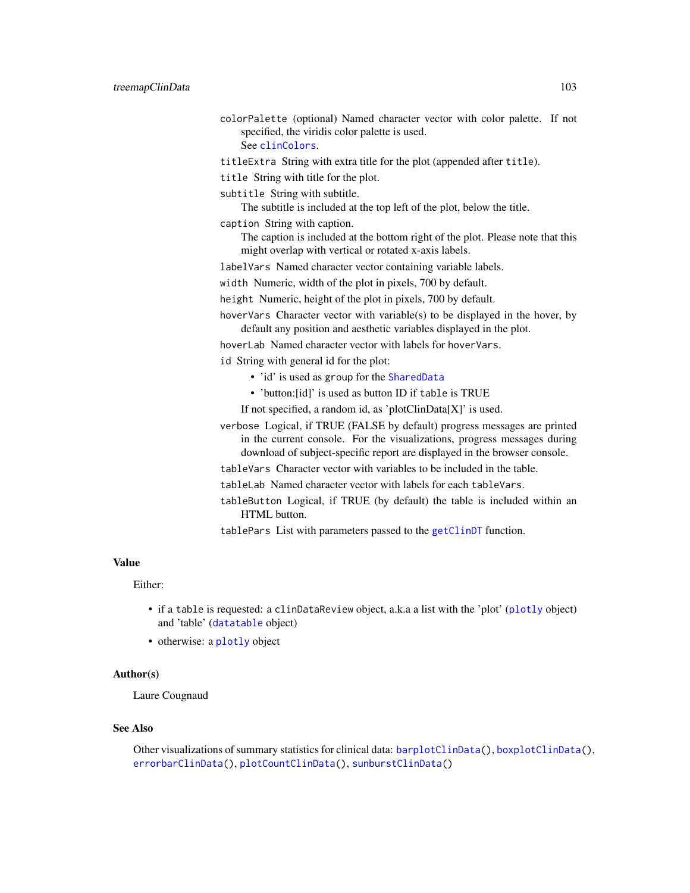<span id="page-102-0"></span>colorPalette (optional) Named character vector with color palette. If not specified, the viridis color palette is used. See [clinColors](#page-0-0).

titleExtra String with extra title for the plot (appended after title).

title String with title for the plot.

subtitle String with subtitle.

The subtitle is included at the top left of the plot, below the title.

caption String with caption.

The caption is included at the bottom right of the plot. Please note that this might overlap with vertical or rotated x-axis labels.

labelVars Named character vector containing variable labels.

width Numeric, width of the plot in pixels, 700 by default.

height Numeric, height of the plot in pixels, 700 by default.

hoverVars Character vector with variable(s) to be displayed in the hover, by default any position and aesthetic variables displayed in the plot.

hoverLab Named character vector with labels for hoverVars.

id String with general id for the plot:

- 'id' is used as group for the [SharedData](#page-0-0)
- 'button:[id]' is used as button ID if table is TRUE

If not specified, a random id, as 'plotClinData[X]' is used.

verbose Logical, if TRUE (FALSE by default) progress messages are printed in the current console. For the visualizations, progress messages during

download of subject-specific report are displayed in the browser console.

tableVars Character vector with variables to be included in the table.

tableLab Named character vector with labels for each tableVars.

tableButton Logical, if TRUE (by default) the table is included within an HTML button.

tablePars List with parameters passed to the [getClinDT](#page-0-0) function.

#### Value

Either:

- if a table is requested: a clinDataReview object, a.k.a a list with the 'plot' ([plotly](#page-0-0) object) and 'table' ([datatable](#page-0-0) object)
- otherwise: a [plotly](#page-0-0) object

#### Author(s)

Laure Cougnaud

#### See Also

Other visualizations of summary statistics for clinical data: [barplotClinData\(](#page-8-0)), [boxplotClinData\(](#page-12-0)), [errorbarClinData\(](#page-35-0)), [plotCountClinData\(](#page-74-0)), [sunburstClinData\(](#page-92-0))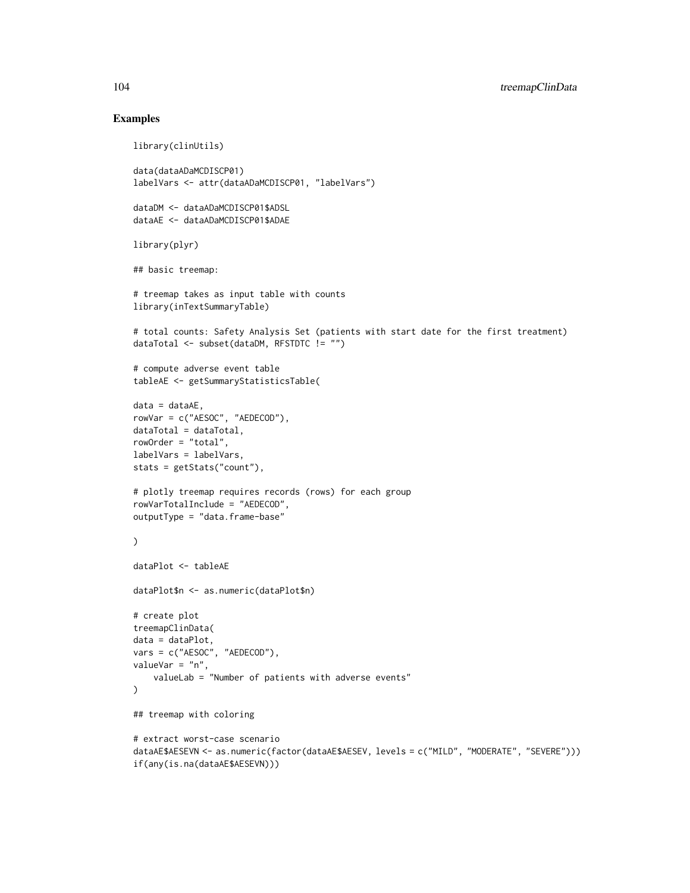#### Examples

```
library(clinUtils)
data(dataADaMCDISCP01)
labelVars <- attr(dataADaMCDISCP01, "labelVars")
dataDM <- dataADaMCDISCP01$ADSL
dataAE <- dataADaMCDISCP01$ADAE
library(plyr)
## basic treemap:
# treemap takes as input table with counts
library(inTextSummaryTable)
# total counts: Safety Analysis Set (patients with start date for the first treatment)
dataTotal <- subset(dataDM, RFSTDTC != "")
# compute adverse event table
tableAE <- getSummaryStatisticsTable(
data = dataAE,rowVar = c("AESOC", "AEDECOD"),
dataTotal = dataTotal,
rowOrder = "total",
labelVars = labelVars,
stats = getStats("count"),
# plotly treemap requires records (rows) for each group
rowVarTotalInclude = "AEDECOD",
outputType = "data.frame-base"
)
dataPlot <- tableAE
dataPlot$n <- as.numeric(dataPlot$n)
# create plot
treemapClinData(
data = dataPlot,
vars = c("AESOC", "AEDECOD"),
valueVar = "n",valueLab = "Number of patients with adverse events"
)
## treemap with coloring
# extract worst-case scenario
dataAE$AESEVN <- as.numeric(factor(dataAE$AESEV, levels = c("MILD", "MODERATE", "SEVERE")))
if(any(is.na(dataAE$AESEVN)))
```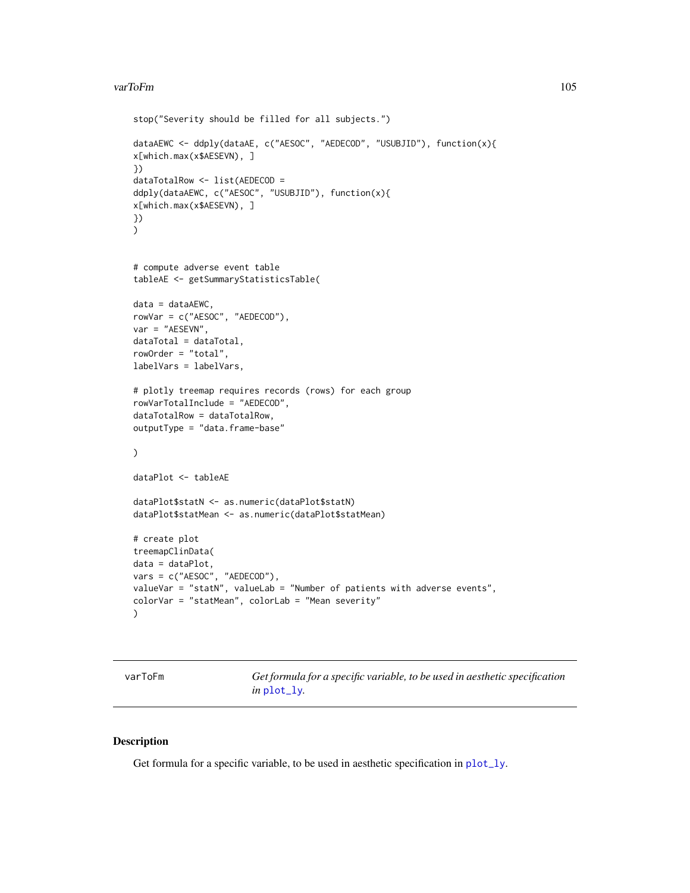#### <span id="page-104-0"></span>varToFm 105

```
stop("Severity should be filled for all subjects.")
dataAEWC <- ddply(dataAE, c("AESOC", "AEDECOD", "USUBJID"), function(x){
x[which.max(x$AESEVN), ]
})
dataTotalRow <- list(AEDECOD =
ddply(dataAEWC, c("AESOC", "USUBJID"), function(x){
x[which.max(x$AESEVN), ]
})
\mathcal{L}# compute adverse event table
tableAE <- getSummaryStatisticsTable(
data = dataAEWC,
rowVar = c("AESOC", "AEDECOD"),
var = "AESEVN",
dataTotal = dataTotal,
rowOrder = "total",
labelVars = labelVars,
# plotly treemap requires records (rows) for each group
rowVarTotalInclude = "AEDECOD",
dataTotalRow = dataTotalRow,
outputType = "data.frame-base"
)
dataPlot <- tableAE
dataPlot$statN <- as.numeric(dataPlot$statN)
dataPlot$statMean <- as.numeric(dataPlot$statMean)
# create plot
treemapClinData(
data = dataPlot,
vars = c("AESOC", "AEDECOD"),
valueVar = "statN", valueLab = "Number of patients with adverse events",
colorVar = "statMean", colorLab = "Mean severity"
\mathcal{L}
```
varToFm *Get formula for a specific variable, to be used in aesthetic specification in* [plot\\_ly](#page-0-0)*.*

#### Description

Get formula for a specific variable, to be used in aesthetic specification in  $plot_l$ .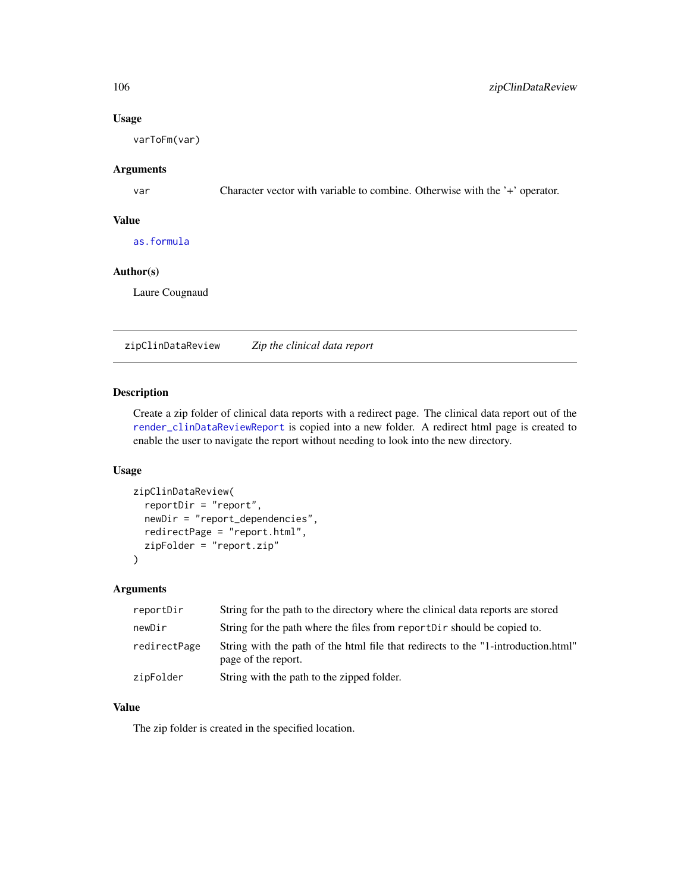## Usage

varToFm(var)

## Arguments

var Character vector with variable to combine. Otherwise with the '+' operator.

## Value

[as.formula](#page-0-0)

#### Author(s)

Laure Cougnaud

zipClinDataReview *Zip the clinical data report*

## Description

Create a zip folder of clinical data reports with a redirect page. The clinical data report out of the [render\\_clinDataReviewReport](#page-79-0) is copied into a new folder. A redirect html page is created to enable the user to navigate the report without needing to look into the new directory.

## Usage

```
zipClinDataReview(
  reportDir = "report",
  newDir = "report_dependencies",
  redirectPage = "report.html",
  zipFolder = "report.zip"
)
```
#### Arguments

| reportDir    | String for the path to the directory where the clinical data reports are stored                          |
|--------------|----------------------------------------------------------------------------------------------------------|
| newDir       | String for the path where the files from report Dir should be copied to.                                 |
| redirectPage | String with the path of the html file that redirects to the "1-introduction.html"<br>page of the report. |
| zipFolder    | String with the path to the zipped folder.                                                               |

## Value

The zip folder is created in the specified location.

<span id="page-105-0"></span>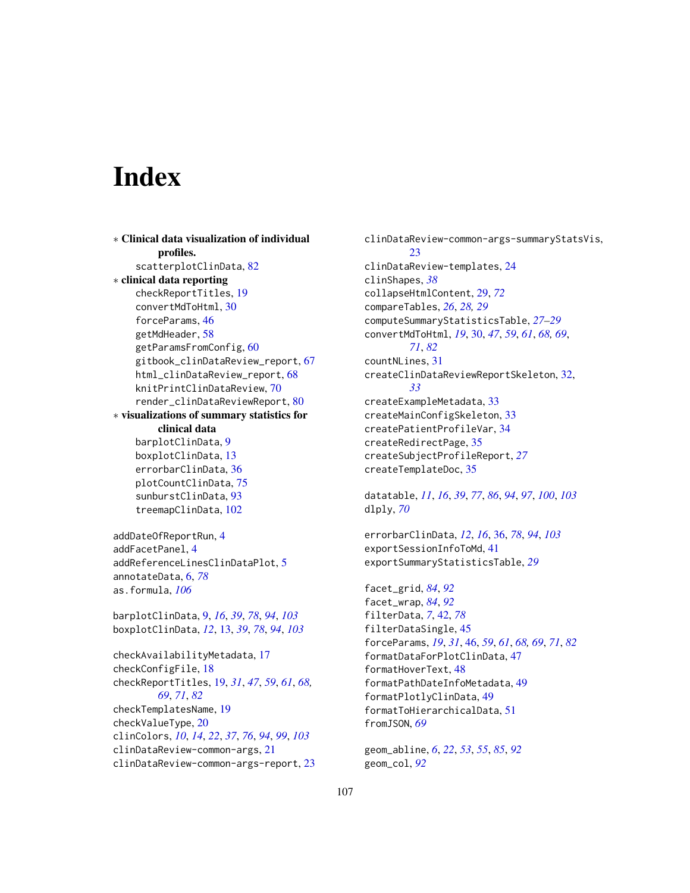# **Index**

∗ Clinical data visualization of individual profiles. scatterplotClinData, [82](#page-81-0) ∗ clinical data reporting checkReportTitles, [19](#page-18-1) convertMdToHtml, [30](#page-29-1) forceParams, [46](#page-45-1) getMdHeader, [58](#page-57-1) getParamsFromConfig, [60](#page-59-1) gitbook\_clinDataReview\_report, [67](#page-66-1) html\_clinDataReview\_report, [68](#page-67-1) knitPrintClinDataReview, [70](#page-69-1) render\_clinDataReviewReport, [80](#page-79-1) ∗ visualizations of summary statistics for clinical data barplotClinData, [9](#page-8-1) boxplotClinData, [13](#page-12-1) errorbarClinData, [36](#page-35-1) plotCountClinData, [75](#page-74-1) sunburstClinData, [93](#page-92-1) treemapClinData, [102](#page-101-1)

```
addDateOfReportRun, 4
addFacetPanel, 4
addReferenceLinesClinDataPlot, 5
annotateData, 6, 78
as.formula, 106
```
barplotClinData, [9,](#page-8-1) *[16](#page-15-0)*, *[39](#page-38-0)*, *[78](#page-77-0)*, *[94](#page-93-0)*, *[103](#page-102-0)* boxplotClinData, *[12](#page-11-0)*, [13,](#page-12-1) *[39](#page-38-0)*, *[78](#page-77-0)*, *[94](#page-93-0)*, *[103](#page-102-0)*

checkAvailabilityMetadata, [17](#page-16-0) checkConfigFile, [18](#page-17-0) checkReportTitles, [19,](#page-18-1) *[31](#page-30-0)*, *[47](#page-46-0)*, *[59](#page-58-1)*, *[61](#page-60-0)*, *[68,](#page-67-1) [69](#page-68-0)*, *[71](#page-70-0)*, *[82](#page-81-0)* checkTemplatesName, [19](#page-18-1) checkValueType, [20](#page-19-0) clinColors, *[10](#page-9-0)*, *[14](#page-13-0)*, *[22](#page-21-0)*, *[37](#page-36-0)*, *[76](#page-75-0)*, *[94](#page-93-0)*, *[99](#page-98-0)*, *[103](#page-102-0)* clinDataReview-common-args, [21](#page-20-0) clinDataReview-common-args-report, [23](#page-22-0) clinDataReview-common-args-summaryStatsVis, [23](#page-22-0) clinDataReview-templates, [24](#page-23-0) clinShapes, *[38](#page-37-0)* collapseHtmlContent, [29,](#page-28-0) *[72](#page-71-0)* compareTables, *[26](#page-25-0)*, *[28,](#page-27-0) [29](#page-28-0)* computeSummaryStatisticsTable, *[27](#page-26-0)[–29](#page-28-0)* convertMdToHtml, *[19](#page-18-1)*, [30,](#page-29-1) *[47](#page-46-0)*, *[59](#page-58-1)*, *[61](#page-60-0)*, *[68,](#page-67-1) [69](#page-68-0)*, *[71](#page-70-0)*, *[82](#page-81-0)* countNLines, [31](#page-30-0) createClinDataReviewReportSkeleton, [32,](#page-31-0) *[33](#page-32-0)* createExampleMetadata, [33](#page-32-0) createMainConfigSkeleton, [33](#page-32-0) createPatientProfileVar, [34](#page-33-0) createRedirectPage, [35](#page-34-0) createSubjectProfileReport, *[27](#page-26-0)* createTemplateDoc, [35](#page-34-0)

datatable, *[11](#page-10-0)*, *[16](#page-15-0)*, *[39](#page-38-0)*, *[77](#page-76-0)*, *[86](#page-85-0)*, *[94](#page-93-0)*, *[97](#page-96-0)*, *[100](#page-99-0)*, *[103](#page-102-0)* dlply, *[70](#page-69-1)*

errorbarClinData, *[12](#page-11-0)*, *[16](#page-15-0)*, [36,](#page-35-1) *[78](#page-77-0)*, *[94](#page-93-0)*, *[103](#page-102-0)* exportSessionInfoToMd, [41](#page-40-0) exportSummaryStatisticsTable, *[29](#page-28-0)*

facet\_grid, *[84](#page-83-0)*, *[92](#page-91-0)* facet\_wrap, *[84](#page-83-0)*, *[92](#page-91-0)* filterData, *[7](#page-6-0)*, [42,](#page-41-1) *[78](#page-77-0)* filterDataSingle, [45](#page-44-0) forceParams, *[19](#page-18-1)*, *[31](#page-30-0)*, [46,](#page-45-1) *[59](#page-58-1)*, *[61](#page-60-0)*, *[68,](#page-67-1) [69](#page-68-0)*, *[71](#page-70-0)*, *[82](#page-81-0)* formatDataForPlotClinData, [47](#page-46-0) formatHoverText, [48](#page-47-0) formatPathDateInfoMetadata, [49](#page-48-0) formatPlotlyClinData, [49](#page-48-0) formatToHierarchicalData, [51](#page-50-0) fromJSON, *[69](#page-68-0)*

geom\_abline, *[6](#page-5-1)*, *[22](#page-21-0)*, *[53](#page-52-0)*, *[55](#page-54-0)*, *[85](#page-84-0)*, *[92](#page-91-0)* geom\_col, *[92](#page-91-0)*